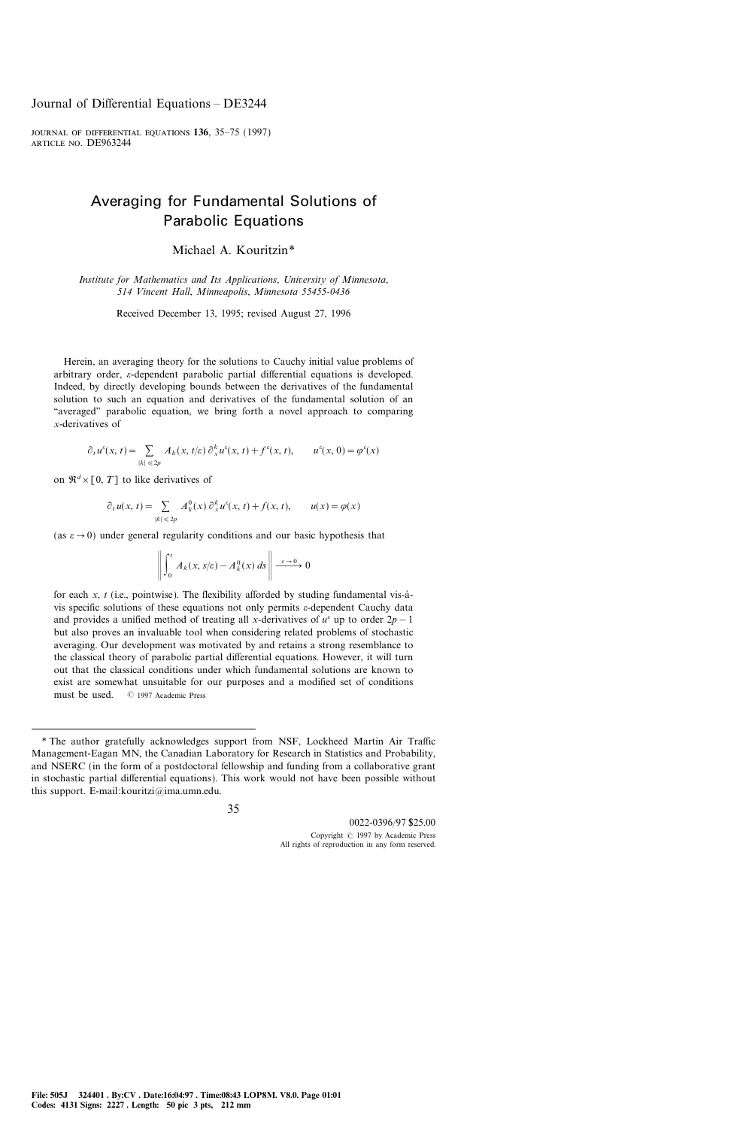# Averaging for Fundamental Solutions of Parabolic Equations

Michael A. Kouritzin\*

Institute for Mathematics and Its Applications, University of Minnesota, 514 Vincent Hall, Minneapolis, Minnesota 55455-0436

Received December 13, 1995; revised August 27, 1996

Herein, an averaging theory for the solutions to Cauchy initial value problems of arbitrary order,  $\varepsilon$ -dependent parabolic partial differential equations is developed. Indeed, by directly developing bounds between the derivatives of the fundamental solution to such an equation and derivatives of the fundamental solution of an ``averaged'' parabolic equation, we bring forth a novel approach to comparing x-derivatives of

$$
\partial_t u^{\varepsilon}(x,t) = \sum_{|k| \leq 2p} A_k(x,t/\varepsilon) \partial_x^k u^{\varepsilon}(x,t) + f^{\varepsilon}(x,t), \qquad u^{\varepsilon}(x,0) = \varphi^{\varepsilon}(x)
$$

on  $\mathfrak{R}^d \times [0, T]$  to like derivatives of

$$
\partial_t u(x, t) = \sum_{|k| \leq 2p} A_k^0(x) \partial_x^k u^s(x, t) + f(x, t), \qquad u(x) = \varphi(x)
$$

(as  $\varepsilon \to 0$ ) under general regularity conditions and our basic hypothesis that

$$
\left\| \int_0^t A_k(x, s/\varepsilon) - A_k^0(x) \, ds \right\| \xrightarrow{\varepsilon \to 0} 0
$$

for each x,  $t$  (i.e., pointwise). The flexibility afforded by studing fundamental vis-àvis specific solutions of these equations not only permits  $\varepsilon$ -dependent Cauchy data and provides a unified method of treating all x-derivatives of  $u^{\varepsilon}$  up to order  $2p-1$ but also proves an invaluable tool when considering related problems of stochastic averaging. Our development was motivated by and retains a strong resemblance to the classical theory of parabolic partial differential equations. However, it will turn out that the classical conditions under which fundamental solutions are known to exist are somewhat unsuitable for our purposes and a modified set of conditions must be used.  $@$  1997 Academic Press

<sup>\*</sup> The author gratefully acknowledges support from NSF, Lockheed Martin Air Traffic Management-Eagan MN, the Canadian Laboratory for Research in Statistics and Probability, and NSERC (in the form of a postdoctoral fellowship and funding from a collaborative grant in stochastic partial differential equations). This work would not have been possible without this support. E-mail: kouritzi $@$ ima.umn.edu.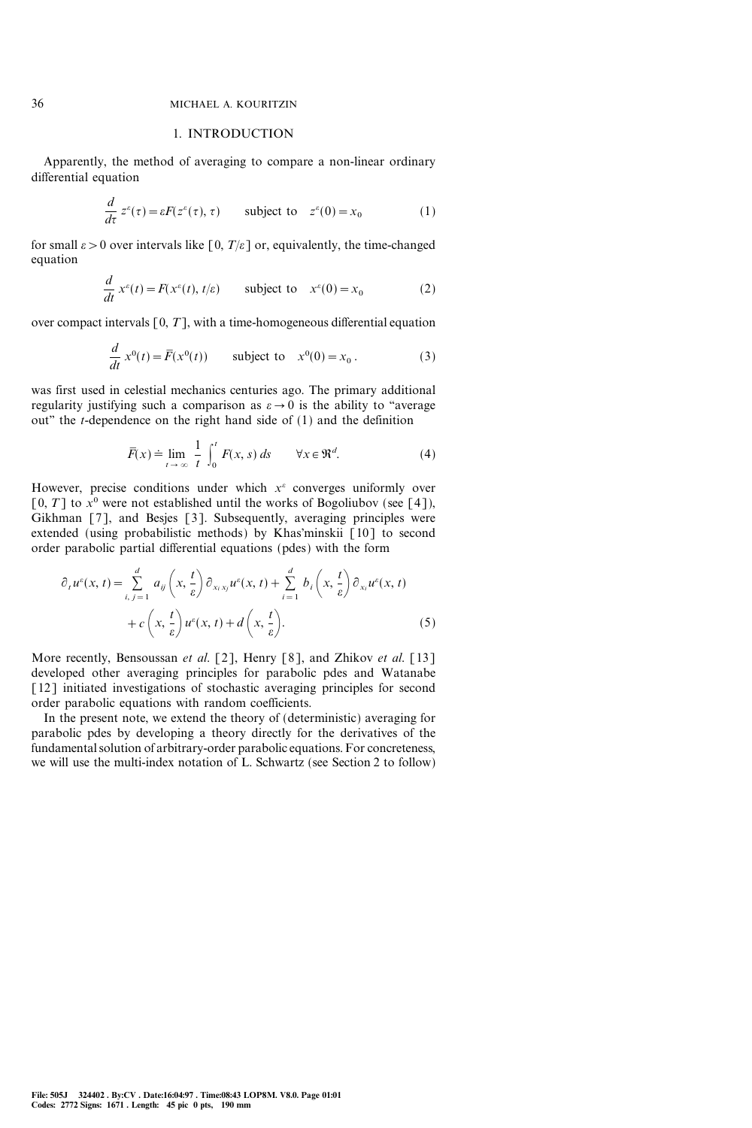#### 1. INTRODUCTION

Apparently, the method of averaging to compare a non-linear ordinary differential equation

$$
\frac{d}{d\tau} z^{\varepsilon}(\tau) = \varepsilon F(z^{\varepsilon}(\tau), \tau) \qquad \text{subject to} \quad z^{\varepsilon}(0) = x_0 \tag{1}
$$

for small  $\varepsilon > 0$  over intervals like [0,  $T/\varepsilon$ ] or, equivalently, the time-changed equation

$$
\frac{d}{dt} x^e(t) = F(x^e(t), t/\varepsilon) \qquad \text{subject to} \quad x^e(0) = x_0 \tag{2}
$$

over compact intervals  $[0, T]$ , with a time-homogeneous differential equation

$$
\frac{d}{dt} x^0(t) = \overline{F}(x^0(t)) \qquad \text{subject to} \quad x^0(0) = x_0. \tag{3}
$$

was first used in celestial mechanics centuries ago. The primary additional regularity justifying such a comparison as  $\varepsilon \to 0$  is the ability to "average out'' the t-dependence on the right hand side of (1) and the definition

$$
\overline{F}(x) \doteq \lim_{t \to \infty} \frac{1}{t} \int_0^t F(x, s) \, ds \qquad \forall x \in \mathfrak{R}^d. \tag{4}
$$

However, precise conditions under which  $x^{\epsilon}$  converges uniformly over [0, T] to  $x^0$  were not established until the works of Bogoliubov (see [4]), Gikhman [7], and Besjes [3]. Subsequently, averaging principles were extended (using probabilistic methods) by Khas'minskii [10] to second order parabolic partial differential equations (pdes) with the form

$$
\partial_t u^{\varepsilon}(x, t) = \sum_{i, j=1}^d a_{ij} \left(x, \frac{t}{\varepsilon}\right) \partial_{x_i x_j} u^{\varepsilon}(x, t) + \sum_{i=1}^d b_i \left(x, \frac{t}{\varepsilon}\right) \partial_{x_i} u^{\varepsilon}(x, t) + c \left(x, \frac{t}{\varepsilon}\right) u^{\varepsilon}(x, t) + d \left(x, \frac{t}{\varepsilon}\right).
$$
\n(5)

More recently, Bensoussan et al. [2], Henry [8], and Zhikov et al. [13] developed other averaging principles for parabolic pdes and Watanabe [12] initiated investigations of stochastic averaging principles for second order parabolic equations with random coefficients.

In the present note, we extend the theory of (deterministic) averaging for parabolic pdes by developing a theory directly for the derivatives of the fundamental solution of arbitrary-order parabolic equations. For concreteness, we will use the multi-index notation of L. Schwartz (see Section 2 to follow)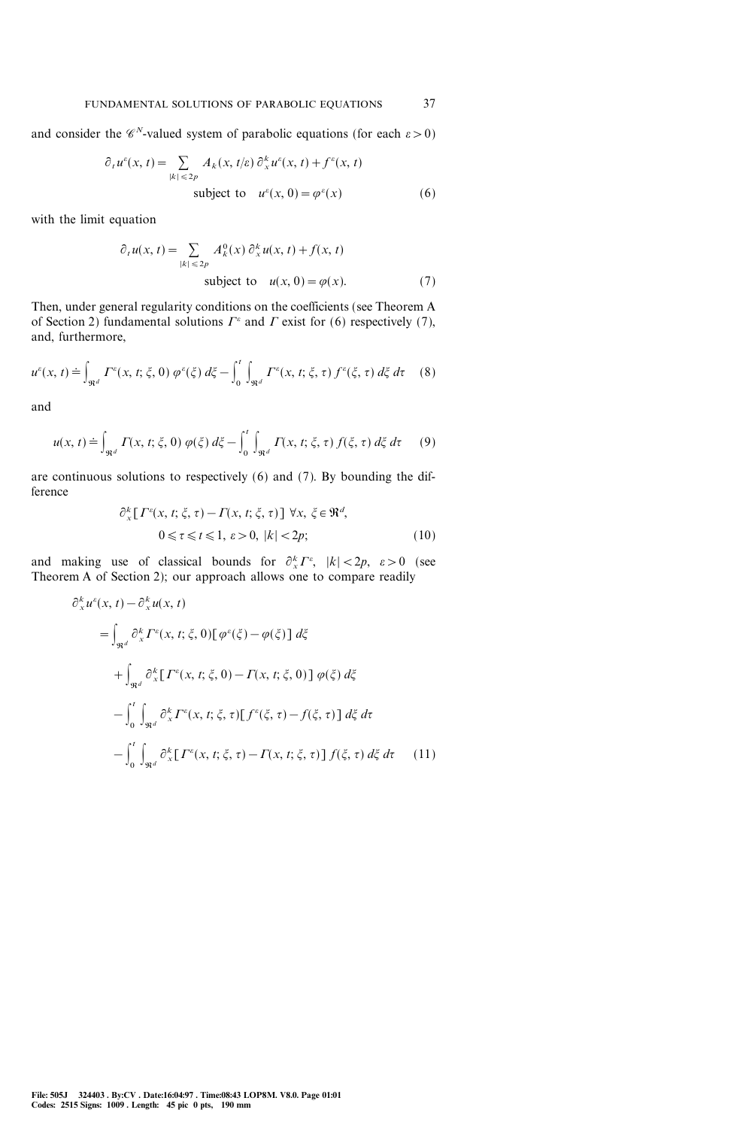and consider the  $\mathscr{C}^N$ -valued system of parabolic equations (for each  $\varepsilon > 0$ )

$$
\partial_t u^{\varepsilon}(x, t) = \sum_{|k| \leq 2p} A_k(x, t/\varepsilon) \partial_x^k u^{\varepsilon}(x, t) + f^{\varepsilon}(x, t)
$$
  
subject to  $u^{\varepsilon}(x, 0) = \varphi^{\varepsilon}(x)$  (6)

with the limit equation

$$
\partial_t u(x, t) = \sum_{|k| \le 2p} A_k^0(x) \partial_x^k u(x, t) + f(x, t)
$$
  
subject to  $u(x, 0) = \varphi(x)$ . (7)

Then, under general regularity conditions on the coefficients (see Theorem A of Section 2) fundamental solutions  $\Gamma^{\varepsilon}$  and  $\Gamma$  exist for (6) respectively (7), and, furthermore,

$$
u^{\varepsilon}(x, t) \doteq \int_{\Re^d} \Gamma^{\varepsilon}(x, t; \xi, 0) \, \varphi^{\varepsilon}(\xi) \, d\xi - \int_0^t \int_{\Re^d} \Gamma^{\varepsilon}(x, t; \xi, \tau) \, f^{\varepsilon}(\xi, \tau) \, d\xi \, d\tau \tag{8}
$$

and

$$
u(x, t) \doteq \int_{\mathfrak{R}^d} \Gamma(x, t; \xi, 0) \varphi(\xi) d\xi - \int_0^t \int_{\mathfrak{R}^d} \Gamma(x, t; \xi, \tau) f(\xi, \tau) d\xi d\tau \qquad (9)
$$

are continuous solutions to respectively (6) and (7). By bounding the difference

$$
\partial_x^k [T^e(x, t; \xi, \tau) - T(x, t; \xi, \tau)] \,\forall x, \,\xi \in \mathfrak{R}^d,
$$
  

$$
0 \le \tau \le t \le 1, \,\varepsilon > 0, \, |k| < 2p; \tag{10}
$$

and making use of classical bounds for  $\partial_x^k I^*$ ,  $|k| < 2p$ ,  $\varepsilon > 0$  (see Theorem A of Section 2); our approach allows one to compare readily

$$
\partial_x^k u^\varepsilon(x, t) - \partial_x^k u(x, t)
$$
\n
$$
= \int_{\Re^d} \partial_x^k \Gamma^\varepsilon(x, t; \xi, 0) [\varphi^\varepsilon(\xi) - \varphi(\xi)] d\xi
$$
\n
$$
+ \int_{\Re^d} \partial_x^k [\Gamma^\varepsilon(x, t; \xi, 0) - \Gamma(x, t; \xi, 0)] \varphi(\xi) d\xi
$$
\n
$$
- \int_0^t \int_{\Re^d} \partial_x^k \Gamma^\varepsilon(x, t; \xi, \tau) [\Gamma^\varepsilon(\xi, \tau) - \Gamma(\xi, \tau)] d\xi d\tau
$$
\n
$$
- \int_0^t \int_{\Re^d} \partial_x^k [\Gamma^\varepsilon(x, t; \xi, \tau) - \Gamma(x, t; \xi, \tau)] f(\xi, \tau) d\xi d\tau \qquad (11)
$$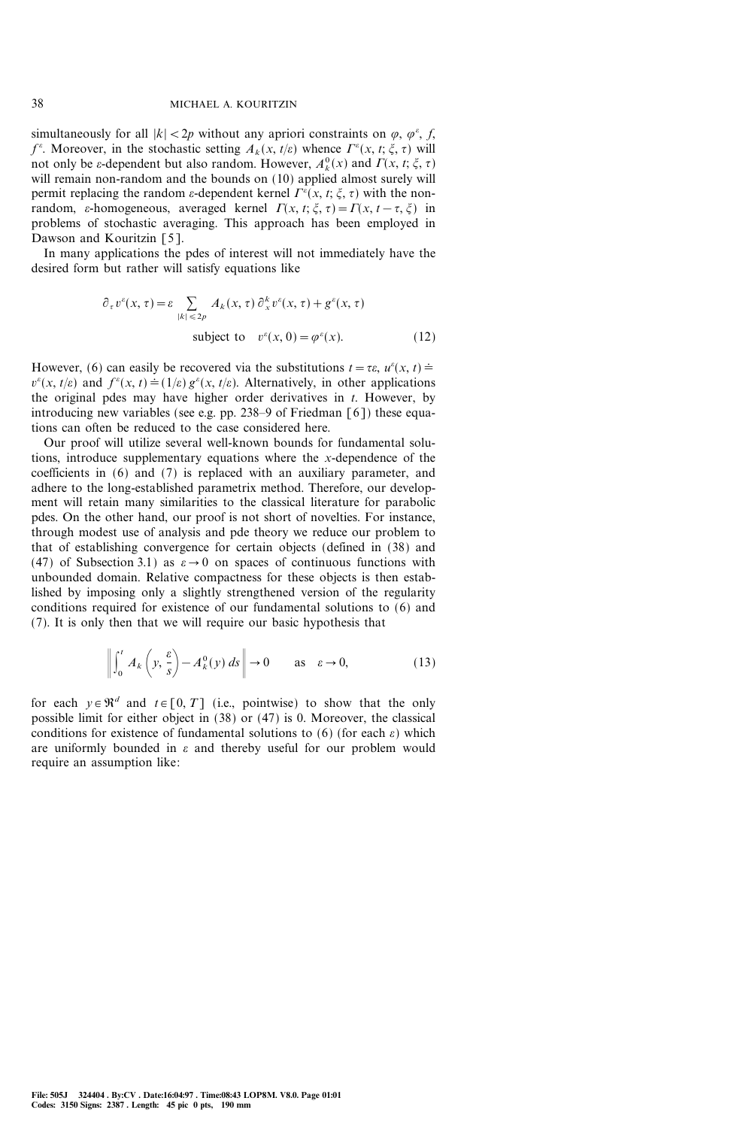simultaneously for all  $|k| < 2p$  without any apriori constraints on  $\varphi$ ,  $\varphi^{\varepsilon}$ , f,  $f^{\varepsilon}$ . Moreover, in the stochastic setting  $A_k(x, t/\varepsilon)$  whence  $\Gamma^{\varepsilon}(x, t; \xi, \tau)$  will not only be  $\varepsilon$ -dependent but also random. However,  $A_k^0(x)$  and  $\Gamma(x, t; \xi, \tau)$ will remain non-random and the bounds on (10) applied almost surely will permit replacing the random  $\varepsilon$ -dependent kernel  $\Gamma^{\varepsilon}(x, t; \xi, \tau)$  with the nonrandom,  $\varepsilon$ -homogeneous, averaged kernel  $\Gamma(x, t; \xi, \tau) = \Gamma(x, t - \tau, \xi)$  in problems of stochastic averaging. This approach has been employed in Dawson and Kouritzin [5].

In many applications the pdes of interest will not immediately have the desired form but rather will satisfy equations like

$$
\partial_{\tau} v^{\varepsilon}(x, \tau) = \varepsilon \sum_{|k| \leq 2p} A_k(x, \tau) \partial_x^k v^{\varepsilon}(x, \tau) + g^{\varepsilon}(x, \tau)
$$
  
subject to  $v^{\varepsilon}(x, 0) = \varphi^{\varepsilon}(x)$ . (12)

However, (6) can easily be recovered via the substitutions  $t = \tau \varepsilon$ ,  $u^{\varepsilon}(x, t) \doteq$  $v^{\epsilon}(x, t/\varepsilon)$  and  $f^{\epsilon}(x, t) = (1/\varepsilon) g^{\epsilon}(x, t/\varepsilon)$ . Alternatively, in other applications the original pdes may have higher order derivatives in t. However, by introducing new variables (see e.g. pp. 238–9 of Friedman  $\lceil 6 \rceil$ ) these equations can often be reduced to the case considered here.

Our proof will utilize several well-known bounds for fundamental solutions, introduce supplementary equations where the x-dependence of the coefficients in (6) and (7) is replaced with an auxiliary parameter, and adhere to the long-established parametrix method. Therefore, our development will retain many similarities to the classical literature for parabolic pdes. On the other hand, our proof is not short of novelties. For instance, through modest use of analysis and pde theory we reduce our problem to that of establishing convergence for certain objects (defined in (38) and (47) of Subsection 3.1) as  $\varepsilon \to 0$  on spaces of continuous functions with unbounded domain. Relative compactness for these objects is then established by imposing only a slightly strengthened version of the regularity conditions required for existence of our fundamental solutions to (6) and (7). It is only then that we will require our basic hypothesis that

$$
\left\| \int_0^t A_k \left( y, \frac{\varepsilon}{s} \right) - A_k^0(y) \, ds \right\| \to 0 \qquad \text{as} \quad \varepsilon \to 0,
$$
 (13)

for each  $y \in \mathbb{R}^d$  and  $t \in [0, T]$  (i.e., pointwise) to show that the only possible limit for either object in (38) or (47) is 0. Moreover, the classical conditions for existence of fundamental solutions to (6) (for each  $\varepsilon$ ) which are uniformly bounded in  $\varepsilon$  and thereby useful for our problem would require an assumption like: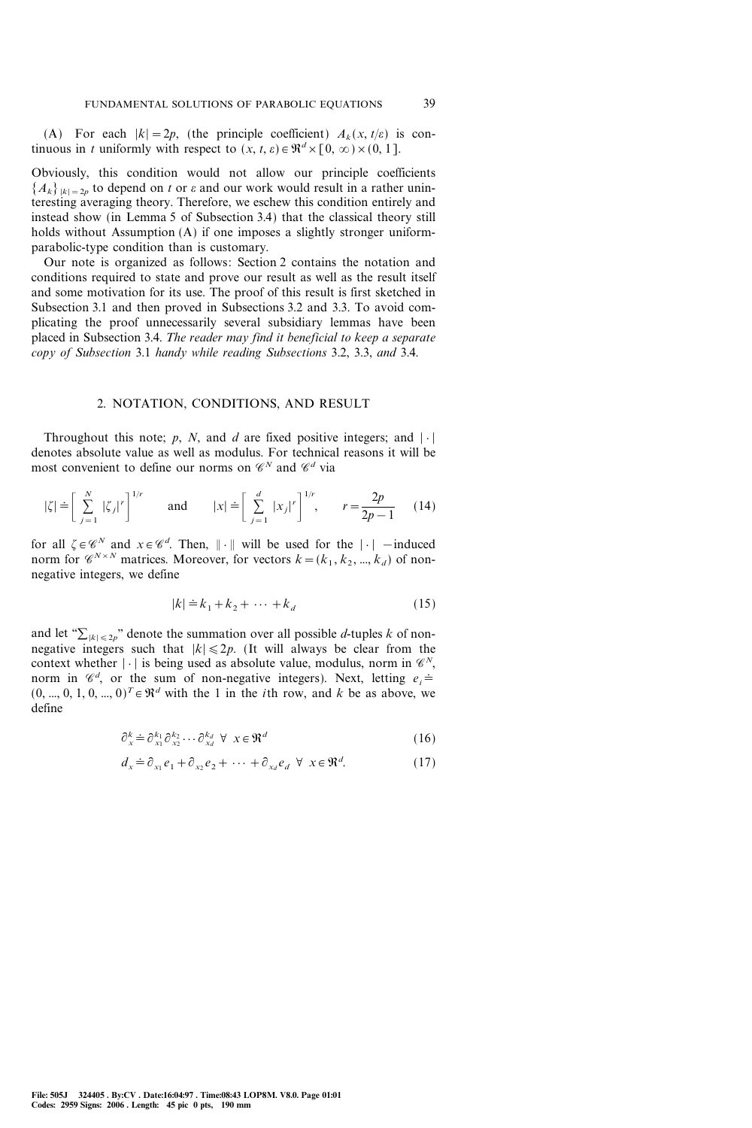(A) For each  $|k|=2p$ , (the principle coefficient)  $A_k(x, t/\varepsilon)$  is continuous in t uniformly with respect to  $(x, t, \varepsilon) \in \Re^d \times [0, \infty) \times (0, 1]$ .

Obviously, this condition would not allow our principle coefficients  ${A_k}_{|k|=2p}$  to depend on t or  $\varepsilon$  and our work would result in a rather uninteresting averaging theory. Therefore, we eschew this condition entirely and instead show (in Lemma 5 of Subsection 3.4) that the classical theory still holds without Assumption (A) if one imposes a slightly stronger uniformparabolic-type condition than is customary.

Our note is organized as follows: Section 2 contains the notation and conditions required to state and prove our result as well as the result itself and some motivation for its use. The proof of this result is first sketched in Subsection 3.1 and then proved in Subsections 3.2 and 3.3. To avoid complicating the proof unnecessarily several subsidiary lemmas have been placed in Subsection 3.4. The reader may find it beneficial to keep a separate copy of Subsection 3.1 handy while reading Subsections 3.2, 3.3, and 3.4.

#### 2. NOTATION, CONDITIONS, AND RESULT

Throughout this note; p, N, and d are fixed positive integers; and  $|\cdot|$ denotes absolute value as well as modulus. For technical reasons it will be most convenient to define our norms on  $\mathscr{C}^N$  and  $\mathscr{C}^d$  via

$$
|\zeta| = \left[\sum_{j=1}^{N} |\zeta_j|^r\right]^{1/r} \quad \text{and} \quad |x| = \left[\sum_{j=1}^{d} |x_j|^r\right]^{1/r}, \quad r = \frac{2p}{2p-1} \quad (14)
$$

for all  $\zeta \in \mathscr{C}^N$  and  $x \in \mathscr{C}^d$ . Then,  $\|\cdot\|$  will be used for the  $|\cdot|$  -induced norm for  $\mathscr{C}^{N\times N}$  matrices. Moreover, for vectors  $k=(k_1 , k_2 , ..., k_d )$  of nonnegative integers, we define

$$
|k| \doteq k_1 + k_2 + \dots + k_d \tag{15}
$$

and let " $\sum_{|k| \leq 2p}$ " denote the summation over all possible *d*-tuples k of nonnegative integers such that  $|k| \le 2p$ . (It will always be clear from the context whether  $|\cdot|$  is being used as absolute value, modulus, norm in  $\mathscr{C}^N$ , norm in  $\mathcal{C}^d$ , or the sum of non-negative integers). Next, letting  $e_i \doteq$  $(0, ..., 0, 1, 0, ..., 0)^T \in \mathbb{R}^d$  with the 1 in the *i*th row, and *k* be as above, we define

$$
\partial_x^k \doteq \partial_{x_1}^{k_1} \partial_{x_2}^{k_2} \cdots \partial_{x_d}^{k_d} \ \forall \ x \in \mathfrak{R}^d \tag{16}
$$

$$
d_x \doteq \partial_{x_1} e_1 + \partial_{x_2} e_2 + \dots + \partial_{x_d} e_d \ \forall \ x \in \mathfrak{R}^d. \tag{17}
$$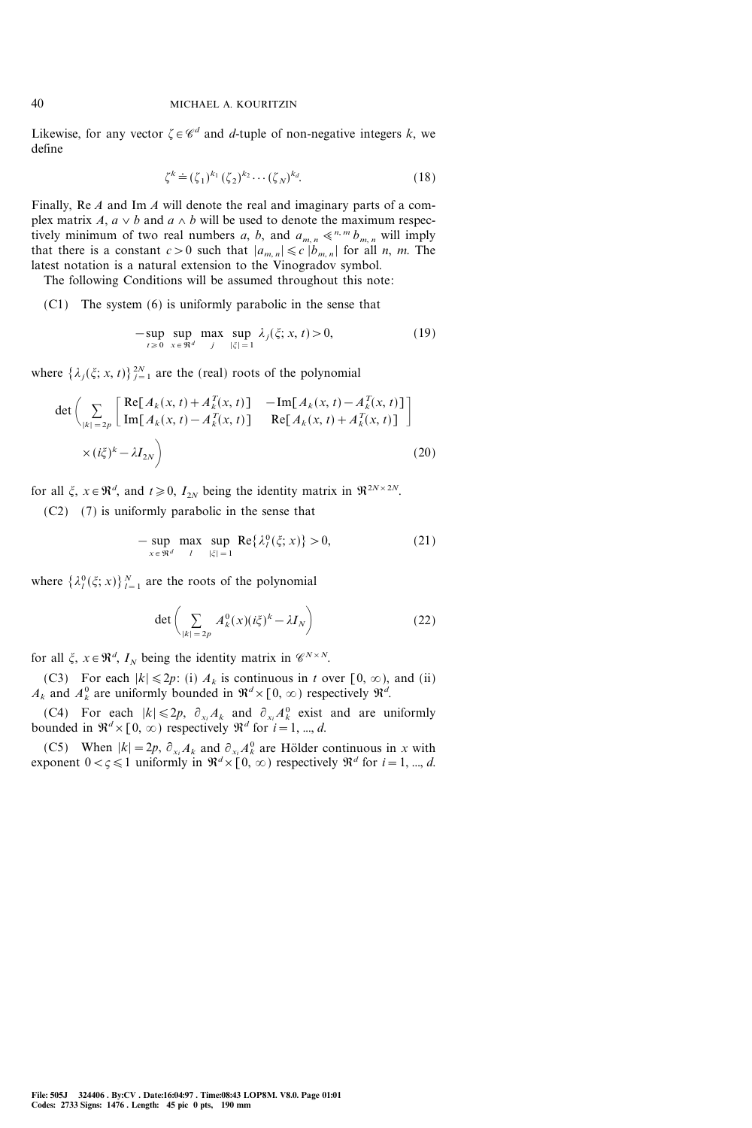Likewise, for any vector  $\zeta \in \mathscr{C}^d$  and d-tuple of non-negative integers k, we define

$$
\zeta^k \doteq (\zeta_1)^{k_1} (\zeta_2)^{k_2} \cdots (\zeta_N)^{k_d}.
$$
 (18)

Finally, Re A and Im A will denote the real and imaginary parts of a complex matrix A,  $a \vee b$  and  $a \wedge b$  will be used to denote the maximum respectively minimum of two real numbers a, b, and  $a_{m,n} \ll^{n,m} b_{m,n}$  will imply that there is a constant  $c>0$  such that  $|a_{m,n}| \leq c |b_{m,n}|$  for all n, m. The latest notation is a natural extension to the Vinogradov symbol.

The following Conditions will be assumed throughout this note:

(C1) The system (6) is uniformly parabolic in the sense that

$$
-\sup_{t \geq 0} \sup_{x \in \mathfrak{R}^d} \max_{j} \sup_{|\xi|=1} \lambda_j(\xi; x, t) > 0,
$$
 (19)

where  $\{\lambda_j(\xi; x, t)\}_{j=1}^{2N}$  are the (real) roots of the polynomial

$$
\det \left( \sum_{|k|=2p} \begin{bmatrix} \text{Re}[A_k(x,t) + A_k^T(x,t)] & -\text{Im}[A_k(x,t) - A_k^T(x,t)] \\ \text{Im}[A_k(x,t) - A_k^T(x,t)] & \text{Re}[A_k(x,t) + A_k^T(x,t)] \end{bmatrix} \right)
$$
  
 
$$
\times (i\xi)^k - \lambda I_{2N} \right)
$$
(20)

for all  $\xi$ ,  $x \in \mathbb{R}^d$ , and  $t \ge 0$ ,  $I_{2N}$  being the identity matrix in  $\mathbb{R}^{2N \times 2N}$ .

(C2) (7) is uniformly parabolic in the sense that

$$
-\sup_{x \in \mathfrak{R}^d} \max_{\substack{l \ |\xi| = 1}} \sup_{|\xi| = 1} \text{Re}\{\lambda_l^0(\xi; x)\} > 0,
$$
\n(21)

where  $\{\lambda_l^0(\xi; x)\}_{l=1}^N$  are the roots of the polynomial

$$
\det\left(\sum_{|k|=2p} A_k^0(x)(i\xi)^k - \lambda I_N\right) \tag{22}
$$

for all  $\xi$ ,  $x \in \mathbb{R}^d$ ,  $I_N$  being the identity matrix in  $\mathscr{C}^{N \times N}$ .

(C3) For each  $|k| \le 2p$ : (i)  $A_k$  is continuous in t over [0,  $\infty$ ), and (ii)  $A_k$  and  $A_k^0$  are uniformly bounded in  $\mathfrak{R}^d \times [0, \infty)$  respectively  $\mathfrak{R}^d$ .

(C4) For each  $|k| \le 2p$ ,  $\partial_{x_i} A_k$  and  $\partial_{x_i} A_k^0$  exist and are uniformly bounded in  $\mathbb{R}^d \times [0, \infty)$  respectively  $\mathbb{R}^d$  for  $i = 1, ..., d$ .

(C5) When  $|k| = 2p$ ,  $\partial_{x_i} A_k$  and  $\partial_{x_i} A_k^0$  are Hölder continuous in x with exponent  $0 < \zeta \leq 1$  uniformly in  $\mathbb{R}^d \times [0, \infty)$  respectively  $\mathbb{R}^d$  for  $i = 1, ..., d$ .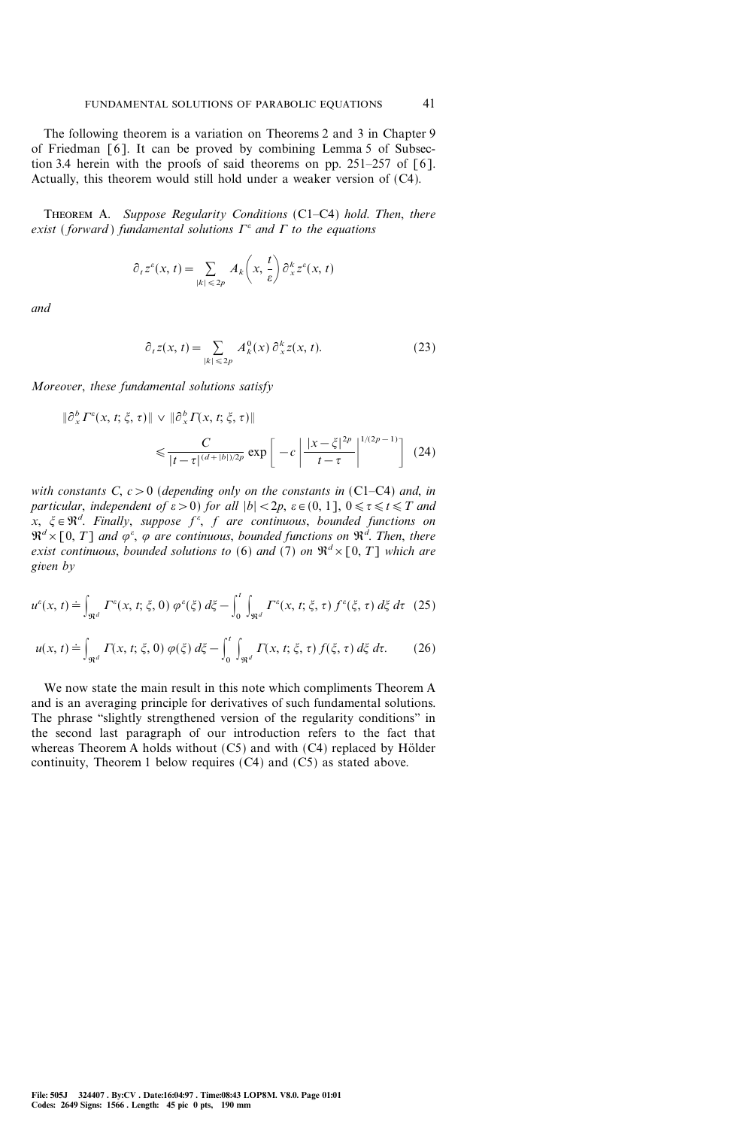The following theorem is a variation on Theorems 2 and 3 in Chapter 9 of Friedman [6]. It can be proved by combining Lemma 5 of Subsection 3.4 herein with the proofs of said theorems on pp. 251-257 of  $\lceil 6 \rceil$ . Actually, this theorem would still hold under a weaker version of (C4).

THEOREM A. Suppose Regularity Conditions (C1-C4) hold. Then, there exist (forward) fundamental solutions  $\Gamma^{\varepsilon}$  and  $\Gamma$  to the equations

$$
\partial_t z^{\varepsilon}(x, t) = \sum_{|k| \leq 2p} A_k\left(x, \frac{t}{\varepsilon}\right) \partial_x^k z^{\varepsilon}(x, t)
$$

and

$$
\partial_t z(x, t) = \sum_{|k| \leq 2p} A_k^0(x) \partial_x^k z(x, t). \tag{23}
$$

Moreover, these fundamental solutions satisfy

$$
\|\partial_x^b F^\varepsilon(x, t; \xi, \tau)\| \vee \|\partial_x^b F(x, t; \xi, \tau)\|
$$
  

$$
\leq \frac{C}{|t - \tau|^{(d + |b|)/2p}} \exp\left[-c\left|\frac{|x - \xi|^{2p}}{t - \tau}\right|^{1/(2p - 1)}\right] (24)
$$

with constants  $C, c > 0$  (depending only on the constants in (C1-C4) and, in particular, independent of  $\varepsilon > 0$ ) for all  $|b| < 2p$ ,  $\varepsilon \in (0, 1]$ ,  $0 \le \tau \le t \le T$  and x,  $\xi \in \mathbb{R}^d$ . Finally, suppose  $f^{\varepsilon}$ , f are continuous, bounded functions on  $\mathfrak{R}^d \times [0, T]$  and  $\varphi^{\varepsilon}$ ,  $\varphi$  are continuous, bounded functions on  $\mathfrak{R}^d$ . Then, there exist continuous, bounded solutions to (6) and (7) on  $\mathbb{R}^d \times [0, T]$  which are given by

$$
u^{\varepsilon}(x,t) \doteq \int_{\mathfrak{R}^d} \Gamma^{\varepsilon}(x,t;\xi,0) \, \varphi^{\varepsilon}(\xi) \, d\xi - \int_0^t \int_{\mathfrak{R}^d} \Gamma^{\varepsilon}(x,t;\xi,\tau) \, f^{\varepsilon}(\xi,\tau) \, d\xi \, d\tau \tag{25}
$$

$$
u(x, t) \doteq \int_{\Re^d} \Gamma(x, t; \xi, 0) \, \varphi(\xi) \, d\xi - \int_0^t \int_{\Re^d} \Gamma(x, t; \xi, \tau) \, f(\xi, \tau) \, d\xi \, d\tau. \tag{26}
$$

We now state the main result in this note which compliments Theorem A and is an averaging principle for derivatives of such fundamental solutions. The phrase "slightly strengthened version of the regularity conditions" in the second last paragraph of our introduction refers to the fact that whereas Theorem A holds without  $(C5)$  and with  $(C4)$  replaced by Hölder continuity, Theorem 1 below requires (C4) and (C5) as stated above.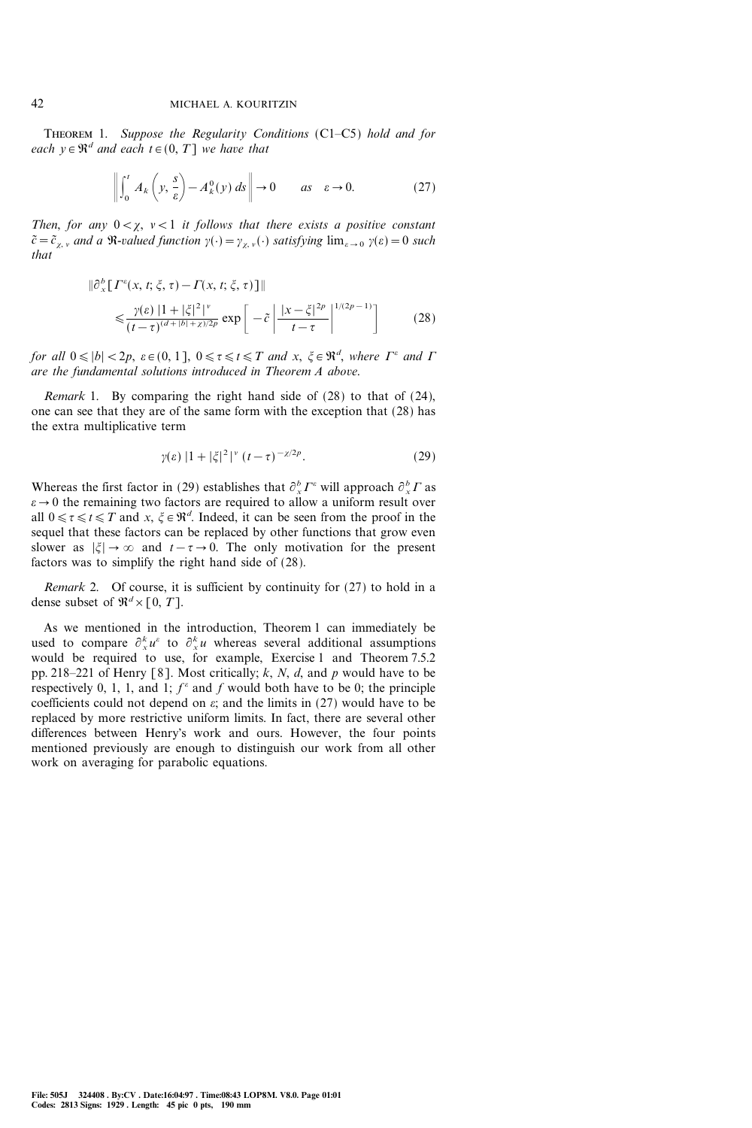THEOREM 1. Suppose the Regularity Conditions (C1-C5) hold and for each  $y \in \mathbb{R}^d$  and each  $t \in (0, T]$  we have that

$$
\left\| \int_0^t A_k \left( y, \frac{s}{\varepsilon} \right) - A_k^0(y) \, ds \right\| \to 0 \qquad \text{as} \quad \varepsilon \to 0. \tag{27}
$$

Then, for any  $0 < \chi$ ,  $\nu < 1$  it follows that there exists a positive constant  $\tilde{c}=\tilde{c}_{\chi,\nu}$  and a R-valued function  $\gamma(\cdot)=\gamma_{\chi,\nu}(\cdot)$  satisfying  $\lim_{\varepsilon\to 0} \gamma(\varepsilon)=0$  such that

$$
\|\partial_{x}^{b}[T^{e}(x, t; \xi, \tau) - T(x, t; \xi, \tau)]\|
$$
  
\$\leq \frac{\gamma(\varepsilon) |1 + |\xi|^{2}}{(t - \tau)^{(d + |b| + \chi)/2p}} \exp\left[-\tilde{c}\left|\frac{|x - \xi|^{2p}}{t - \tau}\right|^{1/(2p - 1)}\right] \qquad (28)\$

for all  $0 \leq |b| < 2p$ ,  $\varepsilon \in (0, 1]$ ,  $0 \leq \tau \leq t \leq T$  and  $x, \xi \in \mathbb{R}^d$ , where  $\Gamma^{\varepsilon}$  and  $\Gamma$ are the fundamental solutions introduced in Theorem A above.

Remark 1. By comparing the right hand side of (28) to that of (24), one can see that they are of the same form with the exception that (28) has the extra multiplicative term

$$
\gamma(\varepsilon) \, |1+|\xi|^2|^{\nu} \, (t-\tau)^{-\chi/2p}.\tag{29}
$$

Whereas the first factor in (29) establishes that  $\partial_x^b F^{\epsilon}$  will approach  $\partial_x^b F$  as  $\varepsilon \to 0$  the remaining two factors are required to allow a uniform result over all  $0 \le \tau \le t \le T$  and  $x, \xi \in \mathbb{R}^d$ . Indeed, it can be seen from the proof in the sequel that these factors can be replaced by other functions that grow even slower as  $|\xi| \to \infty$  and  $t-\tau \to 0$ . The only motivation for the present factors was to simplify the right hand side of (28).

Remark 2. Of course, it is sufficient by continuity for (27) to hold in a dense subset of  $\mathfrak{R}^d \times [0, T]$ .

As we mentioned in the introduction, Theorem 1 can immediately be used to compare  $\partial_x^k u^{\varepsilon}$  to  $\partial_x^k u$  whereas several additional assumptions would be required to use, for example, Exercise 1 and Theorem 7.5.2 pp. 218–221 of Henry [8]. Most critically; k, N, d, and p would have to be respectively 0, 1, 1, and 1;  $f^{\epsilon}$  and f would both have to be 0; the principle coefficients could not depend on  $\varepsilon$ ; and the limits in (27) would have to be replaced by more restrictive uniform limits. In fact, there are several other differences between Henry's work and ours. However, the four points mentioned previously are enough to distinguish our work from all other work on averaging for parabolic equations.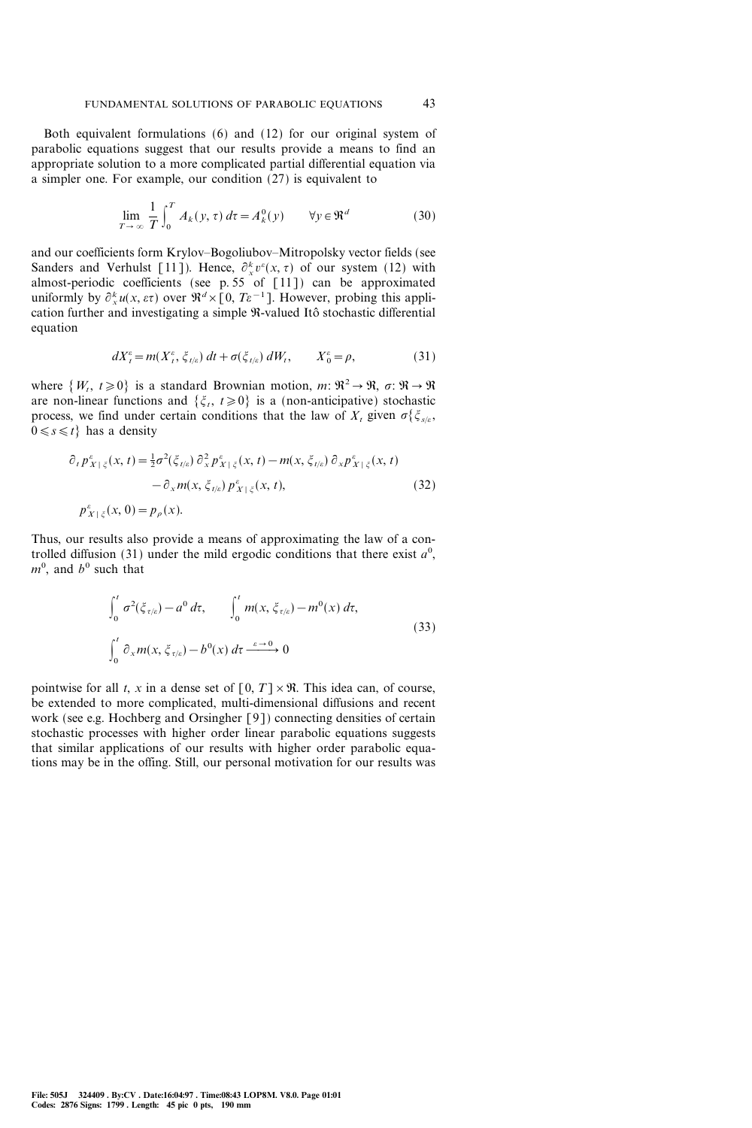Both equivalent formulations (6) and (12) for our original system of parabolic equations suggest that our results provide a means to find an appropriate solution to a more complicated partial differential equation via a simpler one. For example, our condition  $(27)$  is equivalent to

$$
\lim_{T \to \infty} \frac{1}{T} \int_0^T A_k(y, \tau) d\tau = A_k^0(y) \qquad \forall y \in \mathfrak{R}^d
$$
 (30)

and our coefficients form Krylov-Bogoliubov-Mitropolsky vector fields (see Sanders and Verhulst [11]). Hence,  $\partial_x^k v^{\varepsilon}(x, \tau)$  of our system (12) with almost-periodic coefficients (see p. 55 of [11]) can be approximated uniformly by  $\partial_x^k u(x, \varepsilon \tau)$  over  $\mathfrak{R}^d \times [0, T \varepsilon^{-1}]$ . However, probing this application further and investigating a simple  $\Re$ -valued Itô stochastic differential equation

$$
dX_t^{\varepsilon} = m(X_t^{\varepsilon}, \xi_{t/\varepsilon}) dt + \sigma(\xi_{t/\varepsilon}) dW_t, \qquad X_0^{\varepsilon} = \rho,
$$
 (31)

where  $\{W_t, t\geq0\}$  is a standard Brownian motion, m:  $\mathfrak{R}^2\to\mathfrak{R}, \sigma: \mathfrak{R}\to\mathfrak{R}$ are non-linear functions and  $\{\xi_t, t\geq0\}$  is a (non-anticipative) stochastic process, we find under certain conditions that the law of  $X_t$  given  $\sigma\{\xi_{s/\varepsilon},\xi\}$  $0 \le s \le t$  has a density

$$
\partial_t p_{X|\xi}^{\varepsilon}(x,t) = \frac{1}{2}\sigma^2(\xi_{t/\varepsilon}) \partial_x^2 p_{X|\xi}^{\varepsilon}(x,t) - m(x,\xi_{t/\varepsilon}) \partial_x p_{X|\xi}^{\varepsilon}(x,t) \n- \partial_x m(x,\xi_{t/\varepsilon}) p_{X|\xi}^{\varepsilon}(x,t),
$$
\n(32)

Thus, our results also provide a means of approximating the law of a controlled diffusion (31) under the mild ergodic conditions that there exist  $a^0$ ,  $m^0$ , and  $b^0$  such that

$$
\int_{0}^{t} \sigma^{2}(\xi_{\tau/\varepsilon}) - a^{0} d\tau, \qquad \int_{0}^{t} m(x, \xi_{\tau/\varepsilon}) - m^{0}(x) d\tau,
$$
\n
$$
\int_{0}^{t} \partial_{x} m(x, \xi_{\tau/\varepsilon}) - b^{0}(x) d\tau \xrightarrow{\varepsilon \to 0} 0
$$
\n(33)

pointwise for all t, x in a dense set of  $[0, T] \times \mathbb{R}$ . This idea can, of course, be extended to more complicated, multi-dimensional diffusions and recent work (see e.g. Hochberg and Orsingher [9]) connecting densities of certain stochastic processes with higher order linear parabolic equations suggests that similar applications of our results with higher order parabolic equations may be in the offing. Still, our personal motivation for our results was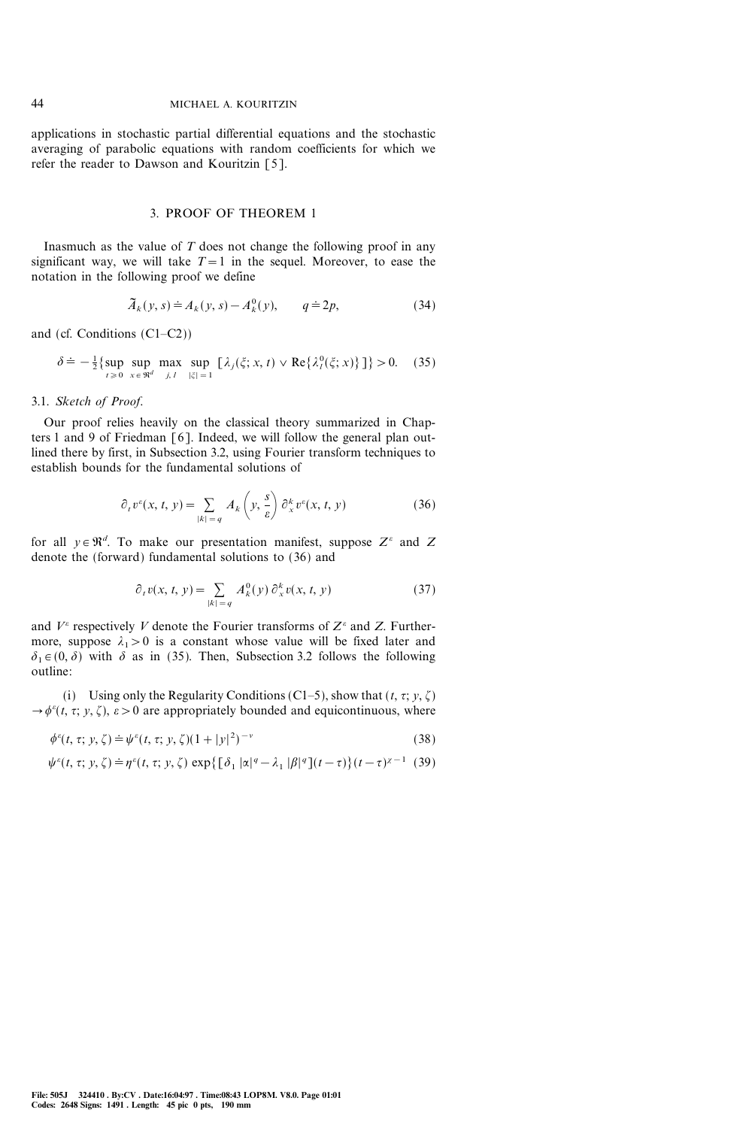applications in stochastic partial differential equations and the stochastic averaging of parabolic equations with random coefficients for which we refer the reader to Dawson and Kouritzin [5].

#### 3. PROOF OF THEOREM 1

Inasmuch as the value of  $T$  does not change the following proof in any significant way, we will take  $T=1$  in the sequel. Moreover, to ease the notation in the following proof we define

$$
\widetilde{A}_k(y,s) \doteq A_k(y,s) - A_k^0(y), \qquad q \doteq 2p,\tag{34}
$$

and (cf. Conditions  $(C1-C2)$ )

$$
\delta \doteq -\frac{1}{2} \{ \sup_{t \geq 0} \sup_{x \in \mathfrak{R}^d} \max_{j,l} \sup_{|\xi|=1} \left[ \lambda_j(\xi; x, t) \vee \text{Re} \{ \lambda_l^0(\xi; x) \} \right] \} > 0. \quad (35)
$$

# 3.1. Sketch of Proof.

Our proof relies heavily on the classical theory summarized in Chapters 1 and 9 of Friedman [6]. Indeed, we will follow the general plan outlined there by first, in Subsection 3.2, using Fourier transform techniques to establish bounds for the fundamental solutions of

$$
\partial_t v^{\varepsilon}(x, t, y) = \sum_{|k| = q} A_k \left(y, \frac{s}{\varepsilon}\right) \partial_x^k v^{\varepsilon}(x, t, y) \tag{36}
$$

for all  $y \in \mathbb{R}^d$ . To make our presentation manifest, suppose  $Z^e$  and Z denote the (forward) fundamental solutions to (36) and

$$
\partial_t v(x, t, y) = \sum_{|k| = q} A_k^0(y) \partial_x^k v(x, t, y)
$$
 (37)

and  $V^{\varepsilon}$  respectively V denote the Fourier transforms of  $Z^{\varepsilon}$  and Z. Furthermore, suppose  $\lambda_1 > 0$  is a constant whose value will be fixed later and  $\delta_1 \in (0, \delta)$  with  $\delta$  as in (35). Then, Subsection 3.2 follows the following outline:

(i) Using only the Regularity Conditions (C1-5), show that  $(t, \tau; y, \zeta)$  $\rightarrow \phi^{\epsilon}(t, \tau; y, \zeta), \epsilon > 0$  are appropriately bounded and equicontinuous, where

$$
\phi^{\epsilon}(t, \tau; y, \zeta) \doteq \psi^{\epsilon}(t, \tau; y, \zeta)(1+|y|^2)^{-\nu}
$$
\n(38)

$$
\psi^{\varepsilon}(t,\tau;y,\zeta) \doteq \eta^{\varepsilon}(t,\tau;y,\zeta) \, \exp\big\{ \big[\delta_1 |\alpha|^q - \lambda_1 |\beta|^q \big](t-\tau) \big\} (t-\tau)^{\chi-1} \tag{39}
$$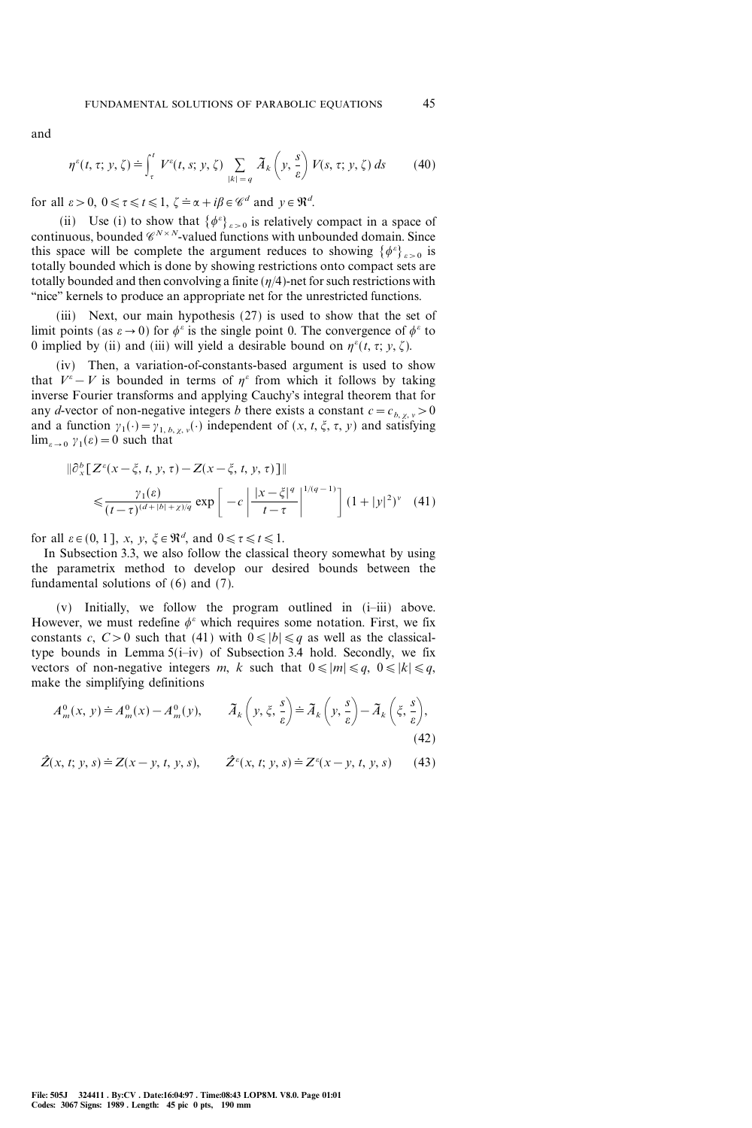and

$$
\eta^{\varepsilon}(t,\tau;y,\zeta) \doteq \int_{\tau}^{t} V^{\varepsilon}(t,s;y,\zeta) \sum_{|k|=q} \widetilde{A}_{k}\left(y,\frac{s}{\varepsilon}\right) V(s,\tau;y,\zeta) ds \qquad (40)
$$

for all  $\varepsilon > 0$ ,  $0 \le \tau \le t \le 1$ ,  $\zeta = \alpha + i\beta \in \mathcal{C}^d$  and  $y \in \mathbb{R}^d$ .

(ii) Use (i) to show that  $\{\phi^{\varepsilon}\}_{\varepsilon>0}$  is relatively compact in a space of continuous, bounded  $\mathscr{C}^{N\times N}$ -valued functions with unbounded domain. Since this space will be complete the argument reduces to showing  $\{\phi^{\varepsilon}\}_{\varepsilon>0}$  is totally bounded which is done by showing restrictions onto compact sets are totally bounded and then convolving a finite  $(\eta/4)$ -net for such restrictions with "nice" kernels to produce an appropriate net for the unrestricted functions.

(iii) Next, our main hypothesis (27) is used to show that the set of limit points (as  $\varepsilon \to 0$ ) for  $\phi^{\varepsilon}$  is the single point 0. The convergence of  $\phi^{\varepsilon}$  to 0 implied by (ii) and (iii) will yield a desirable bound on  $\eta^{\varepsilon}(t, \tau; y, \zeta)$ .

(iv) Then, a variation-of-constants-based argument is used to show that  $V^{\varepsilon} - V$  is bounded in terms of  $\eta^{\varepsilon}$  from which it follows by taking inverse Fourier transforms and applying Cauchy's integral theorem that for any d-vector of non-negative integers b there exists a constant  $c=c_{b, \chi, v}>0$ and a function  $\gamma_1(\cdot) = \gamma_{1, b, \chi, v}(\cdot)$  independent of  $(x, t, \xi, \tau, y)$  and satisfying  $\lim_{\epsilon \to 0} \gamma_1(\epsilon) = 0$  such that

$$
\|\partial_x^b \left[ Z^{\varepsilon}(x - \xi, t, y, \tau) - Z(x - \xi, t, y, \tau) \right] \| \leq \frac{\gamma_1(\varepsilon)}{(t - \tau)^{(d + |b| + \chi)/q}} \exp \left[ -c \left| \frac{|x - \xi|^q}{t - \tau} \right|^{1/(q - 1)} \right] (1 + |y|^2)^{\nu} \quad (41)
$$

for all  $\varepsilon \in (0, 1]$ ,  $x, y, \xi \in \Re^d$ , and  $0 \le \tau \le t \le 1$ .

In Subsection 3.3, we also follow the classical theory somewhat by using the parametrix method to develop our desired bounds between the fundamental solutions of  $(6)$  and  $(7)$ .

(v) Initially, we follow the program outlined in  $(i-iii)$  above. However, we must redefine  $\phi^{\varepsilon}$  which requires some notation. First, we fix constants c,  $C>0$  such that (41) with  $0 \le |b| \le q$  as well as the classicaltype bounds in Lemma  $5(i-iv)$  of Subsection 3.4 hold. Secondly, we fix vectors of non-negative integers m, k such that  $0 \le |m| \le q$ ,  $0 \le |k| \le q$ , make the simplifying definitions

$$
A_m^0(x, y) \doteq A_m^0(x) - A_m^0(y), \qquad \tilde{A}_k\left(y, \xi, \frac{s}{\varepsilon}\right) \doteq \tilde{A}_k\left(y, \frac{s}{\varepsilon}\right) - \tilde{A}_k\left(\xi, \frac{s}{\varepsilon}\right),\tag{42}
$$

 $\hat{Z}(x, t; y, s) \doteq Z(x - y, t, y, s),$  $(x, t; y, s) \doteq Z^{\varepsilon}(x - y, t, y, s)$  (43)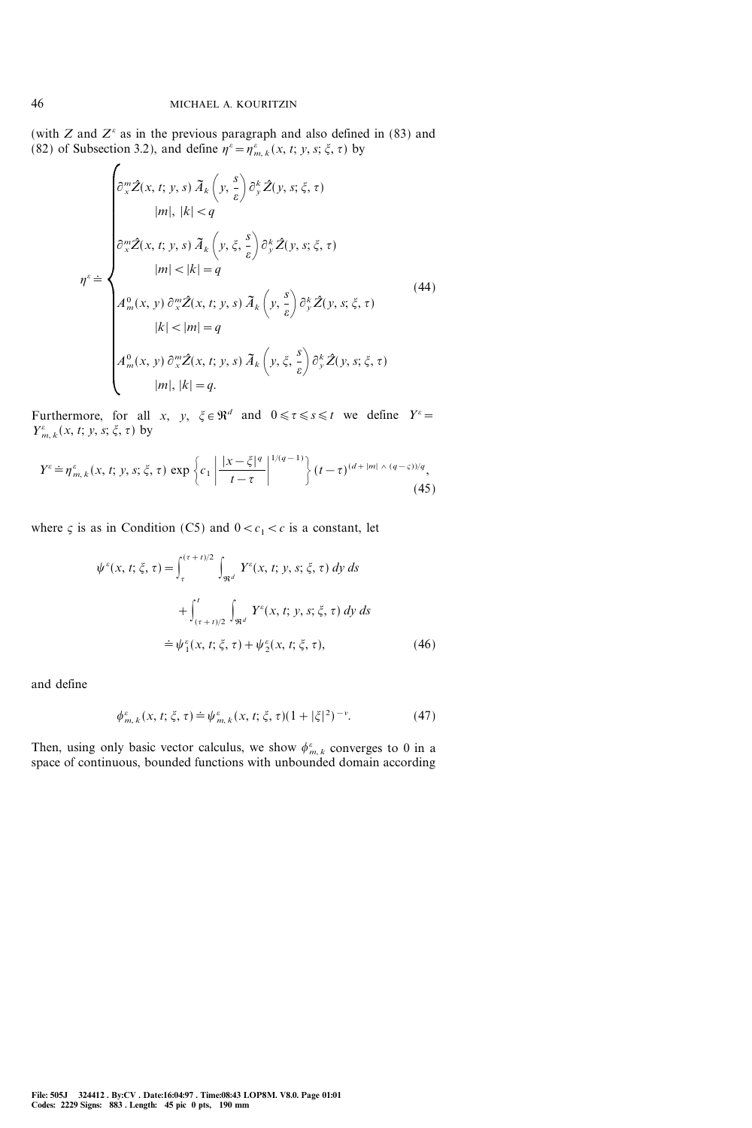(with Z and  $Z^{\varepsilon}$  as in the previous paragraph and also defined in (83) and (82) of Subsection 3.2), and define  $\eta^{\varepsilon} = \eta^{\varepsilon}_{m,k}(x, t; y, s; \xi, \tau)$  by

$$
\begin{cases}\n\frac{\partial_{x}^{m}\hat{Z}(x,t;y,s) \tilde{A}_{k}\left(y,\frac{s}{\varepsilon}\right) \partial_{y}^{k}\hat{Z}(y,s;\xi,\tau) \\
|m|,|k| < q \\
\frac{\partial_{x}^{m}\hat{Z}(x,t;y,s) \tilde{A}_{k}\left(y,\xi,\frac{s}{\varepsilon}\right) \partial_{y}^{k}\hat{Z}(y,s;\xi,\tau) \\
|m| < |k| = q \\
A_{m}^{0}(x,y) \partial_{x}^{m}\hat{Z}(x,t;y,s) \tilde{A}_{k}\left(y,\frac{s}{\varepsilon}\right) \partial_{y}^{k}\hat{Z}(y,s;\xi,\tau) \\
|k| < |m| = q \\
A_{m}^{0}(x,y) \partial_{x}^{m}\hat{Z}(x,t;y,s) \tilde{A}_{k}\left(y,\xi,\frac{s}{\varepsilon}\right) \partial_{y}^{k}\hat{Z}(y,s;\xi,\tau) \\
|m|,|k| = q.\n\end{cases}
$$
\n(44)

Furthermore, for all x, y,  $\xi \in \mathbb{R}^d$  and  $0 \le \tau \le s \le t$  we define  $Y^e =$  $Y^{\varepsilon}_{m, k}(x, t; y, s; \xi, \tau)$  by

$$
Y^{\varepsilon} \doteq \eta_{m,k}^{\varepsilon}(x,t; y,s;\xi,\tau) \exp\left\{c_1 \left|\frac{|x-\xi|^q}{t-\tau}\right|^{1/(q-1)}\right\}(t-\tau)^{(d+|m|)(q-\varsigma))/q},\tag{45}
$$

where  $\varsigma$  is as in Condition (C5) and  $0 < c_1 < c$  is a constant, let

$$
\psi^{\varepsilon}(x, t; \xi, \tau) = \int_{\tau}^{(\tau + t)/2} \int_{\Re^d} Y^{\varepsilon}(x, t; y, s; \xi, \tau) dy ds \n+ \int_{(\tau + t)/2}^{t} \int_{\Re^d} Y^{\varepsilon}(x, t; y, s; \xi, \tau) dy ds \n= \psi_1^{\varepsilon}(x, t; \xi, \tau) + \psi_2^{\varepsilon}(x, t; \xi, \tau),
$$
\n(46)

and define

$$
\phi_{m,k}^{\varepsilon}(x,t;\xi,\tau) \doteq \psi_{m,k}^{\varepsilon}(x,t;\xi,\tau)(1+|\xi|^2)^{-\nu}.
$$
 (47)

Then, using only basic vector calculus, we show  $\phi_{m,k}^{\varepsilon}$  converges to 0 in a space of continuous, bounded functions with unbounded domain according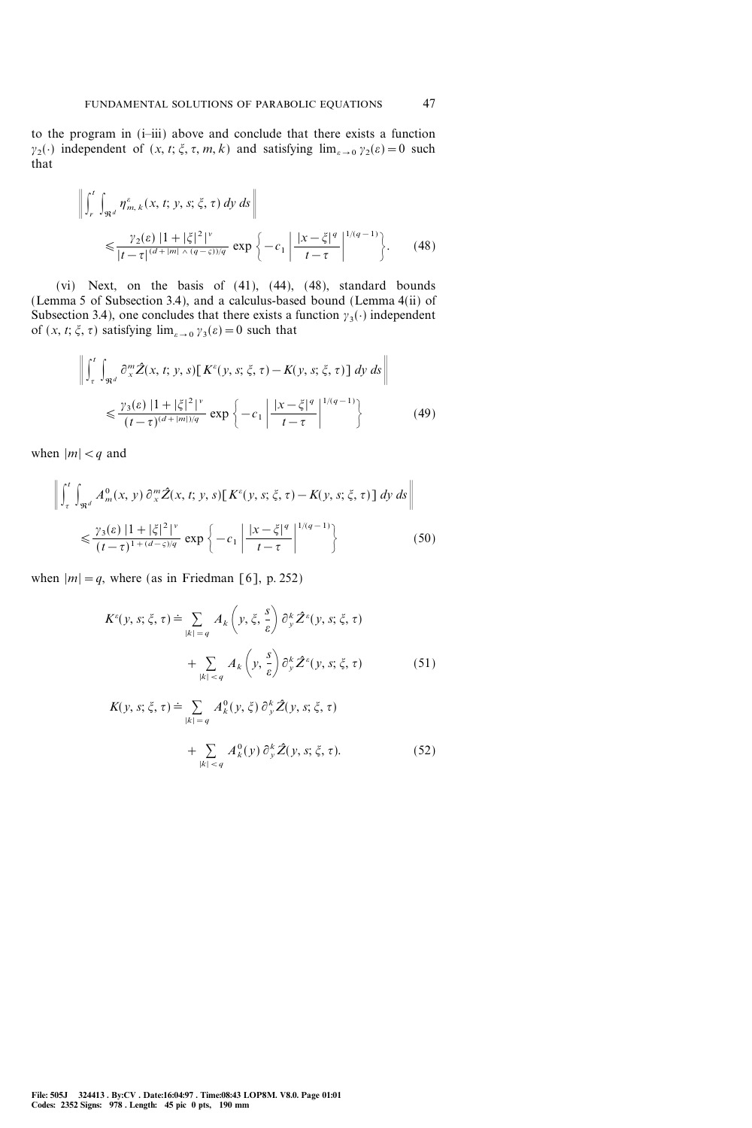to the program in (i-iii) above and conclude that there exists a function  $y_2(\cdot)$  independent of  $(x, t; \xi, \tau, m, k)$  and satisfying  $\lim_{\epsilon \to 0} y_2(\epsilon) = 0$  such that

$$
\left\| \int_{r}^{t} \int_{\Re^{d}} \eta_{m,k}^{\varepsilon}(x,t;y,s;\xi,\tau) \, dy \, ds \right\|
$$
  

$$
\leq \frac{\gamma_{2}(\varepsilon) \left| 1 + |\xi|^{2} \right|^{ \nu}}{|t-\tau|^{(d+|m|)(q-\varsigma))/q}} \exp \left\{-c_{1} \left| \frac{|x-\xi|^{q}}{t-\tau} \right|^{1/(q-1)} \right\}. \tag{48}
$$

(vi) Next, on the basis of (41), (44), (48), standard bounds (Lemma 5 of Subsection 3.4), and a calculus-based bound (Lemma 4(ii) of Subsection 3.4), one concludes that there exists a function  $\gamma_3(\cdot)$  independent of  $(x, t; \xi, \tau)$  satisfying  $\lim_{\varepsilon \to 0} \gamma_3(\varepsilon) = 0$  such that

$$
\left\| \int_{\tau}^{t} \int_{\Re^{d}} \partial_{x}^{m} \hat{Z}(x, t; y, s) \left[ K^{\varepsilon}(y, s; \xi, \tau) - K(y, s; \xi, \tau) \right] dy ds \right\|
$$
  

$$
\leq \frac{\gamma_{3}(\varepsilon) |1 + |\xi|^{2}}{(t - \tau)^{(d + |m|)/q}} \exp \left\{ -c_{1} \left| \frac{|x - \xi|^{q}}{t - \tau} \right|^{1/(q - 1)} \right\}
$$
(49)

when  $|m| < q$  and

$$
\left\| \int_{\tau}^{t} \int_{\Re^{d}} A_{m}^{0}(x, y) \, \partial_{x}^{m} \hat{Z}(x, t; y, s) \left[ K^{\varepsilon}(y, s; \xi, \tau) - K(y, s; \xi, \tau) \right] dy \, ds \right\|
$$
  

$$
\leq \frac{\gamma_{3}(\varepsilon) \, |1 + |\xi|^{2} |^{v}}{(t - \tau)^{1 + (d - \varsigma)/q}} \, \exp \left\{ -c_{1} \left| \frac{|x - \xi|^{q}}{t - \tau} \right|^{1/(q - 1)} \right\}
$$
(50)

when  $|m|=q$ , where (as in Friedman [6], p. 252)

$$
K^{\varepsilon}(y, s; \xi, \tau) \doteq \sum_{|k|=q} A_k \left( y, \xi, \frac{s}{\varepsilon} \right) \partial_y^k \hat{Z}^{\varepsilon}(y, s; \xi, \tau)
$$

$$
+ \sum_{|k| < q} A_k \left( y, \frac{s}{\varepsilon} \right) \partial_y^k \hat{Z}^{\varepsilon}(y, s; \xi, \tau) \tag{51}
$$

$$
K(y, s; \xi, \tau) \doteq \sum_{|k| = q} A_k^0(y, \xi) \partial_y^k \hat{Z}(y, s; \xi, \tau)
$$

$$
+ \sum_{|k| < q} A_k^0(y) \partial_y^k \hat{Z}(y, s; \xi, \tau). \tag{52}
$$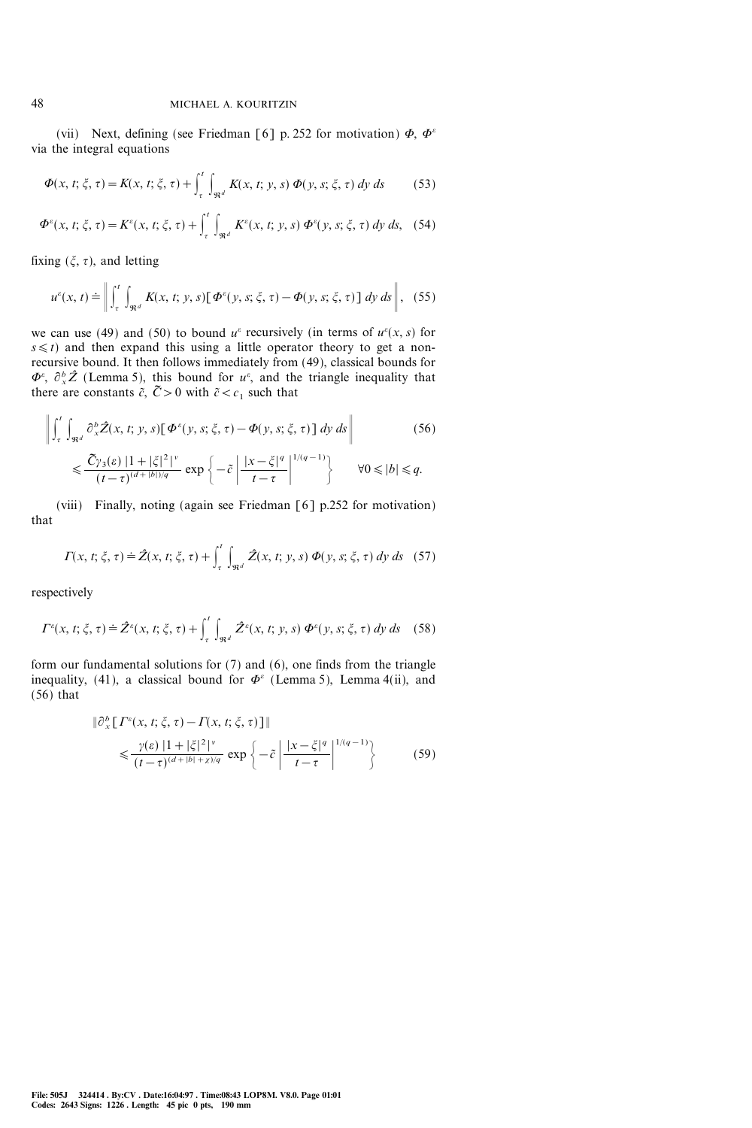(vii) Next, defining (see Friedman [6] p. 252 for motivation)  $\Phi$ ,  $\Phi^{\varepsilon}$ via the integral equations

$$
\Phi(x, t; \xi, \tau) = K(x, t; \xi, \tau) + \int_{\tau}^{t} \int_{\Re^{d}} K(x, t; y, s) \Phi(y, s; \xi, \tau) dy ds
$$
 (53)

$$
\Phi^{\varepsilon}(x, t; \xi, \tau) = K^{\varepsilon}(x, t; \xi, \tau) + \int_{\tau}^{t} \int_{\Re^{d}} K^{\varepsilon}(x, t; y, s) \Phi^{\varepsilon}(y, s; \xi, \tau) dy ds, \quad (54)
$$

fixing  $(\xi, \tau)$ , and letting

$$
u^{\varepsilon}(x,t) \doteq \left\| \int_{\tau}^{t} \int_{\Re^{d}} K(x,t;y,s) \left[ \Phi^{\varepsilon}(y,s;\xi,\tau) - \Phi(y,s;\xi,\tau) \right] dy ds \right\|, (55)
$$

we can use (49) and (50) to bound  $u^{\varepsilon}$  recursively (in terms of  $u^{\varepsilon}(x, s)$  for  $s \leq t$ ) and then expand this using a little operator theory to get a nonrecursive bound. It then follows immediately from (49), classical bounds for  $\Phi^e$ ,  $\partial_x^b \hat{Z}$  (Lemma 5), this bound for  $u^e$ , and the triangle inequality that there are constants  $\tilde{c}$ ,  $\tilde{C} > 0$  with  $\tilde{c} < c_1$  such that

$$
\left\| \int_{\tau}^{t} \int_{\Re^{d}} \partial_{x}^{b} \hat{Z}(x, t; y, s) [\Phi^{\varepsilon}(y, s; \xi, \tau) - \Phi(y, s; \xi, \tau)] dy ds \right\|
$$
\n
$$
\leq \frac{\tilde{C} \gamma_{3}(\varepsilon) |1 + |\xi|^{2}}{(t - \tau)^{(d + |b|)/q}} \exp \left\{ -\tilde{c} \left| \frac{|x - \xi|^{q}}{t - \tau} \right|^{1/(q - 1)} \right\} \qquad \forall 0 \leq |b| \leq q.
$$
\n(56)

(viii) Finally, noting (again see Friedman [6] p.252 for motivation) that

$$
\Gamma(x, t; \xi, \tau) \doteq \hat{Z}(x, t; \xi, \tau) + \int_{\tau}^{t} \int_{\Re^{d}} \hat{Z}(x, t; y, s) \, \Phi(y, s; \xi, \tau) \, dy \, ds \quad (57)
$$

respectively

$$
\Gamma^{e}(x, t; \xi, \tau) \doteq \hat{Z}^{e}(x, t; \xi, \tau) + \int_{\tau}^{t} \int_{\Re^{d}} \hat{Z}^{e}(x, t; y, s) \, \Phi^{e}(y, s; \xi, \tau) \, dy \, ds \quad (58)
$$

form our fundamental solutions for (7) and (6), one finds from the triangle inequality, (41), a classical bound for  $\Phi^{\varepsilon}$  (Lemma 5), Lemma 4(ii), and  $(56)$  that

$$
\|\partial_x^b \left[ \Gamma^\varepsilon(x, t; \xi, \tau) - \Gamma(x, t; \xi, \tau) \right] \|
$$
  
\$\leqslant \frac{\gamma(\varepsilon) \left[ 1 + |\xi|^2 \right]^\nu \left[ \left( \frac{x - \xi}{\varepsilon} \right) - \left( \frac{x - \xi}{\varepsilon} \right) \right]^{1/(q-1)} \left\} \qquad (59)\$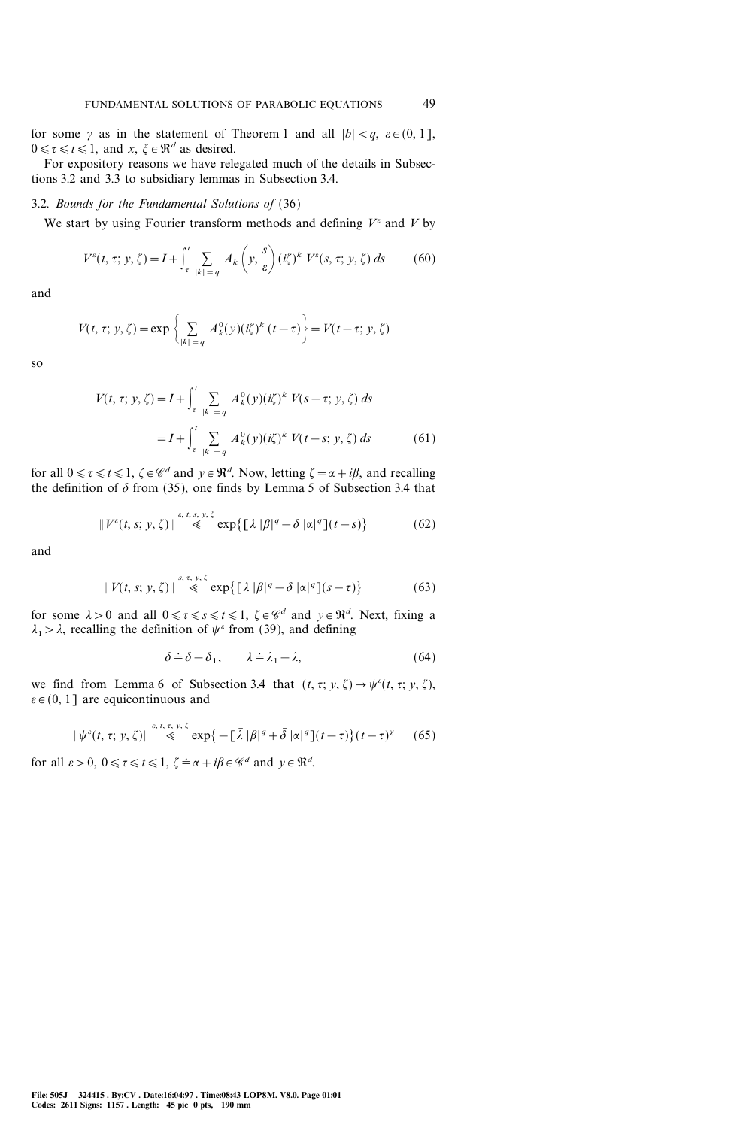for some  $\gamma$  as in the statement of Theorem 1 and all  $|b| < q$ ,  $\varepsilon \in (0, 1]$ ,  $0 \le \tau \le t \le 1$ , and  $x, \xi \in \mathbb{R}^d$  as desired.

For expository reasons we have relegated much of the details in Subsections 3.2 and 3.3 to subsidiary lemmas in Subsection 3.4.

# 3.2. Bounds for the Fundamental Solutions of (36)

We start by using Fourier transform methods and defining  $V^{\varepsilon}$  and V by

$$
V^{\varepsilon}(t, \tau; y, \zeta) = I + \int_{\tau}^{t} \sum_{|k| = q} A_k \left( y, \frac{s}{\varepsilon} \right) (i\zeta)^k V^{\varepsilon}(s, \tau; y, \zeta) ds \tag{60}
$$

and

$$
V(t, \tau; y, \zeta) = \exp\left\{\sum_{|k|=q} A_k^0(y)(i\zeta)^k (t-\tau)\right\} = V(t-\tau; y, \zeta)
$$

so

$$
V(t, \tau; y, \zeta) = I + \int_{\tau}^{t} \sum_{|k| = q} A_{k}^{0}(y)(i\zeta)^{k} V(s - \tau; y, \zeta) ds
$$
  
=  $I + \int_{\tau}^{t} \sum_{|k| = q} A_{k}^{0}(y)(i\zeta)^{k} V(t - s; y, \zeta) ds$  (61)

for all  $0 \le \tau \le t \le 1$ ,  $\zeta \in \mathcal{C}^d$  and  $y \in \mathbb{R}^d$ . Now, letting  $\zeta = \alpha + i\beta$ , and recalling the definition of  $\delta$  from (35), one finds by Lemma 5 of Subsection 3.4 that

$$
\|V^{\varepsilon}(t,s;y,\zeta)\| \stackrel{\varepsilon,\,t,\,s,\,y,\,\zeta}{\ll} \exp\bigl\{\bigl[\lambda\,|\beta|^q - \delta\,|\alpha|^q\bigr](t-s)\bigr\} \tag{62}
$$

and

$$
\|V(t,s; y, \zeta)\| \stackrel{s, \tau, y, \zeta}{\leq} \exp\{\left[\lambda |\beta|^q - \delta |\alpha|^q\right](s-\tau)\}\tag{63}
$$

for some  $\lambda > 0$  and all  $0 \le \tau \le s \le t \le 1$ ,  $\zeta \in \mathscr{C}^d$  and  $y \in \mathbb{R}^d$ . Next, fixing a  $\lambda_1 > \lambda$ , recalling the definition of  $\psi^{\varepsilon}$  from (39), and defining

$$
\bar{\delta} \doteq \delta - \delta_1, \qquad \bar{\lambda} \doteq \lambda_1 - \lambda,\tag{64}
$$

we find from Lemma 6 of Subsection 3.4 that  $(t, \tau; y, \zeta) \rightarrow \psi^{\varepsilon}(t, \tau; y, \zeta)$ ,  $\varepsilon \in (0, 1]$  are equicontinuous and

$$
\|\psi^{\varepsilon}(t,\tau; y,\zeta)\| \stackrel{\varepsilon,\,t,\,\tau,\,y,\,\zeta}{\ll} \exp\big\{-\big[\,\bar{\lambda}\,|\beta|^q + \bar{\delta}\,|\alpha|^q\big](t-\tau)\big\}\, (t-\tau)^{\chi} \qquad (65)
$$

for all  $\varepsilon > 0$ ,  $0 \le \tau \le t \le 1$ ,  $\zeta = \alpha + i\beta \in \mathcal{C}^d$  and  $y \in \mathbb{R}^d$ .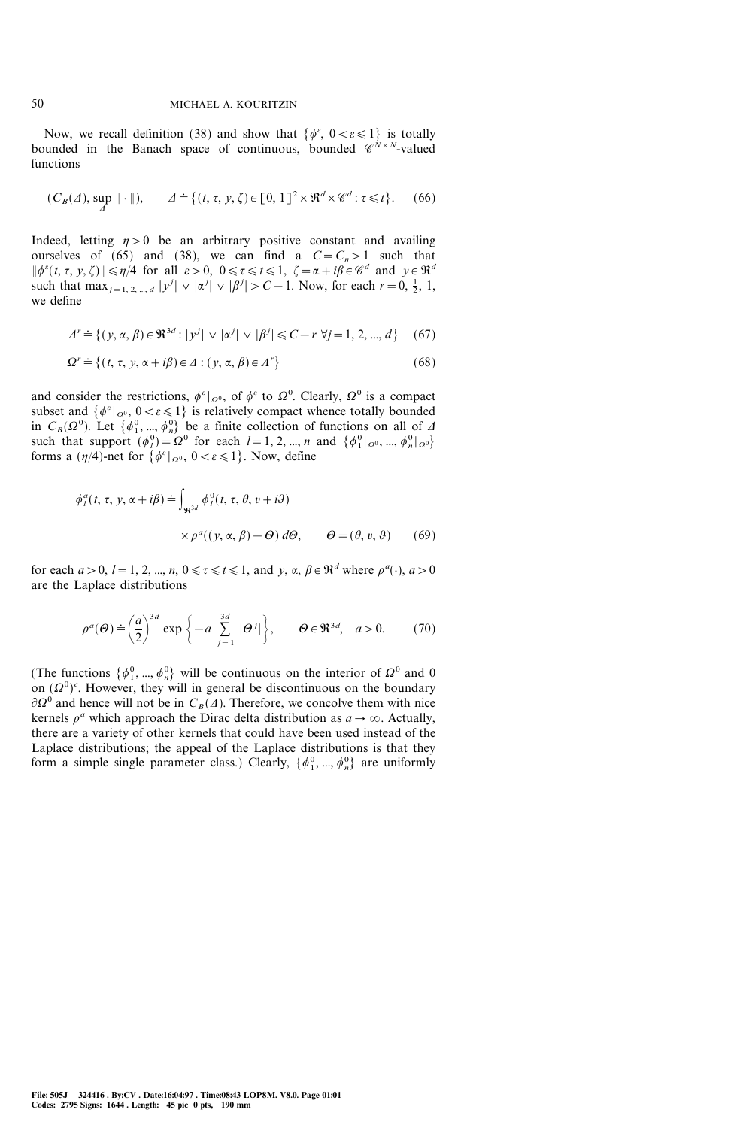Now, we recall definition (38) and show that  $\{\phi^{\varepsilon}, 0 < \varepsilon \leq 1\}$  is totally bounded in the Banach space of continuous, bounded  $\mathscr{C}^{N\times N}$ -valued functions

$$
(C_B(\Lambda), \sup_{\Lambda} \|\cdot\|), \qquad \Lambda \doteq \{(t, \tau, y, \zeta) \in [0, 1]^2 \times \Re^d \times \mathcal{C}^d : \tau \leq t\}.
$$
 (66)

Indeed, letting  $\eta > 0$  be an arbitrary positive constant and availing ourselves of (65) and (38), we can find a  $C = C_{\eta} > 1$  such that  $\|\phi^{\varepsilon}(t, \tau, y, \zeta)\| \leq \eta/4$  for all  $\varepsilon > 0$ ,  $0 \leq \tau \leq t \leq 1$ ,  $\zeta = \alpha + i\beta \in \mathscr{C}^d$  and  $y \in \Re^d$ such that max<sub>j=1, 2, ..., d</sub>  $|y^j| \vee |\alpha^j| \vee |\beta^j| > C - 1$ . Now, for each  $r = 0, \frac{1}{2}, 1$ , we define

$$
A^r \doteq \{ (y, \alpha, \beta) \in \mathfrak{R}^{3d} : |y^j| \lor |\alpha^j| \lor |\beta^j| \le C - r \ \forall j = 1, 2, ..., d \} \tag{67}
$$

$$
\Omega^r \doteq \{(t, \tau, y, \alpha + i\beta) \in \varDelta : (y, \alpha, \beta) \in \varLambda^r\}
$$
\n(68)

and consider the restrictions,  $\phi^{\varepsilon}|_{\Omega^0}$ , of  $\phi^{\varepsilon}$  to  $\Omega^0$ . Clearly,  $\Omega^0$  is a compact subset and  $\{\phi^{\varepsilon}|_{\Omega^0}, 0 < \varepsilon \leq 1\}$  is relatively compact whence totally bounded in  $C_B(\Omega^0)$ . Let  $\{\phi_1^0, ..., \phi_n^0\}$  be a finite collection of functions on all of  $\Delta$ such that support  $(\phi_l^0) = \Omega^0$  for each  $l = 1, 2, ..., n$  and  $\{\phi_1^0 |_{\Omega^0}, ..., \phi_n^0 |_{\Omega^0}\}$ forms a  $(\eta/4)$ -net for  $\{\phi^{\varepsilon}|_{\Omega^0}, 0 < \varepsilon \le 1\}$ . Now, define

$$
\phi_l^a(t, \tau, y, \alpha + i\beta) \doteq \int_{\Re^{3d}} \phi_l^0(t, \tau, \theta, v + i\theta)
$$
  
 
$$
\times \rho^a((y, \alpha, \beta) - \Theta) d\Theta, \qquad \Theta = (\theta, v, \theta) \qquad (69)
$$

for each  $a > 0$ ,  $l = 1, 2, ..., n$ ,  $0 \le \tau \le t \le 1$ , and y,  $\alpha, \beta \in \mathbb{R}^d$  where  $\rho^a(\cdot), a > 0$ are the Laplace distributions

$$
\rho^a(\Theta) \doteq \left(\frac{a}{2}\right)^{3d} \exp\left\{-a \sum_{j=1}^{3d} |\Theta^j|\right\}, \qquad \Theta \in \mathfrak{R}^{3d}, \quad a > 0. \tag{70}
$$

(The functions  $\{\phi_1^0, ..., \phi_n^0\}$  will be continuous on the interior of  $\Omega^0$  and 0 on  $(\Omega^0)$ <sup>c</sup>. However, they will in general be discontinuous on the boundary  $\partial \Omega^0$  and hence will not be in  $C_B(\Lambda)$ . Therefore, we concolve them with nice kernels  $\rho^a$  which approach the Dirac delta distribution as  $a \to \infty$ . Actually, there are a variety of other kernels that could have been used instead of the Laplace distributions; the appeal of the Laplace distributions is that they form a simple single parameter class.) Clearly,  $\{\phi_1^0, ..., \phi_n^0\}$  are uniformly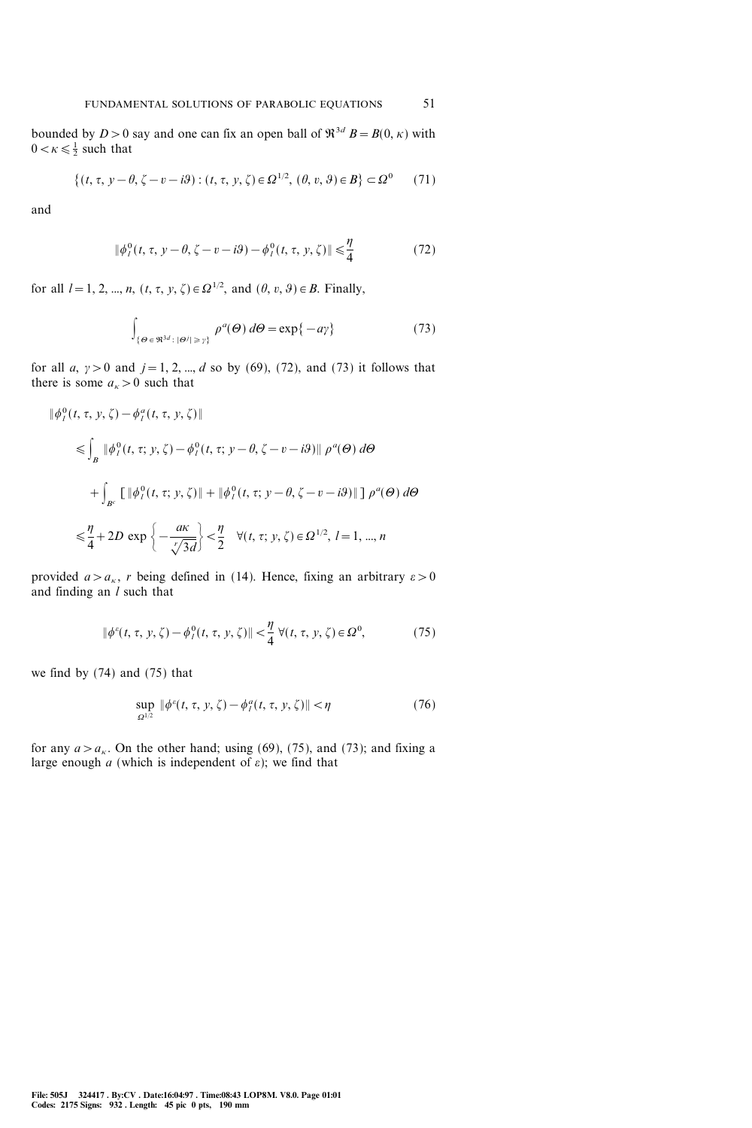bounded by  $D > 0$  say and one can fix an open ball of  $\mathfrak{R}^{3d}$   $B = B(0, \kappa)$  with  $0 < \kappa \leq \frac{1}{2}$  such that

$$
\{(t, \tau, y - \theta, \zeta - v - i\theta) : (t, \tau, y, \zeta) \in \Omega^{1/2}, (\theta, v, \theta) \in B\} \subset \Omega^0 \tag{71}
$$

and

$$
\|\phi_l^0(t, \tau, y - \theta, \zeta - v - i\theta) - \phi_l^0(t, \tau, y, \zeta)\| \le \frac{\eta}{4}
$$
 (72)

for all  $l = 1, 2, ..., n, (t, \tau, y, \zeta) \in \Omega^{1/2}$ , and  $(\theta, v, \theta) \in B$ . Finally,

$$
\int_{\{\Theta \in \mathfrak{R}^{3d} : |\Theta^j| \geq \gamma\}} \rho^a(\Theta) \, d\Theta = \exp\{-a\gamma\} \tag{73}
$$

for all a,  $y > 0$  and  $j = 1, 2, ..., d$  so by (69), (72), and (73) it follows that there is some  $a_{k}>0$  such that

$$
\begin{aligned} \|\phi_l^0(t, \tau, y, \zeta) - \phi_l^a(t, \tau, y, \zeta)\| \\ &\leq \int_B \|\phi_l^0(t, \tau, y, \zeta) - \phi_l^0(t, \tau, y - \theta, \zeta - v - i\theta)\| \rho^a(\Theta) \, d\Theta \\ &+ \int_{B^c} \left[ \|\phi_l^0(t, \tau, y, \zeta)\| + \|\phi_l^0(t, \tau, y - \theta, \zeta - v - i\theta)\| \right] \rho^a(\Theta) \, d\Theta \\ &\leq \frac{\eta}{4} + 2D \exp\left\{-\frac{a\kappa}{\sqrt{3d}}\right\} < \frac{\eta}{2} \quad \forall (t, \tau, y, \zeta) \in \Omega^{1/2}, \ l = 1, \dots, n \end{aligned}
$$

provided  $a > a_{\kappa}$ , r being defined in (14). Hence, fixing an arbitrary  $\varepsilon > 0$ and finding an  $l$  such that

$$
\|\phi^{e}(t, \tau, y, \zeta) - \phi^{0}_{l}(t, \tau, y, \zeta)\| < \frac{\eta}{4} \ \forall (t, \tau, y, \zeta) \in \Omega^{0},\tag{75}
$$

we find by (74) and (75) that

$$
\sup_{\Omega^{1/2}} \|\phi^e(t, \tau, y, \zeta) - \phi^a(t, \tau, y, \zeta)\| < \eta \tag{76}
$$

for any  $a > a_{\kappa}$ . On the other hand; using (69), (75), and (73); and fixing a large enough  $a$  (which is independent of  $\varepsilon$ ); we find that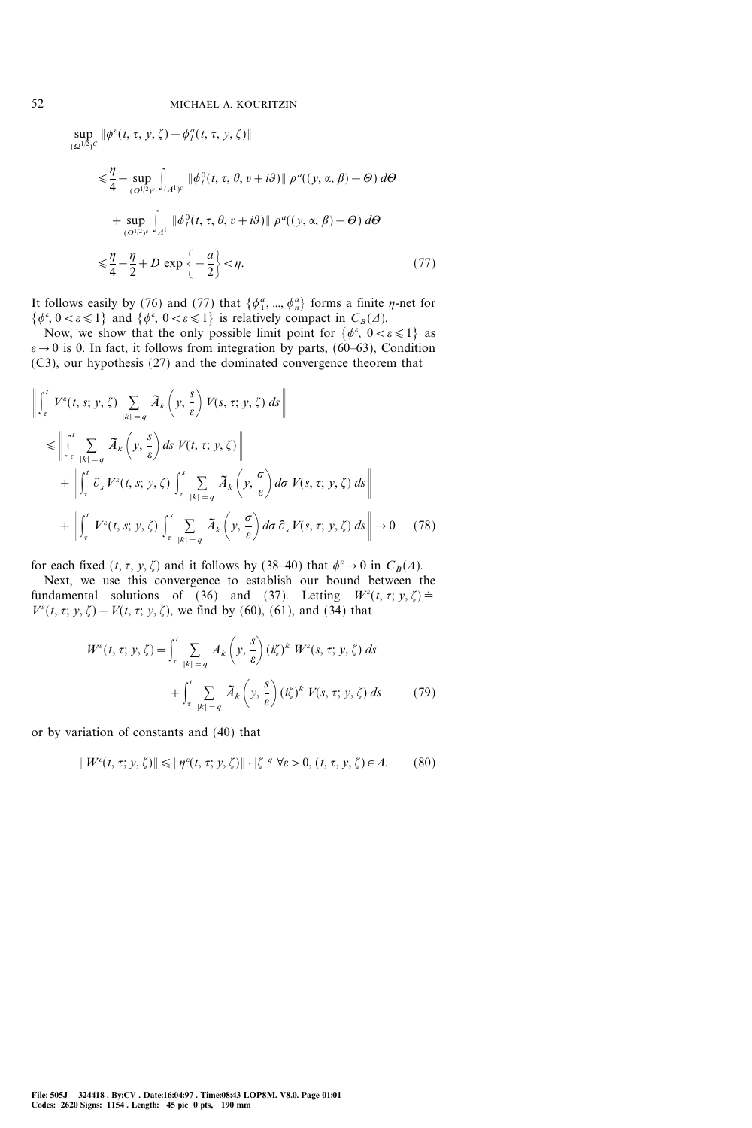$\sup_{t} || \phi^{\varepsilon}(t, \tau, y, \zeta) - \phi^{\varepsilon}_{l}(t, \tau, y, \zeta) ||$  $(\Omega^{1/2})^C$ 

$$
\leq \frac{\eta}{4} + \sup_{(\Omega^{1/2})^c} \int_{(A^1)^c} \|\phi_l^0(t, \tau, \theta, v + i\theta)\| \rho^a((y, \alpha, \beta) - \Theta) d\Theta
$$
  
+ 
$$
\sup_{(\Omega^{1/2})^c} \int_{A^1} \|\phi_l^0(t, \tau, \theta, v + i\theta)\| \rho^a((y, \alpha, \beta) - \Theta) d\Theta
$$
  

$$
\leq \frac{\eta}{4} + \frac{\eta}{2} + D \exp\left\{-\frac{a}{2}\right\} < \eta.
$$
 (77)

It follows easily by (76) and (77) that  $\{\phi_1^a, ..., \phi_n^a\}$  forms a finite  $\eta$ -net for  $\{\phi^{\varepsilon}, 0 < \varepsilon \leq 1\}$  and  $\{\phi^{\varepsilon}, 0 < \varepsilon \leq 1\}$  is relatively compact in  $C_B(\Lambda)$ .

Now, we show that the only possible limit point for  $\{\phi^{\varepsilon}, 0 < \varepsilon \leq 1\}$  as  $\varepsilon \to 0$  is 0. In fact, it follows from integration by parts, (60–63), Condition (C3), our hypothesis (27) and the dominated convergence theorem that

$$
\left\| \int_{\tau}^{t} V^{\varepsilon}(t, s; y, \zeta) \sum_{|k| = q} \widetilde{A}_{k} \left( y, \frac{s}{\varepsilon} \right) V(s, \tau; y, \zeta) ds \right\|
$$
  
\n
$$
\leq \left\| \int_{\tau}^{t} \sum_{|k| = q} \widetilde{A}_{k} \left( y, \frac{s}{\varepsilon} \right) ds V(t, \tau; y, \zeta) \right\|
$$
  
\n
$$
+ \left\| \int_{\tau}^{t} \partial_{s} V^{\varepsilon}(t, s; y, \zeta) \int_{\tau}^{s} \sum_{|k| = q} \widetilde{A}_{k} \left( y, \frac{\sigma}{\varepsilon} \right) d\sigma V(s, \tau; y, \zeta) ds \right\|
$$
  
\n
$$
+ \left\| \int_{\tau}^{t} V^{\varepsilon}(t, s; y, \zeta) \int_{\tau}^{s} \sum_{|k| = q} \widetilde{A}_{k} \left( y, \frac{\sigma}{\varepsilon} \right) d\sigma \, \partial_{s} V(s, \tau; y, \zeta) ds \right\| \to 0 \quad (78)
$$

for each fixed  $(t, \tau, y, \zeta)$  and it follows by (38–40) that  $\phi^{\varepsilon} \to 0$  in  $C_B(\Delta)$ .

Next, we use this convergence to establish our bound between the fundamental solutions of (36) and (37). Letting  $W^{\varepsilon}(t, \tau; y, \zeta) =$  $V^{\varepsilon}(t, \tau; y, \zeta) - V(t, \tau; y, \zeta)$ , we find by (60), (61), and (34) that

$$
W^{\varepsilon}(t, \tau; y, \zeta) = \int_{\tau}^{t} \sum_{|k| = q} A_{k} \left( y, \frac{s}{\varepsilon} \right) (i\zeta)^{k} W^{\varepsilon}(s, \tau; y, \zeta) ds
$$
  
+ 
$$
\int_{\tau}^{t} \sum_{|k| = q} \widetilde{A}_{k} \left( y, \frac{s}{\varepsilon} \right) (i\zeta)^{k} V(s, \tau; y, \zeta) ds
$$
(79)

or by variation of constants and (40) that

$$
||W^{\varepsilon}(t,\tau;y,\zeta)|| \le ||\eta^{\varepsilon}(t,\tau;y,\zeta)|| \cdot |\zeta|^q \ \forall \varepsilon > 0, \ (t,\tau,y,\zeta) \in \varDelta. \tag{80}
$$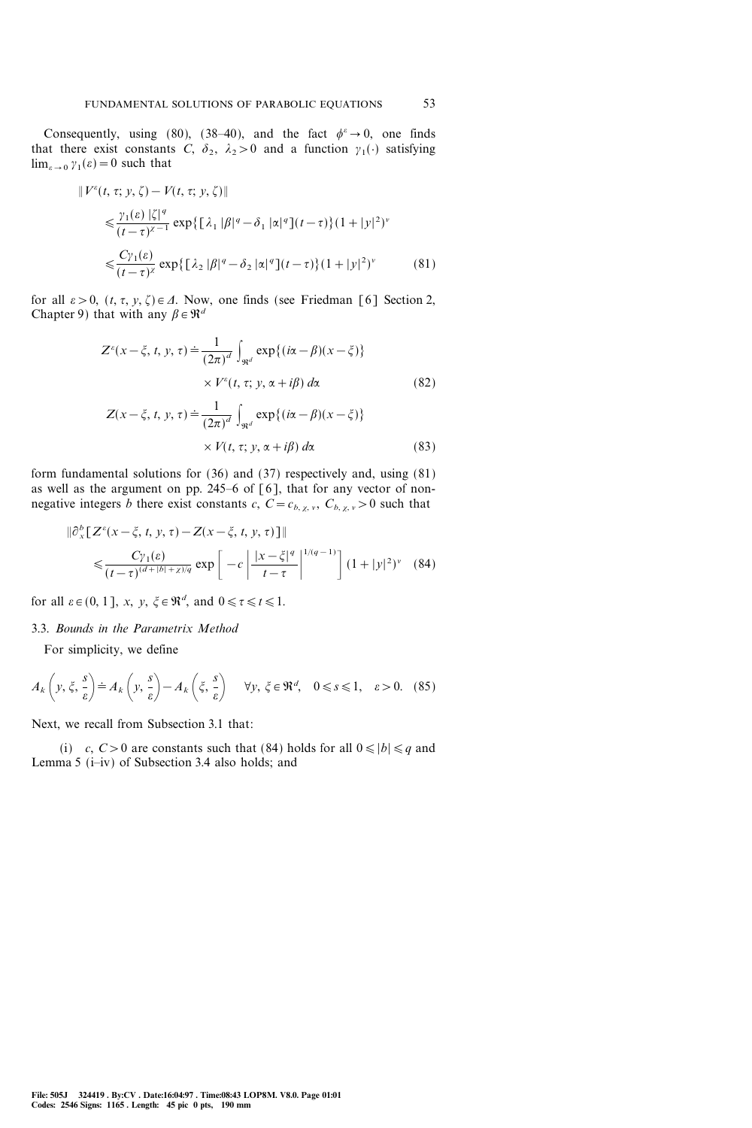Consequently, using (80), (38–40), and the fact  $\phi^e \rightarrow 0$ , one finds that there exist constants C,  $\delta_2$ ,  $\lambda_2 > 0$  and a function  $\gamma_1(\cdot)$  satisfying  $\lim_{\varepsilon\to 0} \gamma_1(\varepsilon)=0$  such that

$$
\|V^{\varepsilon}(t,\tau; y,\zeta) - V(t,\tau; y,\zeta)\|
$$
  
\n
$$
\leq \frac{\gamma_{1}(\varepsilon) |\zeta|^{q}}{(t-\tau)^{\chi-1}} \exp\left\{\left[\lambda_{1} |\beta|^{q} - \delta_{1} |\alpha|^{q}\right](t-\tau)\right\} (1+|y|^{2})^{\nu}
$$
  
\n
$$
\leq \frac{C\gamma_{1}(\varepsilon)}{(t-\tau)^{\chi}} \exp\left\{\left[\lambda_{2} |\beta|^{q} - \delta_{2} |\alpha|^{q}\right](t-\tau)\right\} (1+|y|^{2})^{\nu}
$$
(81)

for all  $\varepsilon > 0$ ,  $(t, \tau, y, \zeta) \in \Delta$ . Now, one finds (see Friedman [6] Section 2, Chapter 9) that with any  $\beta \in \mathbb{R}^d$ 

Z= (x&!, <sup>t</sup>, <sup>y</sup>, {). <sup>1</sup> (2?) d | R<sup>d</sup> exp[(i:&;)(x&!)] \_V<sup>=</sup> (t, {; y, :+i;) d: (82) <sup>Z</sup>(x&!, <sup>t</sup>, <sup>y</sup>, {). <sup>1</sup>

$$
(x - \xi, t, y, \tau) \doteq \frac{1}{(2\pi)^d} \int_{\Re^d} \exp\{(i\alpha - \beta)(x - \xi)\}\
$$

$$
\times V(t, \tau; y, \alpha + i\beta) d\alpha \tag{83}
$$

form fundamental solutions for (36) and (37) respectively and, using (81) as well as the argument on pp. 245–6 of  $\lceil 6 \rceil$ , that for any vector of nonnegative integers b there exist constants c,  $C = c_{b, \chi, \nu}$ ,  $C_{b, \chi, \nu} > 0$  such that

$$
\|\partial_x^b \left[ Z^{\varepsilon}(x - \xi, t, y, \tau) - Z(x - \xi, t, y, \tau) \right] \| \leq \frac{C y_1(\varepsilon)}{(t - \tau)^{(d + |b| + \chi)/q}} \exp \left[ -c \left| \frac{|x - \xi|^q}{t - \tau} \right|^{1/(q - 1)} \right] (1 + |y|^2)^{\nu} \tag{84}
$$

for all  $\varepsilon \in (0, 1]$ , x, y,  $\xi \in \mathbb{R}^d$ , and  $0 \le \tau \le t \le 1$ .

### 3.3. Bounds in the Parametrix Method

For simplicity, we define

$$
A_k\left(y,\xi,\frac{s}{\varepsilon}\right) \doteq A_k\left(y,\frac{s}{\varepsilon}\right) - A_k\left(\xi,\frac{s}{\varepsilon}\right) \quad \forall y,\ \xi \in \mathfrak{R}^d, \quad 0 \le s \le 1, \quad \varepsilon > 0. \tag{85}
$$

Next, we recall from Subsection 3.1 that:

(i) c,  $C>0$  are constants such that (84) holds for all  $0 \le |b| \le q$  and Lemma 5 ( $i$ -iv) of Subsection 3.4 also holds; and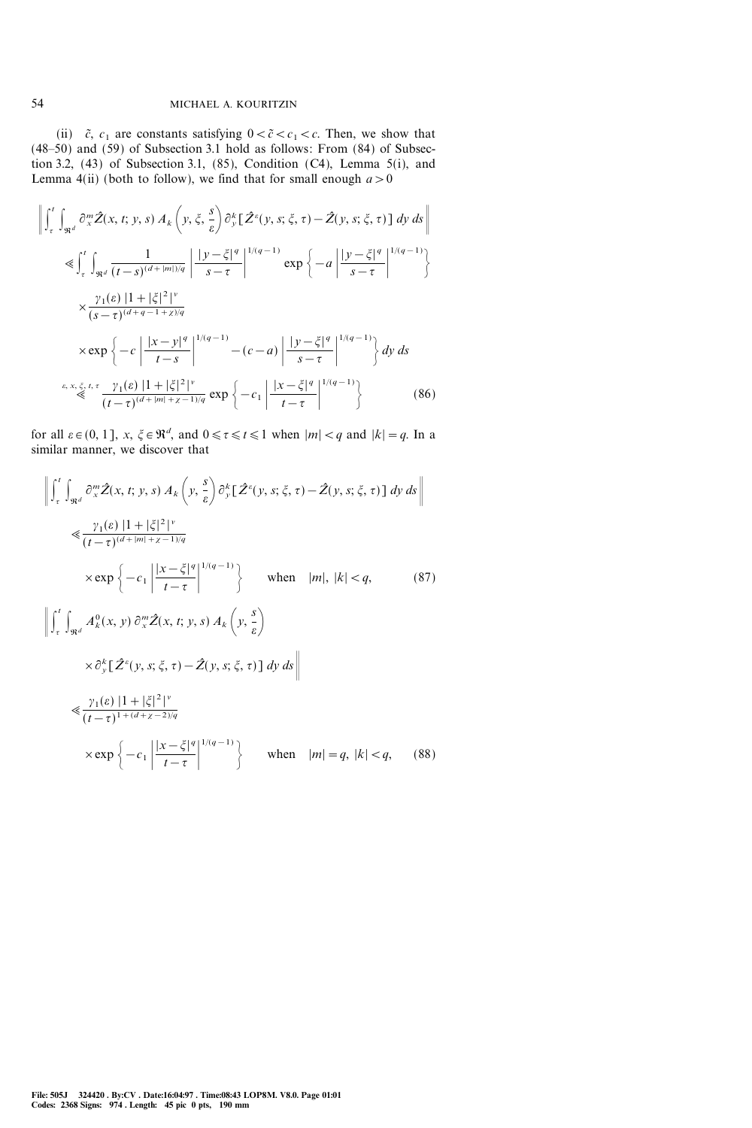(ii)  $\tilde{c}$ ,  $c_1$  are constants satisfying  $0 < \tilde{c} < c_1 < c$ . Then, we show that  $(48-50)$  and  $(59)$  of Subsection 3.1 hold as follows: From  $(84)$  of Subsection 3.2, (43) of Subsection 3.1, (85), Condition (C4), Lemma 5(i), and Lemma 4(ii) (both to follow), we find that for small enough  $a > 0$ 

$$
\left\| \int_{\tau}^{t} \int_{\Re^{d}} \partial_{x}^{m} \hat{Z}(x, t; y, s) A_{k} \left( y, \xi, \frac{s}{\varepsilon} \right) \partial_{y}^{k} \left[ \hat{Z}^{c}(y, s; \xi, \tau) - \hat{Z}(y, s; \xi, \tau) \right] dy ds \right\|
$$
  
\n
$$
\leq \int_{\tau}^{t} \int_{\Re^{d}} \frac{1}{(t-s)^{(d+|m|)/q}} \left| \frac{|y-\xi|^{q}}{s-\tau} \right|^{1/(q-1)} \exp \left\{ -a \left| \frac{|y-\xi|^{q}}{s-\tau} \right|^{1/(q-1)} \right\}
$$
  
\n
$$
\times \frac{\gamma_{1}(\varepsilon) |1 + |\xi|^{2}|^{v}}{(s-\tau)^{(d+q-1+\chi)/q}}
$$
  
\n
$$
\times \exp \left\{ -c \left| \frac{|x-y|^{q}}{t-s} \right|^{1/(q-1)} - (c-a) \left| \frac{|y-\xi|^{q}}{s-\tau} \right|^{1/(q-1)} \right\} dy ds
$$
  
\n
$$
\leq \sum_{k=1}^{\varepsilon, x, \xi, t, \tau} \frac{\gamma_{1}(\varepsilon) |1 + |\xi|^{2}|^{v}}{(t-\tau)^{(d+|m|+\chi-1)/q}} \exp \left\{ -c_{1} \left| \frac{|x-\xi|^{q}}{t-\tau} \right|^{1/(q-1)} \right\}
$$
 (86)

for all  $\varepsilon \in (0, 1]$ ,  $x, \xi \in \mathbb{R}^d$ , and  $0 \le \tau \le t \le 1$  when  $|m| < q$  and  $|k| = q$ . In a similar manner, we discover that

$$
\left\| \int_{\tau}^{t} \int_{\Re^d} \partial_x^m \hat{Z}(x, t; y, s) A_k \left( y, \frac{s}{\varepsilon} \right) \partial_y^k \left[ \hat{Z}^\varepsilon(y, s; \xi, \tau) - \hat{Z}(y, s; \xi, \tau) \right] dy ds \right\|
$$
  
\n
$$
\ll \frac{\gamma_1(\varepsilon) |1 + |\xi|^2 |^{\nu}}{(t - \tau)^{(d + |m| + \varepsilon - 1)/q}}
$$
  
\n
$$
\times \exp \left\{ -c_1 \left| \frac{|x - \xi|^q}{t - \tau} \right|^{1/(q - 1)} \right\} \quad \text{when} \quad |m|, |k| < q, \quad (87)
$$
  
\n
$$
\left\| \int_{\tau}^{t} \int_{\Re^d} A_k^0(x, y) \partial_x^m \hat{Z}(x, t; y, s) A_k \left( y, \frac{s}{\varepsilon} \right) \right\|
$$
  
\n
$$
\times \partial_y^k \left[ \hat{Z}^\varepsilon(y, s; \xi, \tau) - \hat{Z}(y, s; \xi, \tau) \right] dy ds \right\|
$$
  
\n
$$
\ll \frac{\gamma_1(\varepsilon) |1 + |\xi|^2 |^{\nu}}{(t - \tau)^{1 + (d + \chi - 2)/q}}
$$
  
\n
$$
\times \exp \left\{ -c_1 \left| \frac{|x - \xi|^q}{t - \tau} \right|^{1/(q - 1)} \right\} \quad \text{when} \quad |m| = q, |k| < q, \quad (88)
$$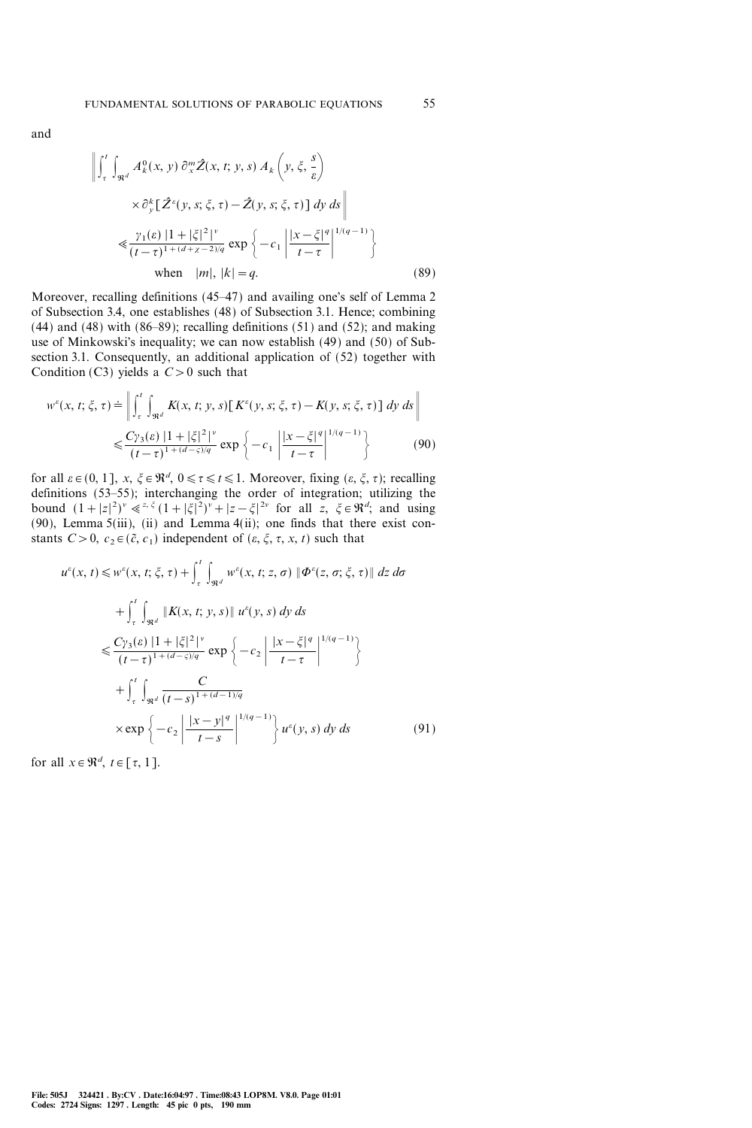$$
\left\| \int_{\tau}^{t} \int_{\Re^d} A_k^0(x, y) \, \partial_x^m \hat{Z}(x, t; y, s) \, A_k \left( y, \xi, \frac{s}{\varepsilon} \right) \right\|_{\mathcal{H}^d} \times \partial_y^k \left[ \hat{Z}^\varepsilon(y, s; \xi, \tau) - \hat{Z}(y, s; \xi, \tau) \right] \, dy \, ds \right\|
$$
\n
$$
\ll \frac{\gamma_1(\varepsilon) \, |1 + |\xi|^2 \, |^{\nu}}{(t - \tau)^{1 + (d + \chi - 2)/q}} \exp \left\{ -c_1 \left| \frac{|x - \xi|^q}{t - \tau} \right|^{1/(q - 1)} \right\}
$$
\n
$$
\text{when } |m|, |k| = q. \tag{89}
$$

Moreover, recalling definitions (45–47) and availing one's self of Lemma 2 of Subsection 3.4, one establishes (48) of Subsection 3.1. Hence; combining  $(44)$  and  $(48)$  with  $(86-89)$ ; recalling definitions  $(51)$  and  $(52)$ ; and making use of Minkowski's inequality; we can now establish (49) and (50) of Subsection 3.1. Consequently, an additional application of (52) together with Condition (C3) yields a  $C>0$  such that

$$
w^{\varepsilon}(x, t; \xi, \tau) \doteq \left\| \int_{\tau}^{t} \int_{\Re^{d}} K(x, t; y, s) \left[ K^{\varepsilon}(y, s; \xi, \tau) - K(y, s; \xi, \tau) \right] dy ds \right\|
$$
  

$$
\leq \frac{C\gamma_{3}(\varepsilon) \left| 1 + |\xi|^{2} \right|^{v}}{(t - \tau)^{1 + (d - \varsigma)/q}} \exp \left\{ -c_{1} \left| \frac{|x - \xi|^{q}}{t - \tau} \right|^{1/(q - 1)} \right\}
$$
(90)

for all  $\varepsilon \in (0, 1]$ ,  $x, \xi \in \mathbb{R}^d$ ,  $0 \le \tau \le t \le 1$ . Moreover, fixing  $(\varepsilon, \xi, \tau)$ ; recalling definitions  $(53-55)$ ; interchanging the order of integration; utilizing the bound  $(1+|z|^2)^v \leq z^{\xi} (1+|\xi|^2)^v + |z-\xi|^{2v}$  for all  $z, \xi \in \Re^d$ ; and using (90), Lemma  $5(iii)$ ,  $(ii)$  and Lemma  $4(ii)$ ; one finds that there exist constants  $C>0$ ,  $c_2 \in (\tilde{c}, c_1)$  independent of  $(\varepsilon, \xi, \tau, x, t)$  such that

$$
u^{\varepsilon}(x, t) \leq w^{\varepsilon}(x, t; \xi, \tau) + \int_{\tau}^{t} \int_{\Re^{d}} w^{\varepsilon}(x, t; z, \sigma) \|\Phi^{\varepsilon}(z, \sigma; \xi, \tau)\| \, dz \, d\sigma
$$
  
+ 
$$
\int_{\tau}^{t} \int_{\Re^{d}} \|K(x, t; y, s)\| u^{\varepsilon}(y, s) \, dy \, ds
$$
  

$$
\leq \frac{C y_{3}(\varepsilon) \left|1 + |\xi|^{2}\right|^{v}}{(t - \tau)^{1 + (d - \varsigma)/q}} \exp\left\{-c_{2} \left|\frac{|x - \xi|^{q}}{t - \tau}\right|^{1/(q - 1)}\right\}
$$
  
+ 
$$
\int_{\tau}^{t} \int_{\Re^{d}} \frac{C}{(t - s)^{1 + (d - 1)/q}}
$$
  

$$
\times \exp\left\{-c_{2} \left|\frac{|x - y|^{q}}{t - s}\right|^{1/(q - 1)}\right\} u^{\varepsilon}(y, s) \, dy \, ds \tag{91}
$$

for all  $x \in \mathbb{R}^d$ ,  $t \in [\tau, 1]$ .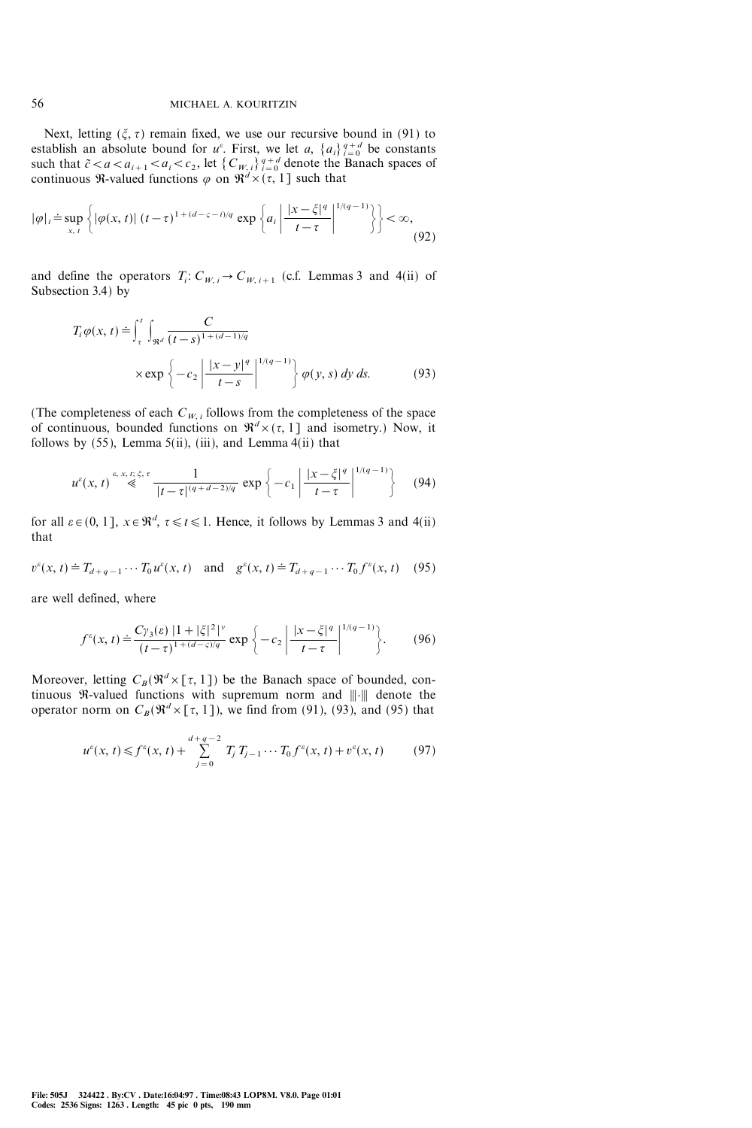Next, letting  $(\xi, \tau)$  remain fixed, we use our recursive bound in (91) to establish an absolute bound for  $u^e$ . First, we let a,  $\{a_i\}_{i=0}^{q+d}$  be constants such that  $\tilde{c} < a < a_{i+1} < a_i < c_2$ , let  $\{C_{W, i}\}_{i=0}^{q+d}$  denote the Banach spaces of continuous R-valued functions  $\varphi$  on  $\mathbb{R}^d \times (\tau, 1]$  such that

$$
|\varphi|_{i} \doteq \sup_{x,\,t} \left\{ |\varphi(x,\,t)| \,(t-\tau)^{1+(d-\varsigma-\tilde{t})/q} \,\exp\left\{ a_{i} \left| \frac{|x-\xi|^{q}}{t-\tau} \right|^{1/(q-1)} \right\} \right\} < \infty,\tag{92}
$$

and define the operators  $T_i: C_{W, i} \to C_{W, i+1}$  (c.f. Lemmas 3 and 4(ii) of Subsection 3.4) by

$$
T_i \varphi(x, t) \doteq \int_{\tau}^{t} \int_{\Re^d} \frac{C}{(t - s)^{1 + (d - 1)/q}}
$$
  
× exp  $\left\{-c_2 \left| \frac{|x - y|^q}{t - s} \right|^{1/(q - 1)} \right\} \varphi(y, s) dy ds.$  (93)

(The completeness of each  $C_{W,i}$  follows from the completeness of the space of continuous, bounded functions on  $\mathfrak{R}^d \times (\tau, 1]$  and isometry.) Now, it follows by  $(55)$ , Lemma  $5(ii)$ ,  $(iii)$ , and Lemma  $4(ii)$  that

$$
u^{\varepsilon}(x, t) \stackrel{\varepsilon, x, t; \xi, \tau}{\ll} \frac{1}{|t - \tau|^{(q + d - 2)/q}} \exp\left\{-c_1 \left|\frac{|x - \xi|^q}{t - \tau}\right|^{1/(q - 1)}\right\} \tag{94}
$$

for all  $\varepsilon \in (0, 1]$ ,  $x \in \mathbb{R}^d$ ,  $\tau \le t \le 1$ . Hence, it follows by Lemmas 3 and 4(ii) that

$$
v^{\varepsilon}(x, t) \doteq T_{d+q-1} \cdots T_0 u^{\varepsilon}(x, t) \quad \text{and} \quad g^{\varepsilon}(x, t) \doteq T_{d+q-1} \cdots T_0 f^{\varepsilon}(x, t) \tag{95}
$$

are well defined, where

$$
f^e(x, t) \doteq \frac{C\gamma_3(\varepsilon) \left|1 + |\xi|^2\right|^{\nu}}{(t-\tau)^{1+(d-\varsigma)/q}} \exp\left\{-c_2 \left|\frac{|x-\xi|^q}{t-\tau}\right|^{1/(q-1)}\right\}.
$$
 (96)

Moreover, letting  $C_B(\mathbb{R}^d \times [\tau, 1])$  be the Banach space of bounded, continuous  $\Re$ -valued functions with supremum norm and  $\Vert \cdot \Vert$  denote the operator norm on  $C_B(\mathbb{R}^d \times [\tau, 1])$ , we find from (91), (93), and (95) that

$$
u^{\varepsilon}(x,t) \leq f^{\varepsilon}(x,t) + \sum_{j=0}^{d+q-2} T_j T_{j-1} \cdots T_0 f^{\varepsilon}(x,t) + v^{\varepsilon}(x,t) \tag{97}
$$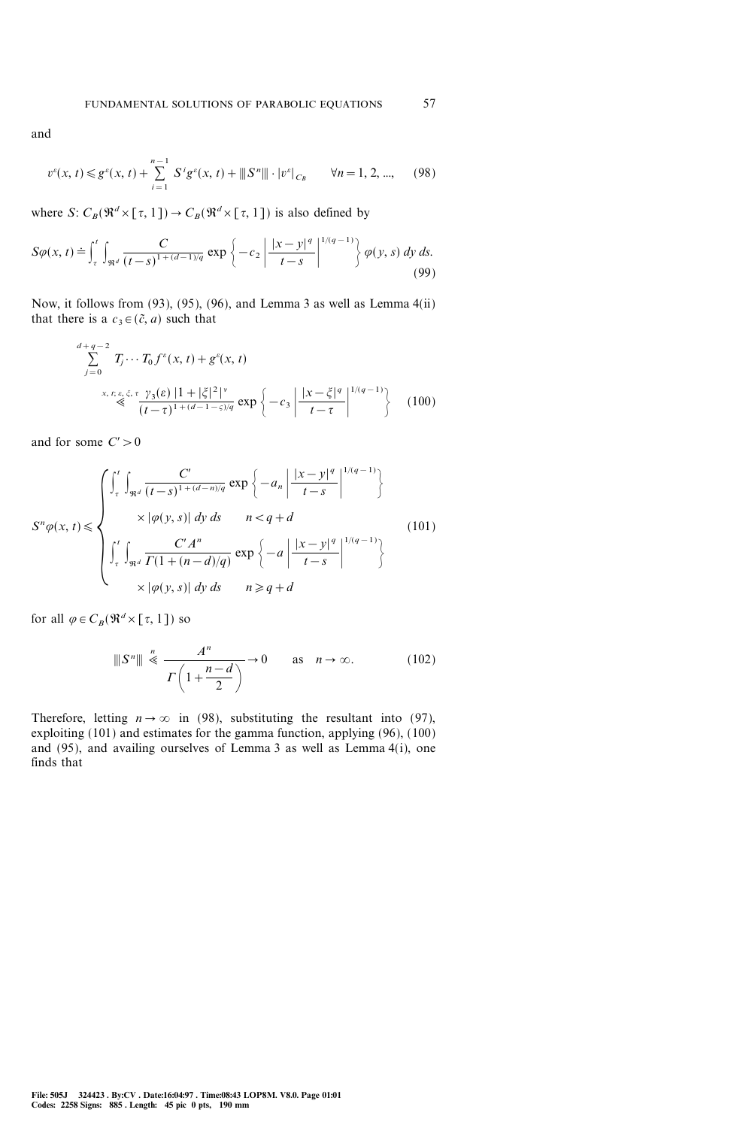and

$$
v^e(x, t) \le g^e(x, t) + \sum_{i=1}^{n-1} S^i g^e(x, t) + ||S^n|| \cdot |v^e|_{C_B} \qquad \forall n = 1, 2, ..., \qquad (98)
$$

where S:  $C_B(\mathfrak{R}^d \times [\tau, 1]) \to C_B(\mathfrak{R}^d \times [\tau, 1])$  is also defined by

$$
S\varphi(x,t) \doteq \int_{\tau}^{t} \int_{\Re^d} \frac{C}{(t-s)^{1+(d-1)/q}} \exp\left\{-c_2 \left|\frac{|x-y|^q}{t-s}\right|^{1/(q-1)}\right\} \varphi(y,s) \,dy \,ds. \tag{99}
$$

Now, it follows from (93), (95), (96), and Lemma 3 as well as Lemma 4(ii) that there is a  $c_3 \in (\tilde{c}, a)$  such that

$$
\sum_{j=0}^{d+q-2} T_j \cdots T_0 f^{\varepsilon}(x, t) + g^{\varepsilon}(x, t)
$$
\n
$$
\leq \sum_{j=0}^{x, t; \varepsilon, \xi, \tau} \frac{\gamma_3(\varepsilon) |1 + |\xi|^2|^{\nu}}{(t-\tau)^{1+(d-1-\varsigma)/q}} \exp\left\{-c_3 \left|\frac{|x-\xi|^q}{t-\tau}\right|^{1/(q-1)}\right\} \tag{100}
$$

and for some  $C' > 0$ 

$$
S^{n}\varphi(x,t) \leq \begin{cases} \int_{\tau}^{t} \int_{\Re^{d}} \frac{C'}{(t-s)^{1+(d-n)/q}} \exp\left\{-a_{n} \left| \frac{|x-y|^{q}}{t-s} \right|^{1/(q-1)}\right\} \\ \times |\varphi(y,s)| dy ds & n < q + d \\ \int_{\tau}^{t} \int_{\Re^{d}} \frac{C'd^{n}}{\Gamma(1+(n-d)/q)} \exp\left\{-a \left| \frac{|x-y|^{q}}{t-s} \right|^{1/(q-1)}\right\} \\ \times |\varphi(y,s)| dy ds & n \geq q + d \end{cases}
$$
(101)

for all  $\varphi \in C_B(\mathfrak{R}^d \times [\tau, 1])$  so

$$
\|S^n\| \stackrel{n}{\ll} \frac{A^n}{\Gamma\left(1 + \frac{n - d}{2}\right)} \to 0 \quad \text{as} \quad n \to \infty. \tag{102}
$$

Therefore, letting  $n \to \infty$  in (98), substituting the resultant into (97), exploiting (101) and estimates for the gamma function, applying (96), (100) and (95), and availing ourselves of Lemma 3 as well as Lemma 4(i), one finds that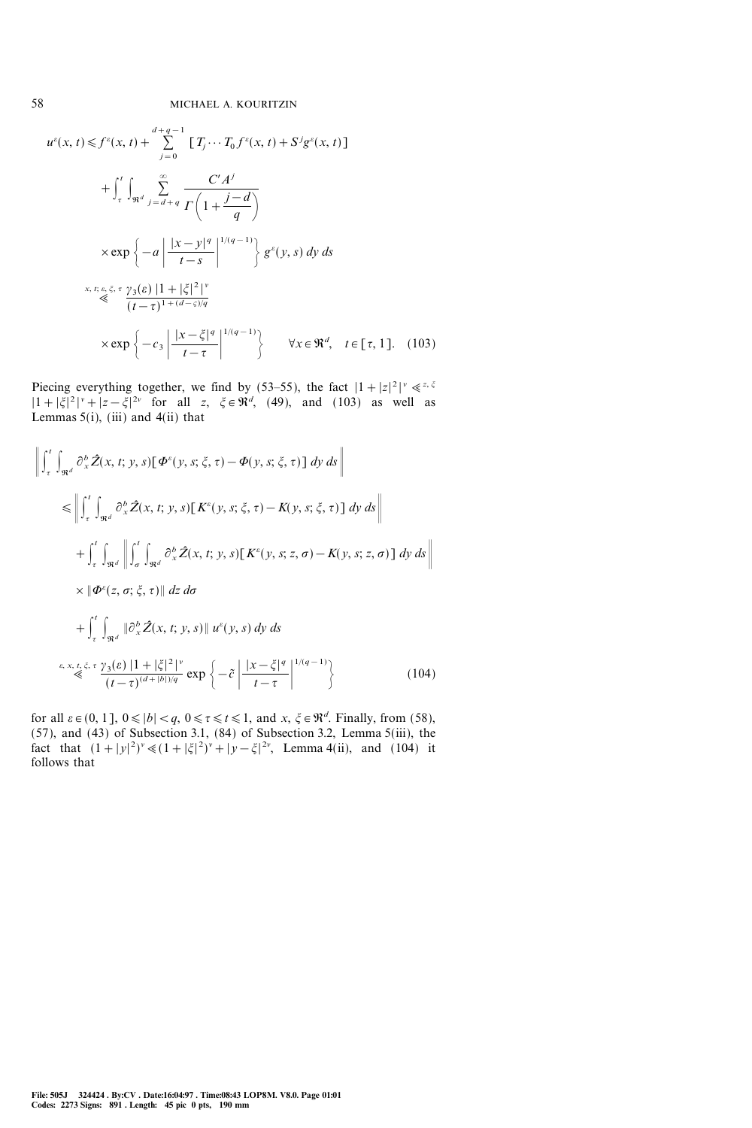$$
u^{\varepsilon}(x, t) \leq f^{\varepsilon}(x, t) + \sum_{j=0}^{d+q-1} \left[ T_j \cdots T_0 f^{\varepsilon}(x, t) + S^j g^{\varepsilon}(x, t) \right]
$$
  
+ 
$$
\int_{\tau}^{t} \int_{\Re^d} \sum_{j=d+q}^{\infty} \frac{C'A^j}{\Gamma\left(1 + \frac{j-d}{q}\right)}
$$
  

$$
\times \exp \left\{-a \left| \frac{|x - y|^q}{t - s} \right|^{1/(q-1)} \right\} g^{\varepsilon}(y, s) dy ds
$$
  

$$
\xrightarrow[x, t; \varepsilon, \xi, \tau]{} \sum_{j=0}^{q} \frac{|x - y|^q}{(t - \tau)^{1 + (d - \varsigma)/q}}
$$
  

$$
\times \exp \left\{-c_3 \left| \frac{|x - \xi|^q}{t - \tau} \right|^{1/(q-1)} \right\} \quad \forall x \in \Re^d, \quad t \in [\tau, 1]. \quad (103)
$$

Piecing everything together, we find by (53–55), the fact  $|1+|z|^2|^{\nu} \ll z^{z, \xi}$  $|1+|\xi|^2|^{\nu} + |z-\xi|^{2\nu}$  for all z,  $\xi \in \Re^d$ , (49), and (103) as well as Lemmas  $5(i)$ , (iii) and  $4(ii)$  that

$$
\left\| \int_{\tau}^{t} \int_{\Re^{d}} \partial_{x}^{b} \hat{Z}(x, t; y, s) [\Phi^{\varepsilon}(y, s; \xi, \tau) - \Phi(y, s; \xi, \tau)] dy ds \right\|
$$
  
\n
$$
\leq \left\| \int_{\tau}^{t} \int_{\Re^{d}} \partial_{x}^{b} \hat{Z}(x, t; y, s) [K^{\varepsilon}(y, s; \xi, \tau) - K(y, s; \xi, \tau)] dy ds \right\|
$$
  
\n
$$
+ \int_{\tau}^{t} \int_{\Re^{d}} \left\| \int_{\sigma}^{t} \int_{\Re^{d}} \partial_{x}^{b} \hat{Z}(x, t; y, s) [K^{\varepsilon}(y, s; z, \sigma) - K(y, s; z, \sigma)] dy ds \right\|
$$
  
\n
$$
\times \|\Phi^{\varepsilon}(z, \sigma; \xi, \tau)\| dz d\sigma
$$
  
\n
$$
+ \int_{\tau}^{t} \int_{\Re^{d}} \|\partial_{x}^{b} \hat{Z}(x, t; y, s) \| u^{\varepsilon}(y, s) dy ds
$$
  
\n
$$
\varepsilon, x, t, \xi, \tau \gamma_{3}(\varepsilon) |1 + |\xi|^{2}|^{\nu} \exp \left\{-\tilde{c} \left| \frac{|x - \xi|^{q}}{t - \tau} \right|^{1/(q - 1)} \right\}
$$
(104)

for all  $\varepsilon \in (0, 1]$ ,  $0 \le |b| < q$ ,  $0 \le \tau \le t \le 1$ , and  $x, \xi \in \mathbb{R}^d$ . Finally, from (58), (57), and (43) of Subsection 3.1, (84) of Subsection 3.2, Lemma 5(iii), the fact that  $(1+|y|^2)^v \ll (1+|\xi|^2)^v + |y-\xi|^{2v}$ , Lemma 4(ii), and (104) it follows that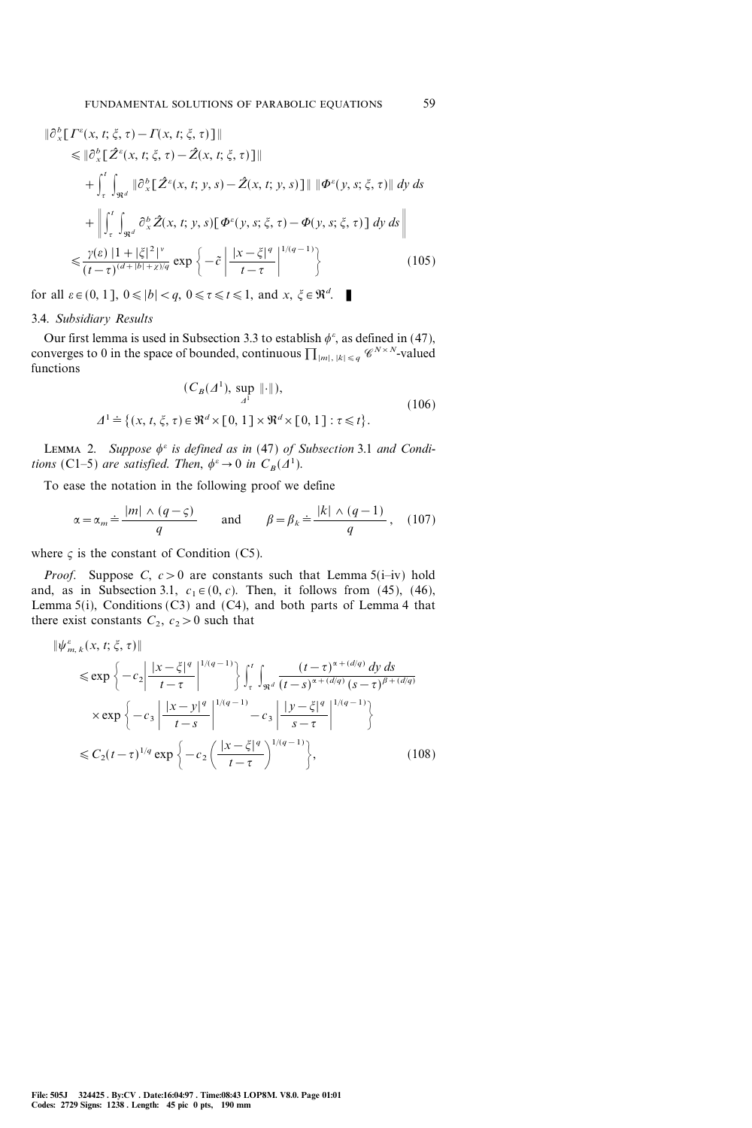$$
\|\partial_x^b [I^c(x, t; \xi, \tau) - I(x, t; \xi, \tau)]\|
$$
  
\n
$$
\leq \|\partial_x^b [ \hat{Z}^c(x, t; \xi, \tau) - \hat{Z}(x, t; \xi, \tau) ]\|
$$
  
\n
$$
+ \int_{\tau}^{t} \int_{\Re^d} \|\partial_x^b [ \hat{Z}^c(x, t; y, s) - \hat{Z}(x, t; y, s)]\| \|\Phi^c(y, s; \xi, \tau)\| dy ds
$$
  
\n
$$
+ \left\| \int_{\tau}^{t} \int_{\Re^d} \partial_x^b \hat{Z}(x, t; y, s) [\Phi^c(y, s; \xi, \tau) - \Phi(y, s; \xi, \tau) ] dy ds \right\|
$$
  
\n
$$
\leq \frac{\gamma(\varepsilon) |1 + |\xi|^2|^{\gamma}}{(t - \tau)^{(d + |b| + \chi)/q}} \exp \left\{-\tilde{c} \left| \frac{|x - \xi|^q}{t - \tau} \right|^{1/(q - 1)} \right\}
$$
(105)

for all  $\varepsilon \in (0, 1]$ ,  $0 \le |b| < q$ ,  $0 \le \tau \le t \le 1$ , and  $x, \xi \in \mathbb{R}^d$ .

# 3.4. Subsidiary Results

Our first lemma is used in Subsection 3.3 to establish  $\phi^{\varepsilon}$ , as defined in (47), converges to 0 in the space of bounded, continuous  $\prod_{|m|, |k| \leq q} \mathscr{C}^{N \times N}$ -valued functions

$$
(C_B(A^1), \sup_{A^1} \|\cdot\|),
$$
  

$$
\Delta^1 \doteq \{(x, t, \xi, \tau) \in \mathfrak{R}^d \times [0, 1] \times \mathfrak{R}^d \times [0, 1] : \tau \le t\}.
$$
 (106)

LEMMA 2. Suppose  $\phi^{\varepsilon}$  is defined as in (47) of Subsection 3.1 and Conditions (C1-5) are satisfied. Then,  $\phi^e \rightarrow 0$  in  $C_B(\Lambda^1)$ .

To ease the notation in the following proof we define

$$
\alpha = \alpha_m \doteq \frac{|m| \wedge (q - \varsigma)}{q} \qquad \text{and} \qquad \beta = \beta_k \doteq \frac{|k| \wedge (q - 1)}{q}, \quad (107)
$$

where  $\varsigma$  is the constant of Condition (C5).

*Proof.* Suppose C,  $c > 0$  are constants such that Lemma 5(i-iv) hold and, as in Subsection 3.1,  $c_1 \in (0, c)$ . Then, it follows from (45), (46), Lemma  $5(i)$ , Conditions (C3) and (C4), and both parts of Lemma 4 that there exist constants  $C_2$ ,  $c_2>0$  such that

$$
\|\psi_{m,k}^{\varepsilon}(x,t;\xi,\tau)\|
$$
  
\n
$$
\leq \exp\left\{-c_2\left|\frac{|x-\xi|^q}{t-\tau}\right|^{1/(q-1)}\right\}\int_{\tau}^{t}\int_{\Re^d}\frac{(t-\tau)^{\alpha+(d/q)}dy\,ds}{(t-s)^{\alpha+(d/q)}(s-\tau)^{\beta+(d/q)}}\times \exp\left\{-c_3\left|\frac{|x-y|^q}{t-s}\right|^{1/(q-1)}-c_3\left|\frac{|y-\xi|^q}{s-\tau}\right|^{1/(q-1)}\right\}
$$
  
\n
$$
\leq C_2(t-\tau)^{1/q}\exp\left\{-c_2\left(\frac{|x-\xi|^q}{t-\tau}\right)^{1/(q-1)}\right\},\tag{108}
$$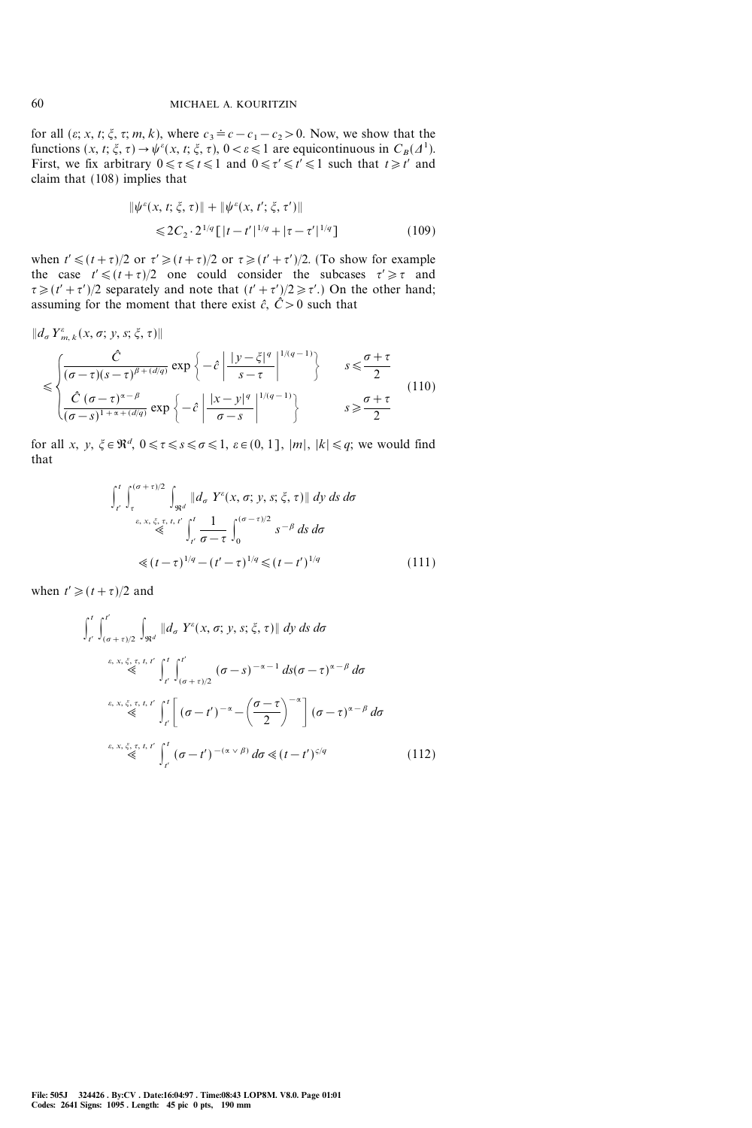for all  $(\varepsilon; x, t; \xi, \tau; m, k)$ , where  $c_3 = c - c_1 - c_2 > 0$ . Now, we show that the functions  $(x, t; \xi, \tau) \rightarrow \psi^{\varepsilon}(x, t; \xi, \tau)$ ,  $0 < \varepsilon \le 1$  are equicontinuous in  $C_B(\Lambda^1)$ . First, we fix arbitrary  $0 \le \tau \le t \le 1$  and  $0 \le \tau' \le t' \le 1$  such that  $t \ge t'$  and claim that (108) implies that

$$
\|\psi^{\varepsilon}(x, t; \xi, \tau)\| + \|\psi^{\varepsilon}(x, t'; \xi, \tau')\|
$$
  
\$\leq 2C\_2 \cdot 2^{1/q} [\vert t - t' \vert^{1/q} + \vert \tau - \tau' \vert^{1/q}]\$ (109)

when  $t' \leq (t + \tau)/2$  or  $\tau' \geq (t + \tau)/2$  or  $\tau \geq (t' + \tau')/2$ . (To show for example the case  $t' \le (t+\tau)/2$  one could consider the subcases  $\tau' \ge \tau$  and  $\tau \geq (t' + \tau')/2$  separately and note that  $(t' + \tau')/2 \geq \tau'$ .) On the other hand; assuming for the moment that there exist  $\hat{c}$ ,  $\hat{C} > 0$  such that

$$
\|d_{\sigma} Y_{m,k}^{\varepsilon}(x,\sigma; y,s;\xi,\tau)\|
$$
  

$$
\leq \begin{cases} \frac{\hat{C}}{(\sigma-\tau)(s-\tau)^{\beta+(d/q)}} \exp\left\{-\hat{c} \left| \frac{|y-\xi|^{q}}{s-\tau} \right|^{1/(q-1)} \right\} & s \leq \frac{\sigma+\tau}{2} \\ \frac{\hat{C}(\sigma-\tau)^{\alpha-\beta}}{(\sigma-s)^{1+\alpha+(d/q)}} \exp\left\{-\hat{c} \left| \frac{|x-y|^{q}}{\sigma-s} \right|^{1/(q-1)} \right\} & s \geq \frac{\sigma+\tau}{2} \end{cases}
$$
(110)

for all x, y,  $\xi \in \mathbb{R}^d$ ,  $0 \le \tau \le s \le \sigma \le 1$ ,  $\varepsilon \in (0, 1]$ ,  $|m|$ ,  $|k| \le q$ ; we would find that

$$
\int_{t'}^{t} \int_{\tau}^{(\sigma + \tau)/2} \int_{\Re^d} \|d_{\sigma} Y^{\varepsilon}(x, \sigma; y, s; \xi, \tau) \| dy ds d\sigma
$$
  
\n
$$
\leq \int_{t'}^{\varepsilon, x, \xi, \tau, t'} \int_{t'}^{t} \frac{1}{\sigma - \tau} \int_0^{(\sigma - \tau)/2} s^{-\beta} ds d\sigma
$$
  
\n
$$
\leq (t - \tau)^{1/q} - (t' - \tau)^{1/q} \leq (t - t')^{1/q}
$$
\n(111)

when  $t' \ge (t + \tau)/2$  and

$$
\int_{t'}^{t'} \int_{(\sigma+\tau)/2}^{t'} \int_{\Re^d} \|d_{\sigma} Y^{\varepsilon}(x, \sigma; y, s; \xi, \tau) \| dy ds d\sigma
$$
\n
$$
\stackrel{\varepsilon, x, \xi, \tau, t, t'}{\leq} \int_{t'}^{t'} \int_{(\sigma+\tau)/2}^{t'} (\sigma-s)^{-\alpha-1} ds (\sigma-\tau)^{\alpha-\beta} d\sigma
$$
\n
$$
\stackrel{\varepsilon, x, \xi, \tau, t, t'}{\leq} \int_{t'}^{t} \left[ (\sigma-t')^{-\alpha} - \left(\frac{\sigma-\tau}{2}\right)^{-\alpha} \right] (\sigma-\tau)^{\alpha-\beta} d\sigma
$$
\n
$$
\stackrel{\varepsilon, x, \xi, \tau, t, t'}{\leq} \int_{t'}^{t} (\sigma-t')^{-(\alpha \vee \beta)} d\sigma \leq (t-t')^{5/q} \tag{112}
$$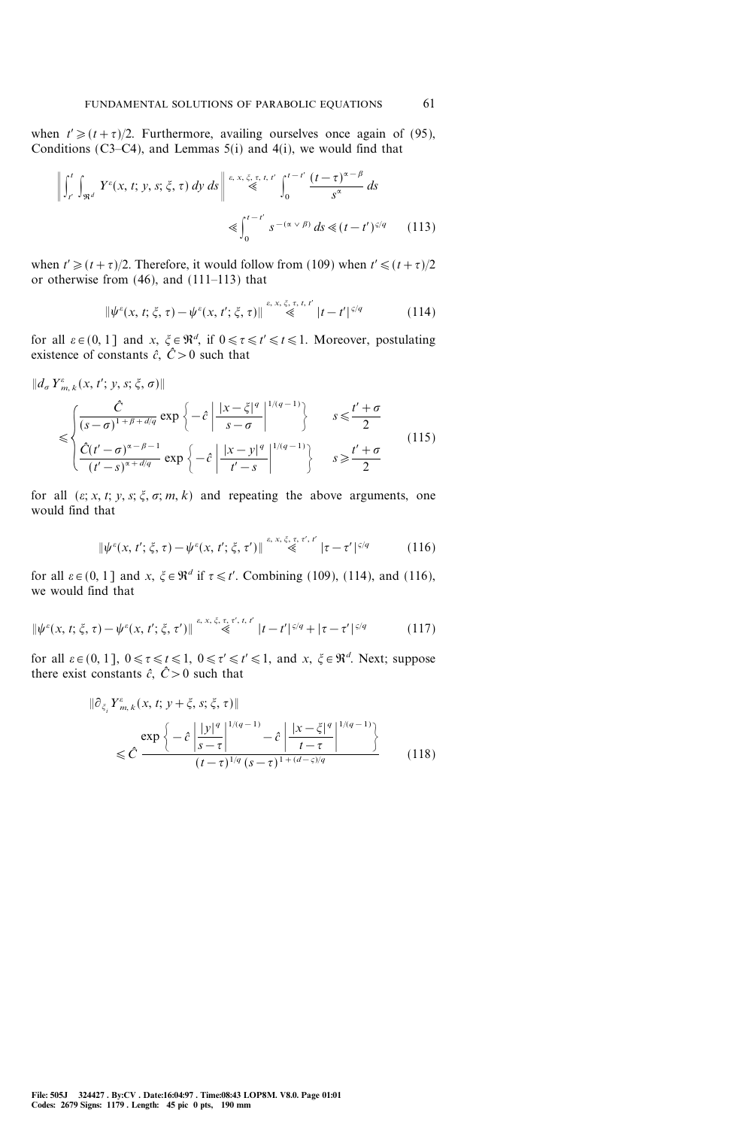when  $t' \ge (t+\tau)/2$ . Furthermore, availing ourselves once again of (95), Conditions (C3–C4), and Lemmas  $5(i)$  and  $4(i)$ , we would find that

$$
\left\| \int_{t'}^{t} \int_{\Re^d} Y^{\varepsilon}(x, t; y, s; \xi, \tau) dy ds \right\| \stackrel{\varepsilon, x, \xi, \tau, t, t'}{\leq} \int_0^{t-t'} \frac{(t-\tau)^{\alpha-\beta}}{s^{\alpha}} ds
$$
  

$$
\leq \int_0^{t-t'} s^{-(\alpha \vee \beta)} ds \leq (t-t')^{\varsigma/q} \qquad (113)
$$

when  $t' \ge (t + \tau)/2$ . Therefore, it would follow from (109) when  $t' \le (t + \tau)/2$ or otherwise from  $(46)$ , and  $(111-113)$  that

$$
\|\psi^{\varepsilon}(x,t;\xi,\tau) - \psi^{\varepsilon}(x,t';\xi,\tau)\| \stackrel{\varepsilon, x, \xi, \tau, t, t'}{\leq} |t - t'|^{s/q} \tag{114}
$$

for all  $\varepsilon \in (0, 1]$  and  $x, \xi \in \mathbb{R}^d$ , if  $0 \le \tau \le t \le 1$ . Moreover, postulating existence of constants  $\hat{c}$ ,  $\hat{C}>0$  such that

$$
\|d_{\sigma} Y_{m,k}^{\varepsilon}(x,t';y,s;\xi,\sigma)\|
$$
  

$$
\leq \begin{cases} \frac{\hat{C}}{(s-\sigma)^{1+\beta+d/q}} \exp\left\{-\hat{c} \left| \frac{|x-\xi|^q}{s-\sigma} \right|^{1/(q-1)} \right\} & s \leq \frac{t'+\sigma}{2} \\ \frac{\hat{C}(t'-\sigma)^{\alpha-\beta-1}}{(t'-s)^{\alpha+d/q}} \exp\left\{-\hat{c} \left| \frac{|x-y|^q}{t'-s} \right|^{1/(q-1)} \right\} & s \geq \frac{t'+\sigma}{2} \end{cases}
$$
(115)

for all  $(\varepsilon; x, t; y, s; \xi, \sigma; m, k)$  and repeating the above arguments, one would find that

$$
\|\psi^{\varepsilon}(x,t';\xi,\tau)-\psi^{\varepsilon}(x,t';\xi,\tau')\| \stackrel{\varepsilon, x,\xi,\tau,\tau',t'}{\ll} |\tau-\tau'|^{5/q} \tag{116}
$$

for all  $\varepsilon \in (0, 1]$  and  $x, \xi \in \mathbb{R}^d$  if  $\tau \le t'$ . Combining (109), (114), and (116), we would find that

$$
\|\psi^{\varepsilon}(x,t;\xi,\tau) - \psi^{\varepsilon}(x,t';\xi,\tau')\| \stackrel{\varepsilon, x, \xi, \tau, \tau', t, t'}{\leq} |t - t'|^{s/q} + |\tau - \tau'|^{s/q} \tag{117}
$$

for all  $\varepsilon \in (0, 1]$ ,  $0 \le \tau \le t \le 1$ ,  $0 \le \tau' \le t' \le 1$ , and  $x, \xi \in \mathbb{R}^d$ . Next; suppose there exist constants  $\hat{c}$ ,  $\hat{C}>0$  such that

$$
\|\partial_{\xi_i} Y^{\varepsilon}_{m,k}(x,t;y+\xi,s;\xi,\tau)\|
$$
  

$$
\leq \hat{C} \frac{\exp\left\{-\hat{c} \left| \frac{|y|^q}{s-\tau} \right|^{1/(q-1)} - \hat{c} \left| \frac{|x-\xi|^q}{t-\tau} \right|^{1/(q-1)} \right\}}{(t-\tau)^{1/q}(s-\tau)^{1+(d-\varsigma)/q}}
$$
(118)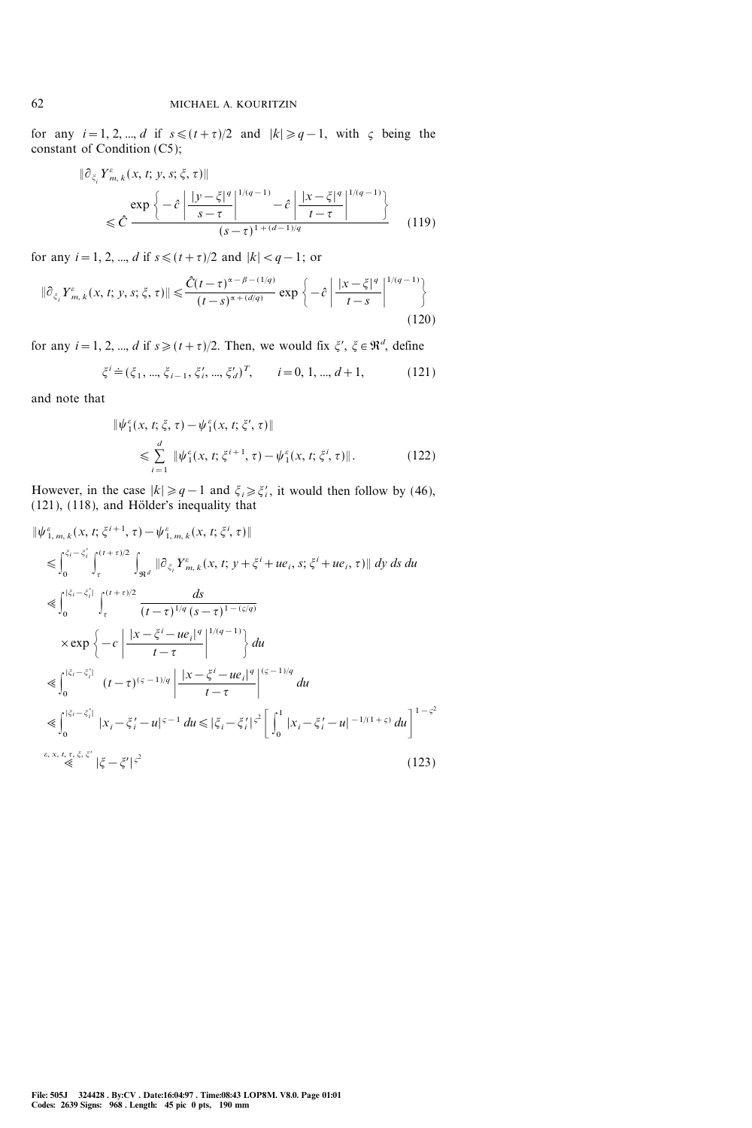for any  $i=1, 2, ..., d$  if  $s \leq (t+\tau)/2$  and  $|k| \geq q-1$ , with  $\zeta$  being the constant of Condition (C5);

$$
\|\partial_{\xi_i} Y^{\varepsilon}_{m,k}(x,t;y,s;\xi,\tau)\|
$$
  
\$\leq \hat{C} \frac{\exp\left\{-\hat{c} \left| \frac{|y-\xi|^q}{s-\tau} \right|^{1/(q-1)} - \hat{c} \left| \frac{|x-\xi|^q}{t-\tau} \right|^{1/(q-1)}\right\}\$  
\$\leq \hat{C} \frac{\exp\left\{-\hat{c} \left| \frac{|y-\xi|^q}{s-\tau} \right|^{1+(d-1)/q} \right\}\$ (119)

for any  $i = 1, 2, ..., d$  if  $s \leq (t + \tau)/2$  and  $|k| < q - 1$ ; or

$$
\|\partial_{\xi_i} Y^{\varepsilon}_{m,k}(x,t;y,s;\xi,\tau)\| \leq \frac{\hat{C}(t-\tau)^{\alpha-\beta-(1/q)}}{(t-s)^{\alpha+(d/q)}} \exp\left\{-\hat{c} \left| \frac{|x-\xi|^q}{t-s} \right|^{1/(q-1)}\right\} \tag{120}
$$

for any  $i = 1, 2, ..., d$  if  $s \geq (t + \tau)/2$ . Then, we would fix  $\xi', \xi \in \mathbb{R}^d$ , define

$$
\xi^{i} \doteq (\xi_{1}, \dots, \xi_{i-1}, \xi'_{i}, \dots, \xi'_{d})^{T}, \qquad i = 0, 1, \dots, d+1,
$$
 (121)

and note that

$$
\begin{aligned} \|\psi_1^{\varepsilon}(x,t;\xi,\tau) - \psi_1^{\varepsilon}(x,t;\xi',\tau)\| \\ &\leq \sum_{i=1}^d \|\psi_1^{\varepsilon}(x,t;\xi^{i+1},\tau) - \psi_1^{\varepsilon}(x,t;\xi^i,\tau)\|. \end{aligned} \tag{122}
$$

However, in the case  $|k| \ge q-1$  and  $\xi_i \ge \xi'_i$ , it would then follow by (46),  $(121)$ ,  $(118)$ , and Hölder's inequality that

$$
\|\psi_{1,m,k}^{\varepsilon}(x,t;\xi^{i+1},\tau)-\psi_{1,m,k}^{\varepsilon}(x,t;\xi^{i},\tau)\|
$$
\n
$$
\leq \int_{0}^{\xi_{i}-\xi_{i}^{\prime}} \int_{\tau}^{(t+\tau)/2} \int_{\Re^{d}} \|\partial_{\xi_{i}} Y_{m,k}^{\varepsilon}(x,t;\gamma+\xi^{i}+u\varepsilon_{i},s;\xi^{i}+u\varepsilon_{i},\tau)\| dy ds du
$$
\n
$$
\leq \int_{0}^{|\xi_{i}-\xi_{i}^{\prime}|} \int_{\tau}^{(t+\tau)/2} \frac{ds}{(t-\tau)^{1/q}(s-\tau)^{1-(\varsigma/q)}}
$$
\n
$$
\times \exp\left\{-c\left|\frac{|x-\xi^{i}-ue_{i}|^{q}}{t-\tau}\right|^{1/(q-1)}\right\} du
$$
\n
$$
\leq \int_{0}^{|\xi_{i}-\xi_{i}^{\prime}|} (t-\tau)^{(\varsigma-1)/q} \left|\frac{|x-\xi^{i}-ue_{i}|^{q}}{t-\tau}\right|^{(\varsigma-1)/q} du
$$
\n
$$
\leq \int_{0}^{|\xi_{i}-\xi_{i}^{\prime}|} |x_{i}-\xi_{i}^{\prime}-u|^{\varsigma-1} du \leq |\xi_{i}-\xi_{i}^{\prime}|^{\varsigma^{2}} \left[\int_{0}^{1} |x_{i}-\xi_{i}^{\prime}-u|^{-1/(1+\varsigma)} du\right]^{1-\varsigma^{2}} dt
$$
\n
$$
\varepsilon, x, t, \tau, \xi, \xi^{\prime} \leq |\xi-\xi^{\prime}|^{\varsigma^{2}} \tag{123}
$$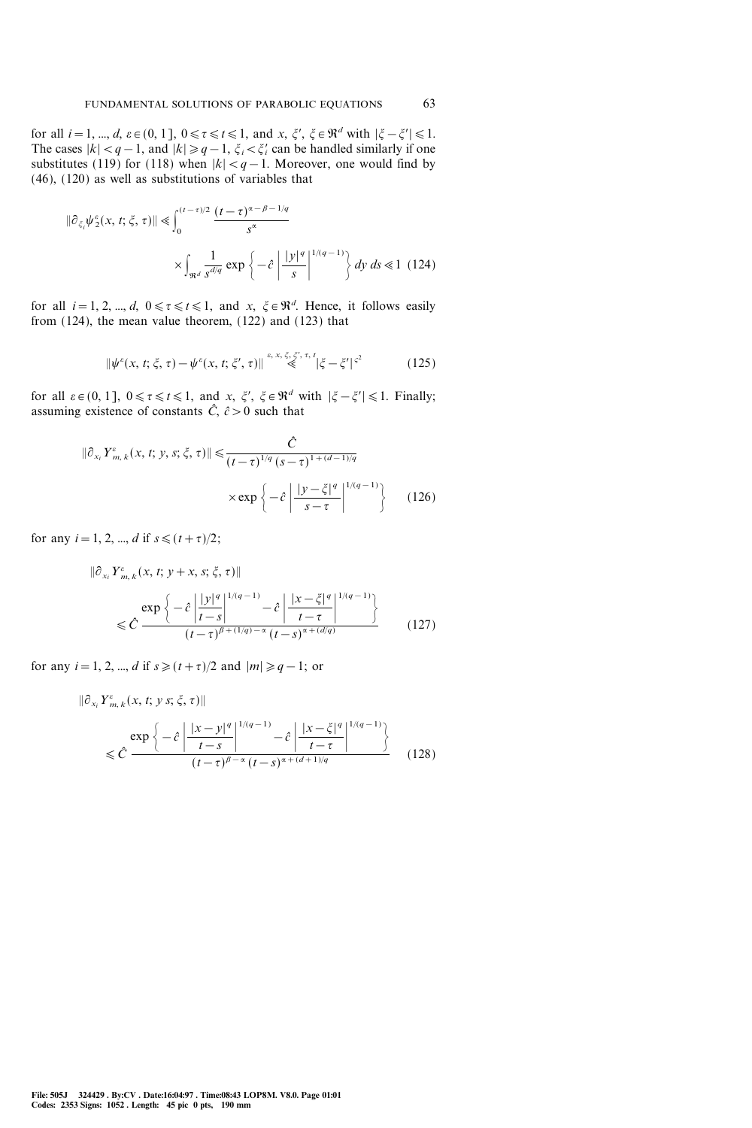for all  $i=1, ..., d$ ,  $\varepsilon \in (0, 1], 0 \le \tau \le t \le 1$ , and  $x, \xi', \xi \in \mathbb{R}^d$  with  $|\xi - \xi'| \le 1$ . The cases  $|k| < q-1$ , and  $|k| \ge q-1$ ,  $\xi_i < \xi'_i$  can be handled similarly if one substitutes (119) for (118) when  $|k| < q-1$ . Moreover, one would find by (46), (120) as well as substitutions of variables that

$$
\|\partial_{\xi_i}\psi_2^{\varepsilon}(x,t;\xi,\tau)\| \leq \int_0^{(t-\tau)/2} \frac{(t-\tau)^{\alpha-\beta-1/q}}{s^{\alpha}}
$$

$$
\times \int_{\Re^d} \frac{1}{s^{d/q}} \exp\left\{-\hat{c} \left|\frac{|y|^q}{s}\right|^{1/(q-1)}\right\} dy \, ds \leq 1 \tag{124}
$$

for all  $i = 1, 2, ..., d$ ,  $0 \le \tau \le t \le 1$ , and  $x, \xi \in \mathbb{R}^d$ . Hence, it follows easily from  $(124)$ , the mean value theorem,  $(122)$  and  $(123)$  that

$$
\|\psi^{\varepsilon}(x,t;\xi,\tau) - \psi^{\varepsilon}(x,t;\xi',\tau)\| \stackrel{\varepsilon, x, \xi, \xi', \tau, t}{\leq} |\xi - \xi'|^{\varsigma^2}
$$
 (125)

for all  $\varepsilon \in (0, 1]$ ,  $0 \le \tau \le t \le 1$ , and  $x, \xi', \xi \in \mathbb{R}^d$  with  $|\xi - \xi'| \le 1$ . Finally; assuming existence of constants  $\hat{C}$ ,  $\hat{c} > 0$  such that

$$
\|\partial_{x_i} Y^{\varepsilon}_{m,k}(x,t;y,s;\xi,\tau)\| \leq \frac{\hat{C}}{(t-\tau)^{1/q} (s-\tau)^{1+(d-1)/q}}
$$

$$
\times \exp\left\{-\hat{c} \left| \frac{|y-\xi|^q}{s-\tau} \right|^{1/(q-1)}\right\} \qquad (126)
$$

for any  $i = 1, 2, ..., d$  if  $s \leq (t + \tau)/2$ ;

$$
\|\partial_{x_i} Y^{\varepsilon}_{m,k}(x,t;y+x,s;\xi,\tau)\|
$$
  

$$
\leq \hat{C} \frac{\exp\left\{-\hat{c} \left| \frac{|y|^q}{t-s} \right|^{1/(q-1)} - \hat{c} \left| \frac{|x-\xi|^q}{t-\tau} \right|^{1/(q-1)} \right\}}{(t-\tau)^{\beta + (1/q) - \alpha} (t-s)^{\alpha + (d/q)}} \qquad (127)
$$

for any  $i=1, 2, ..., d$  if  $s \geq (t+\tau)/2$  and  $|m| \geq q-1$ ; or

$$
\|\partial_{x_i} Y^{\varepsilon}_{m,k}(x,t; y s; \xi, \tau)\|
$$
  

$$
\leq \hat{C} \frac{\exp\left\{-\hat{c} \left| \frac{|x-y|^q}{t-s} \right|^{1/(q-1)} - \hat{c} \left| \frac{|x-\xi|^q}{t-\tau} \right|^{1/(q-1)} \right\}}{(t-\tau)^{\beta-\alpha} (t-s)^{\alpha+(d+1)/q}}
$$
(128)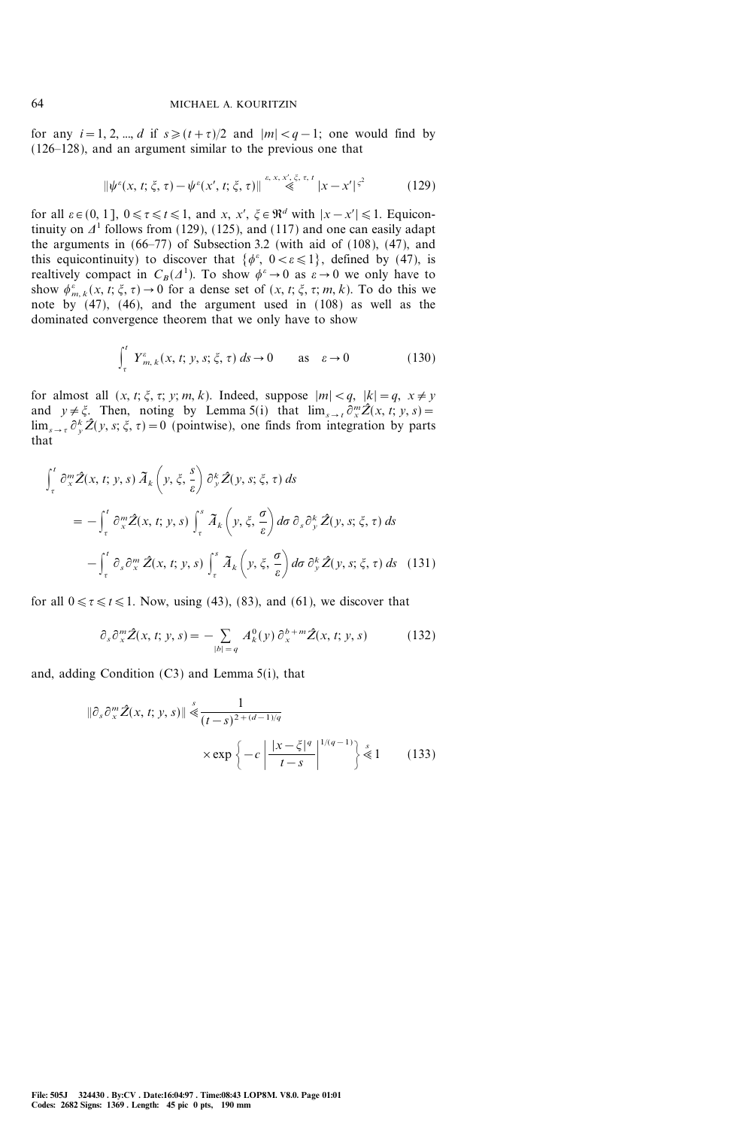for any  $i=1, 2, ..., d$  if  $s\geq (t+\tau)/2$  and  $|m|; one would find by$  $(126-128)$ , and an argument similar to the previous one that

$$
\|\psi^{\varepsilon}(x,t;\xi,\tau) - \psi^{\varepsilon}(x',t;\xi,\tau)\| \stackrel{\varepsilon, x, x', \xi, \tau, t}{\ll} |x - x'|^{\varsigma^2} \tag{129}
$$

for all  $\varepsilon \in (0, 1]$ ,  $0 \le \tau \le t \le 1$ , and  $x, x', \xi \in \mathbb{R}^d$  with  $|x-x'| \le 1$ . Equicontinuity on  $\Delta^1$  follows from (129), (125), and (117) and one can easily adapt the arguments in  $(66-77)$  of Subsection 3.2 (with aid of  $(108)$ ,  $(47)$ , and this equicontinuity) to discover that  $\{\phi^{\varepsilon}, 0 < \varepsilon \leq 1\}$ , defined by (47), is realtively compact in  $C_B(\Lambda^1)$ . To show  $\phi^\varepsilon \to 0$  as  $\varepsilon \to 0$  we only have to show  $\phi_{m,k}^{\varepsilon}(x, t; \xi, \tau) \to 0$  for a dense set of  $(x, t; \xi, \tau; m, k)$ . To do this we note by (47), (46), and the argument used in (108) as well as the dominated convergence theorem that we only have to show

$$
\int_{\tau}^{t} Y_{m,k}^{\varepsilon}(x,t;y,s;\xi,\tau) ds \to 0 \quad \text{as} \quad \varepsilon \to 0 \quad (130)
$$

for almost all  $(x, t; \xi, \tau; y; m, k)$ . Indeed, suppose  $|m| < q$ ,  $|k| = q$ ,  $x \neq y$ and  $y \neq \xi$ . Then, noting by Lemma 5(i) that  $\lim_{s \to t} \partial_x^m \hat{Z}(x, t; y, s) =$  $\lim_{s \to \tau} \partial_{y}^{k} \hat{Z}(y, s; \xi, \tau) = 0$  (pointwise), one finds from integration by parts that

$$
\int_{\tau}^{t} \partial_{x}^{m} \hat{Z}(x, t; y, s) \tilde{A}_{k}\left(y, \xi, \frac{s}{\varepsilon}\right) \partial_{y}^{k} \hat{Z}(y, s; \xi, \tau) ds
$$
\n
$$
= -\int_{\tau}^{t} \partial_{x}^{m} \hat{Z}(x, t; y, s) \int_{\tau}^{s} \tilde{A}_{k}\left(y, \xi, \frac{\sigma}{\varepsilon}\right) d\sigma \partial_{s} \partial_{y}^{k} \hat{Z}(y, s; \xi, \tau) ds
$$
\n
$$
- \int_{\tau}^{t} \partial_{s} \partial_{x}^{m} \hat{Z}(x, t; y, s) \int_{\tau}^{s} \tilde{A}_{k}\left(y, \xi, \frac{\sigma}{\varepsilon}\right) d\sigma \partial_{y}^{k} \hat{Z}(y, s; \xi, \tau) ds \quad (131)
$$

for all  $0 \le \tau \le t \le 1$ . Now, using (43), (83), and (61), we discover that

$$
\partial_s \partial_x^m \hat{Z}(x, t; y, s) = - \sum_{|b| = q} A_k^0(y) \partial_x^{b+m} \hat{Z}(x, t; y, s) \tag{132}
$$

and, adding Condition (C3) and Lemma 5(i), that

$$
\|\partial_s \partial_x^m \hat{Z}(x, t; y, s)\| \stackrel{s}{\leq} \frac{1}{(t-s)^{2 + (d-1)/q}}
$$
  
 
$$
\times \exp\left\{-c \left| \frac{|x-\xi|^q}{t-s} \right|^{1/(q-1)} \right\} \stackrel{s}{\leq} 1 \qquad (133)
$$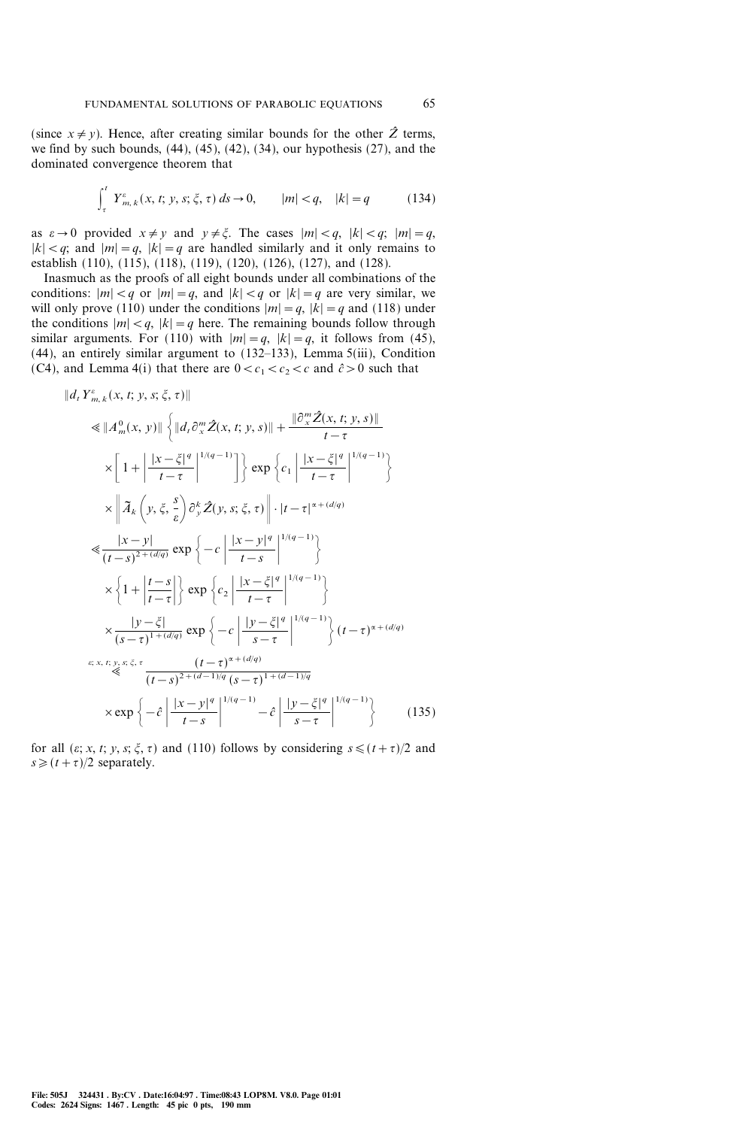(since  $x \neq y$ ). Hence, after creating similar bounds for the other  $\hat{Z}$  terms, we find by such bounds,  $(44)$ ,  $(45)$ ,  $(42)$ ,  $(34)$ , our hypothesis  $(27)$ , and the dominated convergence theorem that

$$
\int_{\tau}^{t} Y_{m,k}^{\varepsilon}(x,t; y, s; \xi, \tau) ds \to 0, \qquad |m| < q, \quad |k| = q \tag{134}
$$

as  $\varepsilon \to 0$  provided  $x \neq y$  and  $y \neq \xi$ . The cases  $|m| < q$ ,  $|k| < q$ ;  $|m| = q$ ,  $|k| < q$ ; and  $|m| = q$ ,  $|k| = q$  are handled similarly and it only remains to establish (110), (115), (118), (119), (120), (126), (127), and (128).

Inasmuch as the proofs of all eight bounds under all combinations of the conditions:  $|m| < q$  or  $|m| = q$ , and  $|k| < q$  or  $|k| = q$  are very similar, we will only prove (110) under the conditions  $|m|=q$ ,  $|k|=q$  and (118) under the conditions  $|m| < q$ ,  $|k| = q$  here. The remaining bounds follow through similar arguments. For (110) with  $|m|=q$ ,  $|k|=q$ , it follows from (45),  $(44)$ , an entirely similar argument to  $(132-133)$ , Lemma 5(iii), Condition (C4), and Lemma 4(i) that there are  $0 < c_1 < c_2 < c$  and  $\hat{c} > 0$  such that

$$
||d_{t} Y_{m,k}^{e}(x, t; y, s; \xi, \tau)||
$$
  
\n
$$
\leq ||A_{m}^{0}(x, y)|| \left\{ ||d_{t} \partial_{x}^{m} \hat{Z}(x, t; y, s)|| + \frac{||\partial_{x}^{m} \hat{Z}(x, t; y, s)||}{t - \tau} \right\}
$$
  
\n
$$
\times \left[ 1 + \left| \frac{|x - \xi|^{q}}{t - \tau} \right|^{1/(q - 1)} \right] \right\} \exp \left\{ c_{1} \left| \frac{|x - \xi|^{q}}{t - \tau} \right|^{1/(q - 1)} \right\}
$$
  
\n
$$
\times \left| \tilde{A}_{k} \left( y, \xi, \frac{s}{\epsilon} \right) \partial_{y}^{k} \hat{Z}(y, s; \xi, \tau) \right| \cdot |t - \tau|^{a + (d/q)}
$$
  
\n
$$
\leq \frac{|x - y|}{(t - s)^{2 + (d/q)}} \exp \left\{ -c \left| \frac{|x - y|^{q}}{t - s} \right|^{1/(q - 1)} \right\}
$$
  
\n
$$
\times \left\{ 1 + \left| \frac{t - s}{t - \tau} \right| \right\} \exp \left\{ c_{2} \left| \frac{|x - \xi|^{q}}{t - \tau} \right|^{1/(q - 1)} \right\}
$$
  
\n
$$
\times \frac{|y - \xi|}{(s - \tau)^{1 + (d/q)}} \exp \left\{ -c \left| \frac{|y - \xi|^{q}}{s - \tau} \right|^{1/(q - 1)} \right\} (t - \tau)^{\alpha + (d/q)}
$$
  
\n
$$
\varepsilon, x, t, y, s, \xi, \tau \frac{(t - \tau)^{\alpha + (d/q)}}{(t - s)^{2 + (d - 1)/q} (s - \tau)^{1 + (d - 1)/q}}
$$
  
\n
$$
\times \exp \left\{ -\hat{c} \left| \frac{|x - y|^{q}}{t - s} \right|^{1/(q - 1)} - \hat{c} \left| \frac{|y - \xi|^{q}}{s - \tau} \right|^{1/(q - 1)} \right\}
$$
(135)

for all  $(\varepsilon; x, t; y, s; \xi, \tau)$  and (110) follows by considering  $s \le (t+\tau)/2$  and  $s \geq (t+\tau)/2$  separately.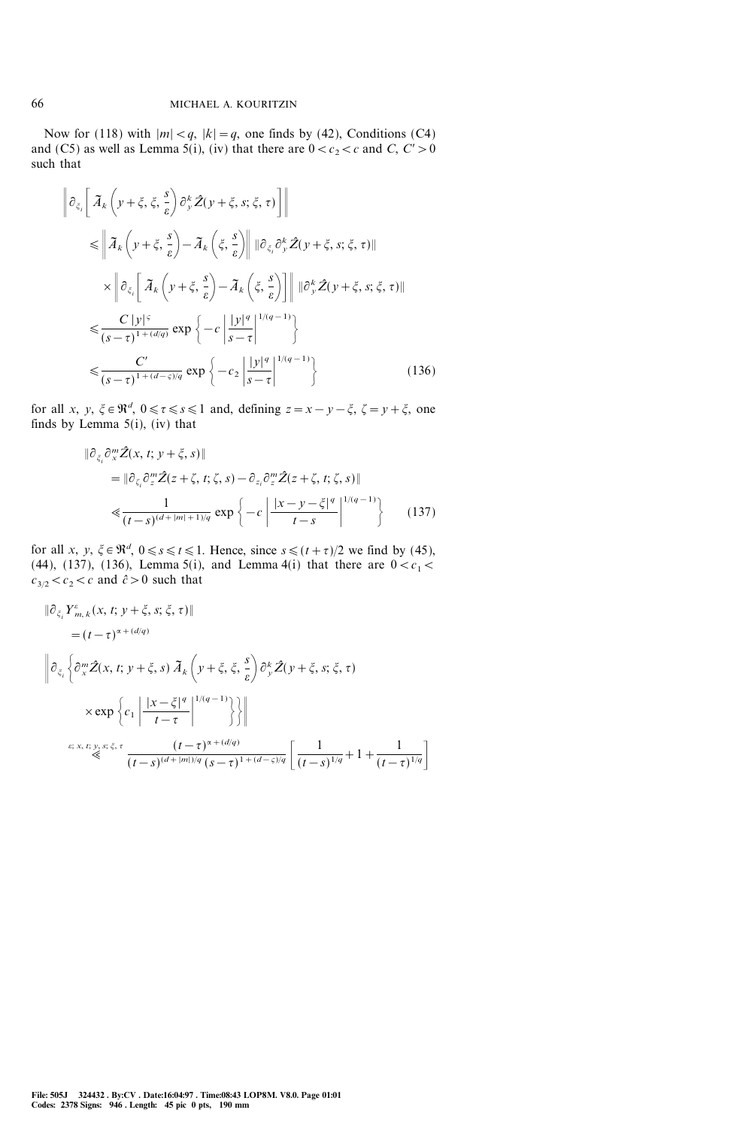Now for (118) with  $|m| < q$ ,  $|k| = q$ , one finds by (42), Conditions (C4) and (C5) as well as Lemma 5(i), (iv) that there are  $0 < c_2 < c$  and C, C' > 0 such that

$$
\left\| \partial_{\xi_i} \left[ \tilde{A}_k \left( y + \xi, \xi, \frac{s}{\varepsilon} \right) \partial_y^k \tilde{Z} (y + \xi, s; \xi, \tau) \right] \right\|
$$
  
\n
$$
\leq \left\| \tilde{A}_k \left( y + \xi, \frac{s}{\varepsilon} \right) - \tilde{A}_k \left( \xi, \frac{s}{\varepsilon} \right) \right\| \left\| \partial_{\xi_i} \partial_y^k \tilde{Z} (y + \xi, s; \xi, \tau) \right\|
$$
  
\n
$$
\times \left\| \partial_{\xi_i} \left[ \tilde{A}_k \left( y + \xi, \frac{s}{\varepsilon} \right) - \tilde{A}_k \left( \xi, \frac{s}{\varepsilon} \right) \right] \right\| \left\| \partial_y^k \tilde{Z} (y + \xi, s; \xi, \tau) \right\|
$$
  
\n
$$
\leq \frac{C |y|^{\varsigma}}{(s - \tau)^{1 + (d/q)}} \exp \left\{ -c \left| \frac{|y|^q}{s - \tau} \right|^{1/(q - 1)} \right\}
$$
  
\n
$$
\leq \frac{C'}{(s - \tau)^{1 + (d - \varsigma)/q}} \exp \left\{ -c_2 \left| \frac{|y|^q}{s - \tau} \right|^{1/(q - 1)} \right\}
$$
(136)

for all x, y,  $\xi \in \mathbb{R}^d$ ,  $0 \le \tau \le s \le 1$  and, defining  $z = x - y - \xi$ ,  $\zeta = y + \xi$ , one finds by Lemma  $5(i)$ , (iv) that

$$
\|\partial_{\xi_i}\partial_x^m \hat{Z}(x, t; y + \xi, s)\|
$$
  
=  $\|\partial_{\zeta_i}\partial_z^m \hat{Z}(z + \zeta, t; \zeta, s) - \partial_{z_i}\partial_z^m \hat{Z}(z + \zeta, t; \zeta, s)\|$   
 $\leq \frac{1}{(t - s)^{(d + |m| + 1)/q}} \exp\left\{-c \left| \frac{|x - y - \xi|^q}{t - s} \right|^{1/(q - 1)}\right\}$  (137)

for all x, y,  $\xi \in \mathbb{R}^d$ ,  $0 \le s \le t \le 1$ . Hence, since  $s \le (t+\tau)/2$  we find by (45), (44), (137), (136), Lemma 5(i), and Lemma 4(i) that there are  $0 < c_1 <$  $c_{3/2} < c_2 < c$  and  $\hat{c} > 0$  such that

$$
\|\partial_{\xi_i} Y^{\varepsilon}_{m,k}(x,t;y+\xi,s;\xi,\tau)\|
$$
\n
$$
= (t-\tau)^{\alpha+(d/q)}
$$
\n
$$
\|\partial_{\xi_i} \left\{\partial_x^m \hat{Z}(x,t;y+\xi,s) \tilde{A}_k \left(y+\xi,\xi,\frac{s}{\varepsilon}\right) \partial_y^k \hat{Z}(y+\xi,s;\xi,\tau)\right\}
$$
\n
$$
\times \exp\left\{c_1 \left|\frac{|x-\xi|^q}{t-\tau}\right|^{1/(q-1)}\right\}\right\|
$$
\n
$$
\varepsilon; x, t; y, s; \xi, \tau
$$
\n
$$
\frac{(t-\tau)^{\alpha+(d/q)}}{(t-s)^{(d+|m|)/q} (s-\tau)^{1+(d-\varsigma)/q}} \left[\frac{1}{(t-s)^{1/q}} + 1 + \frac{1}{(t-\tau)^{1/q}}\right]
$$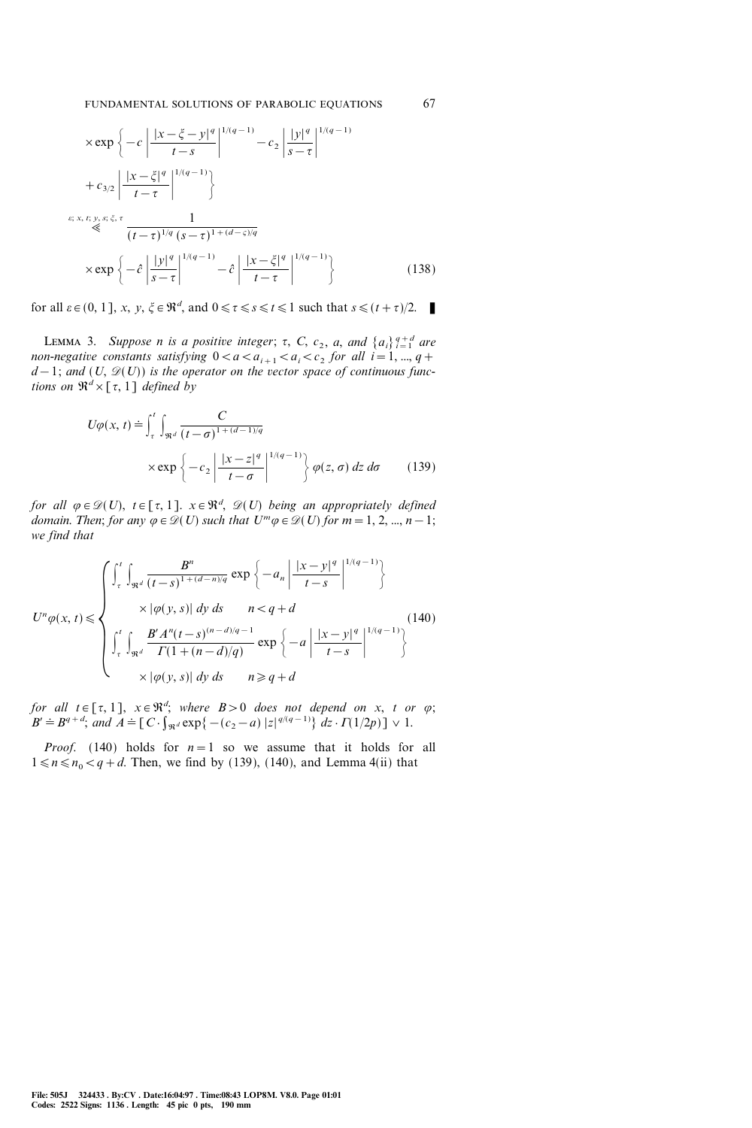$$
\times \exp\left\{-c\left|\frac{|x-\xi-y|^q}{t-s}\right|^{1/(q-1)} - c_2\left|\frac{|y|^q}{s-\tau}\right|^{1/(q-1)}\right\}
$$

$$
+ c_{3/2} \left|\frac{|x-\xi|^q}{t-\tau}\right|^{1/(q-1)}\right\}
$$

$$
\overset{\varepsilon; x, t, y, s; \xi, \tau}{\ll} \frac{1}{(t-\tau)^{1/q} (s-\tau)^{1+(d-\varsigma)/q}}
$$

$$
\times \exp\left\{-\hat{c}\left|\frac{|y|^q}{s-\tau}\right|^{1/(q-1)} - \hat{c}\left|\frac{|x-\xi|^q}{t-\tau}\right|^{1/(q-1)}\right\} \tag{138}
$$

for all  $\varepsilon \in (0, 1]$ , x, y,  $\xi \in \mathbb{R}^d$ , and  $0 \le \tau \le s \le t \le 1$  such that  $s \le (t + \tau)/2$ .

LEMMA 3. Suppose n is a positive integer;  $\tau$ , C,  $c_2$ , a, and  $\{a_i\}_{i=1}^{q+d}$  are non-negative constants satisfying  $0 < a < a_{i+1} < a_i < c_2$  for all  $i = 1, ..., q+1$  $d-1$ ; and  $(U, \mathcal{D}(U))$  is the operator on the vector space of continuous functions on  $\mathfrak{R}^d \times [\tau, 1]$  defined by

$$
U\varphi(x,t) \doteq \int_{\tau}^{t} \int_{\Re^d} \frac{C}{(t-\sigma)^{1+(d-1)/q}}
$$
  
 
$$
\times \exp \left\{-c_2 \left| \frac{|x-z|^q}{t-\sigma} \right|^{1/(q-1)} \right\} \varphi(z,\sigma) dz d\sigma \qquad (139)
$$

for all  $\varphi \in \mathscr{D}(U)$ ,  $t \in [\tau, 1]$ .  $x \in \mathbb{R}^d$ ,  $\mathscr{D}(U)$  being an appropriately defined domain. Then; for any  $\varphi \in \mathscr{D}(U)$  such that  $U^m \varphi \in \mathscr{D}(U)$  for  $m=1, 2, ..., n-1$ ; we find that

$$
U^{n}\varphi(x,t) \leqslant \begin{cases} \int_{\tau}^{t} \int_{\Re^{d}} \frac{B^{n}}{(t-s)^{1+(d-n)/q}} \exp\left\{-a_{n} \left| \frac{|x-y|^{q}}{t-s} \right|^{1/(q-1)}\right\} \\ \times |\varphi(y,s)| dy ds \qquad n < q + d \\ \int_{\tau}^{t} \int_{\Re^{d}} \frac{B' A^{n}(t-s)^{(n-d)/q-1}}{\Gamma(1+(n-d)/q)} \exp\left\{-a \left| \frac{|x-y|^{q}}{t-s} \right|^{1/(q-1)}\right\} \\ \times |\varphi(y,s)| dy ds \qquad n \geqslant q + d \end{cases} \tag{140}
$$

for all  $t \in [\tau, 1]$ ,  $x \in \mathbb{R}^d$ ; where  $B > 0$  does not depend on x, t or  $\varphi$ ;  $B' \doteq B^{q+d}$ ; and  $A \doteq [C \cdot \int_{\Re^d} \exp\{-(c_2-a) |z|^{q/(q-1)}\} dz \cdot \Gamma(1/2p)] \vee 1$ .

*Proof.* (140) holds for  $n=1$  so we assume that it holds for all  $1 \le n \le n_0 < q+d$ . Then, we find by (139), (140), and Lemma 4(ii) that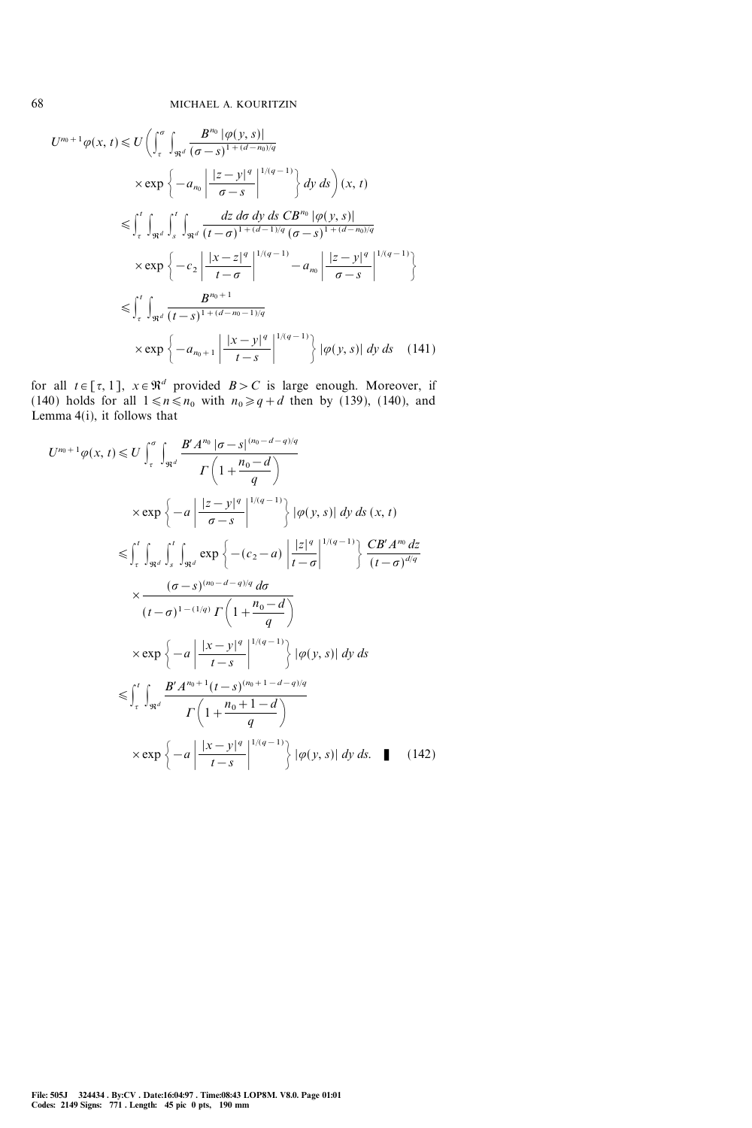$$
U^{n_0+1}\varphi(x, t) \leq U\left(\int_{\tau}^{\sigma}\int_{\Re^d} \frac{B^{n_0}|\varphi(y, s)|}{(\sigma - s)^{1 + (d - n_0)/q}}\right)
$$
  
\n
$$
\times \exp\left\{-a_{n_0}\left|\frac{|z - y|^q}{\sigma - s}\right|^{1/(q - 1)}\right\} dy ds\right)(x, t)
$$
  
\n
$$
\leq \int_{\tau}^{t} \int_{\Re^d} \int_{s}^{t} \int_{\Re^d} \frac{dz d\sigma dy ds C B^{n_0}|\varphi(y, s)|}{(t - \sigma)^{1 + (d - 1)/q} (\sigma - s)^{1 + (d - n_0)/q}}
$$
  
\n
$$
\times \exp\left\{-c_2\left|\frac{|x - z|^q}{t - \sigma}\right|^{1/(q - 1)} - a_{n_0}\left|\frac{|z - y|^q}{\sigma - s}\right|^{1/(q - 1)}\right\}
$$
  
\n
$$
\leq \int_{\tau}^{t} \int_{\Re^d} \frac{B^{n_0 + 1}}{(t - s)^{1 + (d - n_0 - 1)/q}}
$$
  
\n
$$
\times \exp\left\{-a_{n_0 + 1}\left|\frac{|x - y|^q}{t - s}\right|^{1/(q - 1)}\right\} |\varphi(y, s)| dy ds \quad (141)
$$

for all  $t \in [\tau, 1]$ ,  $x \in \mathbb{R}^d$  provided  $B > C$  is large enough. Moreover, if (140) holds for all  $1 \le n \le n_0$  with  $n_0 \ge q+d$  then by (139), (140), and Lemma 4(i), it follows that

$$
U^{n_0+1}\varphi(x,t) \leq U \int_{\tau}^{\sigma} \int_{\Re^d} \frac{B'A^{n_0} |\sigma - s|^{(n_0-d-q)/q}}{\Gamma(1 + \frac{n_0-d}{q})}
$$
  
\n
$$
\times \exp \left\{-a \left| \frac{|z - y|^q}{\sigma - s} \right|^{1/(q-1)} \right\} |\varphi(y,s)| dy ds(x,t)
$$
  
\n
$$
\leq \int_{\tau}^{t} \int_{\Re^d} \int_{s}^{t} \int_{\Re^d} \exp \left\{- (c_2 - a) \left| \frac{|z|^q}{t - \sigma} \right|^{1/(q-1)} \right\} \frac{CB'A^{n_0} dz}{(t - \sigma)^{d/q}}
$$
  
\n
$$
\times \frac{(\sigma - s)^{(n_0-d-q)/q} d\sigma}{(t - \sigma)^{1-(1/q)} \Gamma(1 + \frac{n_0-d}{q})}
$$
  
\n
$$
\times \exp \left\{-a \left| \frac{|x - y|^q}{t - s} \right|^{1/(q-1)} \right\} |\varphi(y,s)| dy ds
$$
  
\n
$$
\leq \int_{\tau}^{t} \int_{\Re^d} \frac{B'A^{n_0+1}(t - s)^{(n_0+1-d-q)/q}}{\Gamma(1 + \frac{n_0+1-d}{q})}
$$
  
\n
$$
\times \exp \left\{-a \left| \frac{|x - y|^q}{t - s} \right|^{1/(q-1)} \right\} |\varphi(y,s)| dy ds. \quad (142)
$$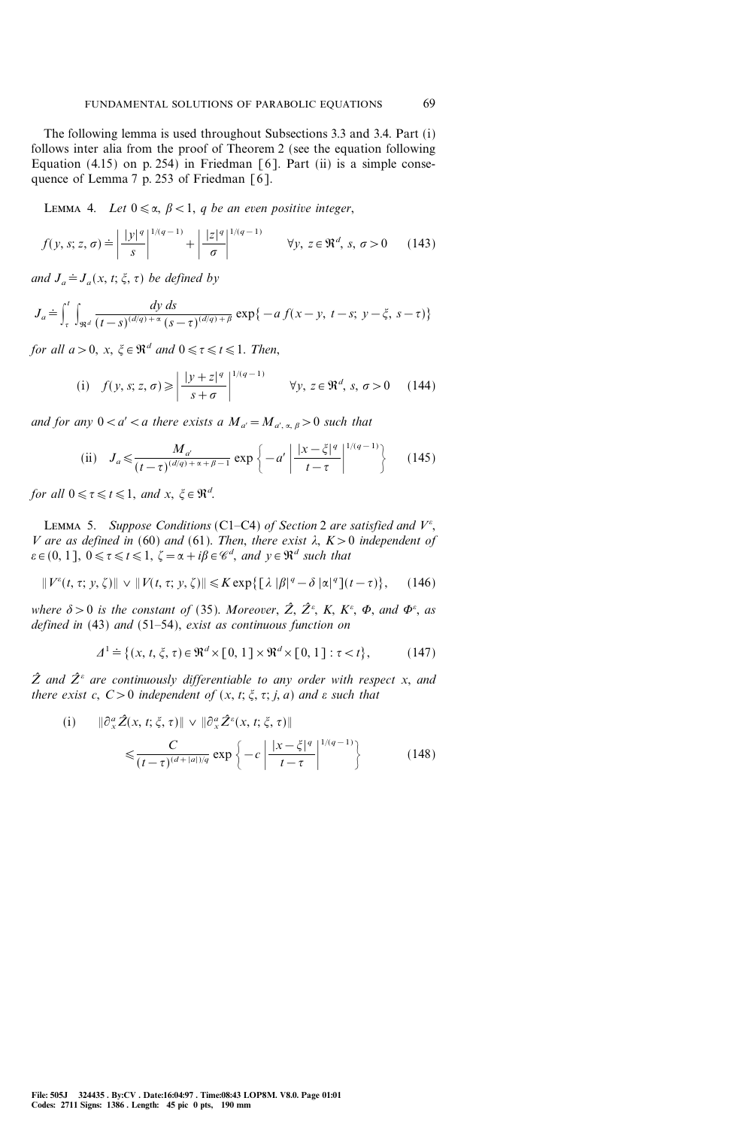The following lemma is used throughout Subsections 3.3 and 3.4. Part (i) follows inter alia from the proof of Theorem 2 (see the equation following Equation (4.15) on p. 254) in Friedman [6]. Part (ii) is a simple consequence of Lemma 7 p. 253 of Friedman [6].

LEMMA 4. Let  $0 \le \alpha$ ,  $\beta < 1$ , q be an even positive integer,

$$
f(y, s; z, \sigma) \doteq \left| \frac{|y|^q}{s} \right|^{1/(q-1)} + \left| \frac{|z|^q}{\sigma} \right|^{1/(q-1)} \qquad \forall y, \ z \in \mathfrak{R}^d, \ s, \ \sigma > 0 \tag{143}
$$

and  $J_a \doteq J_a(x, t; \xi, \tau)$  be defined by

$$
J_a \doteq \int_{\tau}^{t} \int_{\Re^d} \frac{dy \, ds}{(t-s)^{(d/q)+\alpha} (s-\tau)^{(d/q)+\beta}} \exp\{-a \, f(x-y, \ t-s; \ y-\xi, \ s-\tau)\}
$$

for all  $a>0$ ,  $x, \xi \in \mathbb{R}^d$  and  $0 \leq \tau \leq t \leq 1$ . Then,

(i) 
$$
f(y, s; z, \sigma) \ge \left| \frac{|y+z|^q}{s+\sigma} \right|^{1/(q-1)}
$$
  $\forall y, z \in \mathbb{R}^d, s, \sigma > 0$  (144)

and for any  $0 < a' < a$  there exists a  $M_{a'} = M_{a', a, \beta} > 0$  such that

(ii) 
$$
J_a \le \frac{M_{a'}}{(t-\tau)^{(d/q)+\alpha+\beta-1}} \exp\left\{-a'\left|\frac{|x-\xi|^q}{t-\tau}\right|^{1/(q-1)}\right\}
$$
 (145)

for all  $0 \le \tau \le t \le 1$ , and  $x, \xi \in \mathbb{R}^d$ .

LEMMA 5. Suppose Conditions (C1-C4) of Section 2 are satisfied and  $V^{\varepsilon}$ , V are as defined in (60) and (61). Then, there exist  $\lambda$ ,  $K>0$  independent of  $\varepsilon \in (0, 1], 0 \leq \tau \leq t \leq 1, \zeta = \alpha + i\beta \in \mathscr{C}^d$ , and  $y \in \mathfrak{R}^d$  such that

$$
\|V^{\varepsilon}(t,\tau; y,\zeta)\| \vee \|V(t,\tau; y,\zeta)\| \leq K \exp\bigl\{\bigl[\lambda\,|\beta|^q - \delta\,|\alpha|^q\bigr](t-\tau)\bigr\},\qquad(146)
$$

where  $\delta > 0$  is the constant of (35). Moreover,  $\hat{Z}$ ,  $\hat{Z}^{\varepsilon}$ , K, K $^{\varepsilon}$ ,  $\Phi$ , and  $\Phi^{\varepsilon}$ , as defined in  $(43)$  and  $(51–54)$ , exist as continuous function on

$$
\varDelta^1 \doteq \{ (x, t, \xi, \tau) \in \Re^d \times [0, 1] \times \Re^d \times [0, 1] : \tau < t \},\tag{147}
$$

 $\hat{Z}$  and  $\hat{Z}^{\varepsilon}$  are continuously differentiable to any order with respect x, and there exist c,  $C>0$  independent of  $(x, t; \xi, \tau; j, a)$  and  $\varepsilon$  such that

$$
\begin{aligned} \text{(i)} \qquad & \|\partial_x^{\alpha}\hat{Z}(x,t;\xi,\tau)\| \vee \|\partial_x^{\alpha}\hat{Z}^{\varepsilon}(x,t;\xi,\tau)\| \\ &\leqslant \frac{C}{(t-\tau)^{(d+|a|)/q}} \exp\left\{-c\left|\frac{|x-\xi|^q}{t-\tau}\right|^{1/(q-1)}\right\} \end{aligned} \tag{148}
$$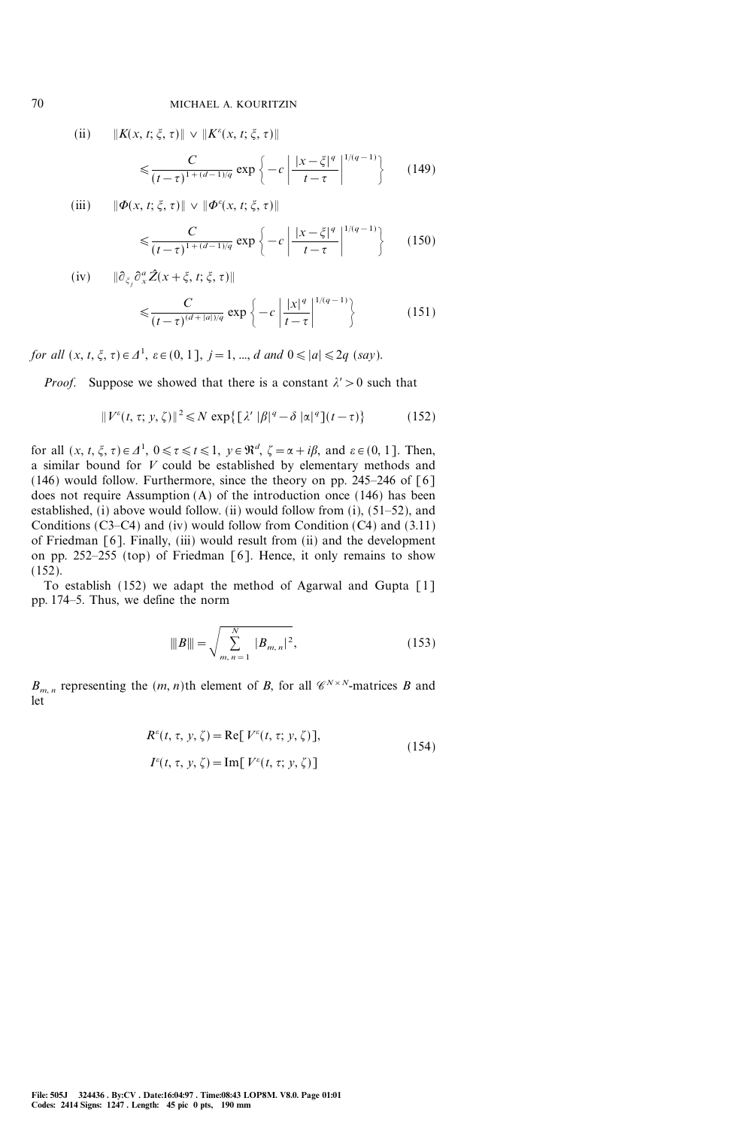(ii)  $\|K(x, t; \xi, \tau)\| \vee \|K^{\varepsilon}(x, t; \xi, \tau)\|$ 

$$
\leq \frac{C}{(t-\tau)^{1+(d-1)/q}} \exp\left\{-c\left|\frac{|x-\xi|^q}{t-\tau}\right|^{1/(q-1)}\right\} \qquad (149)
$$

(iii)  $\|\Phi(x, t; \xi, \tau)\| \vee \|\Phi^{\varepsilon}(x, t; \xi, \tau)\|$ 

$$
\leqslant \frac{C}{(t-\tau)^{1+(d-1)/q}} \exp\left\{-c\left|\frac{|x-\xi|^q}{t-\tau}\right|^{1/(q-1)}\right\} \qquad (150)
$$

(iv)  $\|\partial_{\xi_j}\partial_x^a \hat{Z}(x+\xi, t; \xi, \tau)\|$ 

$$
\leqslant \frac{C}{(t-\tau)^{(d+|a|)/q}} \exp\left\{-c\left|\frac{|x|^q}{t-\tau}\right|^{1/(q-1)}\right\} \tag{151}
$$

for all  $(x, t, \xi, \tau) \in \Delta^1$ ,  $\varepsilon \in (0, 1]$ ,  $j = 1, ..., d$  and  $0 \leq |a| \leq 2q$  (say).

*Proof.* Suppose we showed that there is a constant  $\lambda' > 0$  such that

$$
||V^{\varepsilon}(t,\tau; y,\zeta)||^{2} \leq N \exp\{[\lambda' ||\beta|^q - \delta |\alpha|^q](t-\tau)\}
$$
 (152)

for all  $(x, t, \xi, \tau) \in \Delta^1$ ,  $0 \le \tau \le t \le 1$ ,  $y \in \Re^d$ ,  $\zeta = \alpha + i\beta$ , and  $\varepsilon \in (0, 1]$ . Then, a similar bound for V could be established by elementary methods and  $(146)$  would follow. Furthermore, since the theory on pp. 245–246 of [6] does not require Assumption (A) of the introduction once (146) has been established,  $(i)$  above would follow.  $(ii)$  would follow from  $(i)$ ,  $(51–52)$ , and Conditions  $(C3-C4)$  and (iv) would follow from Condition  $(C4)$  and  $(3.11)$ of Friedman [6]. Finally, (iii) would result from (ii) and the development on pp. 252–255 (top) of Friedman  $[6]$ . Hence, it only remains to show (152).

To establish (152) we adapt the method of Agarwal and Gupta [1] pp. 174–5. Thus, we define the norm

$$
\|B\| = \sqrt{\sum_{m,n=1}^{N} |B_{m,n}|^2},
$$
\n(153)

 $B_{m,n}$  representing the  $(m, n)$ th element of B, for all  $\mathscr{C}^{N\times N}$ -matrices B and let

$$
R^{\varepsilon}(t, \tau, y, \zeta) = \text{Re}[V^{\varepsilon}(t, \tau; y, \zeta)],
$$
  
\n
$$
I^{\varepsilon}(t, \tau, y, \zeta) = \text{Im}[V^{\varepsilon}(t, \tau; y, \zeta)]
$$
\n(154)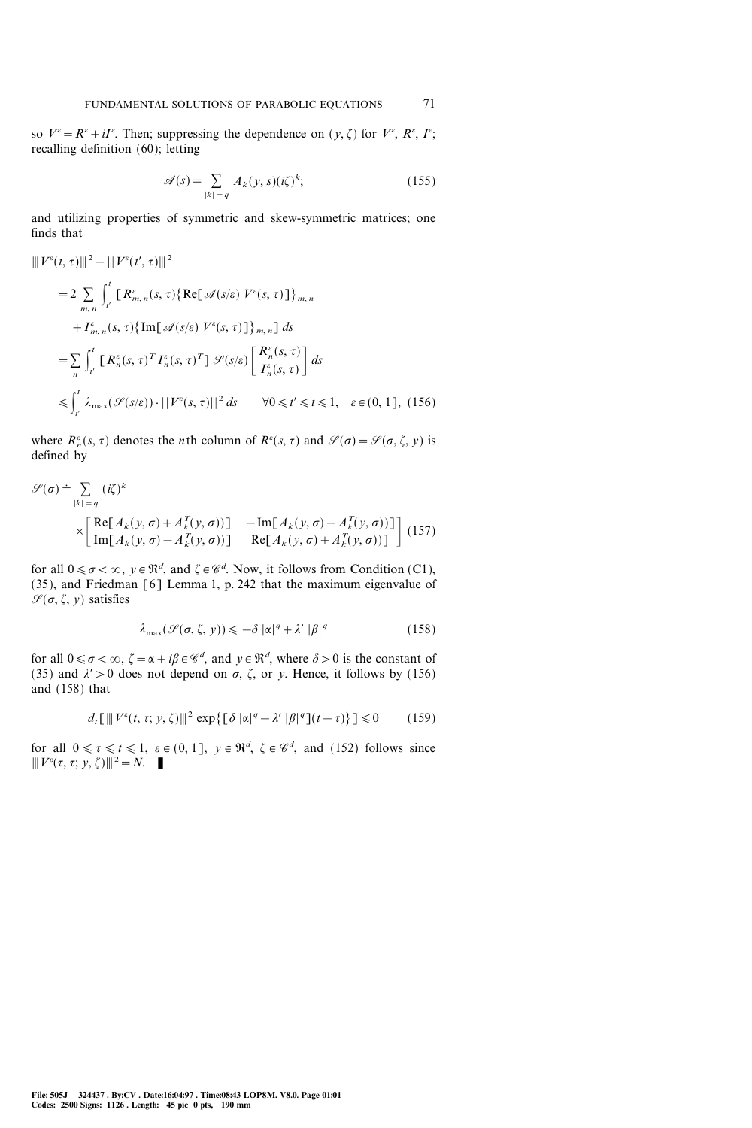so  $V^{\varepsilon} = R^{\varepsilon} + iI^{\varepsilon}$ . Then; suppressing the dependence on  $(y, \zeta)$  for  $V^{\varepsilon}$ ,  $R^{\varepsilon}$ ,  $I^{\varepsilon}$ ; recalling definition (60); letting

$$
\mathscr{A}(s) = \sum_{|k|=q} A_k(y, s)(i\zeta)^k; \tag{155}
$$

and utilizing properties of symmetric and skew-symmetric matrices; one finds that

$$
\|V^{\varepsilon}(t,\tau)\|^{2} - \|V^{\varepsilon}(t',\tau)\|^{2}
$$
  
\n
$$
= 2 \sum_{m,n} \int_{t'}^{t} [R_{m,n}^{\varepsilon}(s,\tau)\{Re[\mathcal{A}(s/\varepsilon) V^{\varepsilon}(s,\tau)]\}_{m,n} + I_{m,n}^{\varepsilon}(s,\tau)\{Im[\mathcal{A}(s/\varepsilon) V^{\varepsilon}(s,\tau)]\}_{m,n}] ds
$$
  
\n
$$
= \sum_{n} \int_{t'}^{t} [R_{n}^{\varepsilon}(s,\tau)^{T} I_{n}^{\varepsilon}(s,\tau)^{T}] \mathcal{S}(s/\varepsilon) \left[\frac{R_{n}^{\varepsilon}(s,\tau)}{I_{n}^{\varepsilon}(s,\tau)}\right] ds
$$
  
\n
$$
\leq \int_{t'}^{t} \lambda_{\max}(\mathcal{S}(s/\varepsilon)) \cdot \|V^{\varepsilon}(s,\tau)\|^{2} ds \qquad \forall 0 \leq t' \leq t \leq 1, \quad \varepsilon \in (0, 1], (156)
$$

where  $R_n^{\varepsilon}(s, \tau)$  denotes the *n*th column of  $R^{\varepsilon}(s, \tau)$  and  $\mathcal{S}(\sigma) = \mathcal{S}(\sigma, \zeta, y)$  is defined by

$$
\mathcal{G}(\sigma) \doteq \sum_{|k|=q} (i\zeta)^k
$$
  
 
$$
\times \begin{bmatrix} \text{Re}[A_k(y, \sigma) + A_k^T(y, \sigma))] & -\text{Im}[A_k(y, \sigma) - A_k^T(y, \sigma)] \\ \text{Im}[A_k(y, \sigma) - A_k^T(y, \sigma))] & \text{Re}[A_k(y, \sigma) + A_k^T(y, \sigma)] \end{bmatrix}
$$
(157)

for all  $0 \le \sigma < \infty$ ,  $y \in \mathbb{R}^d$ , and  $\zeta \in \mathcal{C}^d$ . Now, it follows from Condition (C1), (35), and Friedman [6] Lemma 1, p. 242 that the maximum eigenvalue of  $\mathscr{S}(\sigma, \zeta, y)$  satisfies

$$
\lambda_{\max}(\mathcal{S}(\sigma,\zeta,\,y)) \leqslant -\delta |\alpha|^q + \lambda' |\beta|^q \tag{158}
$$

for all  $0 \le \sigma < \infty$ ,  $\zeta = \alpha + i\beta \in \mathcal{C}^d$ , and  $y \in \mathbb{R}^d$ , where  $\delta > 0$  is the constant of (35) and  $\lambda' > 0$  does not depend on  $\sigma$ ,  $\zeta$ , or y. Hence, it follows by (156) and (158) that

$$
d_t \left[ \left\| V^{\varepsilon}(t, \tau; y, \zeta) \right\|^2 \exp \left\{ \left[ \delta \left| \alpha \right|^{q} - \lambda' \left| \beta \right|^{q} \right] (t - \tau) \right\} \right] \leq 0 \quad (159)
$$

for all  $0 \le \tau \le t \le 1$ ,  $\varepsilon \in (0, 1]$ ,  $y \in \mathbb{R}^d$ ,  $\zeta \in \mathcal{C}^d$ , and (152) follows since  $\Vert V^{\varepsilon}(\tau, \tau; y, \zeta) \Vert^{2} = N.$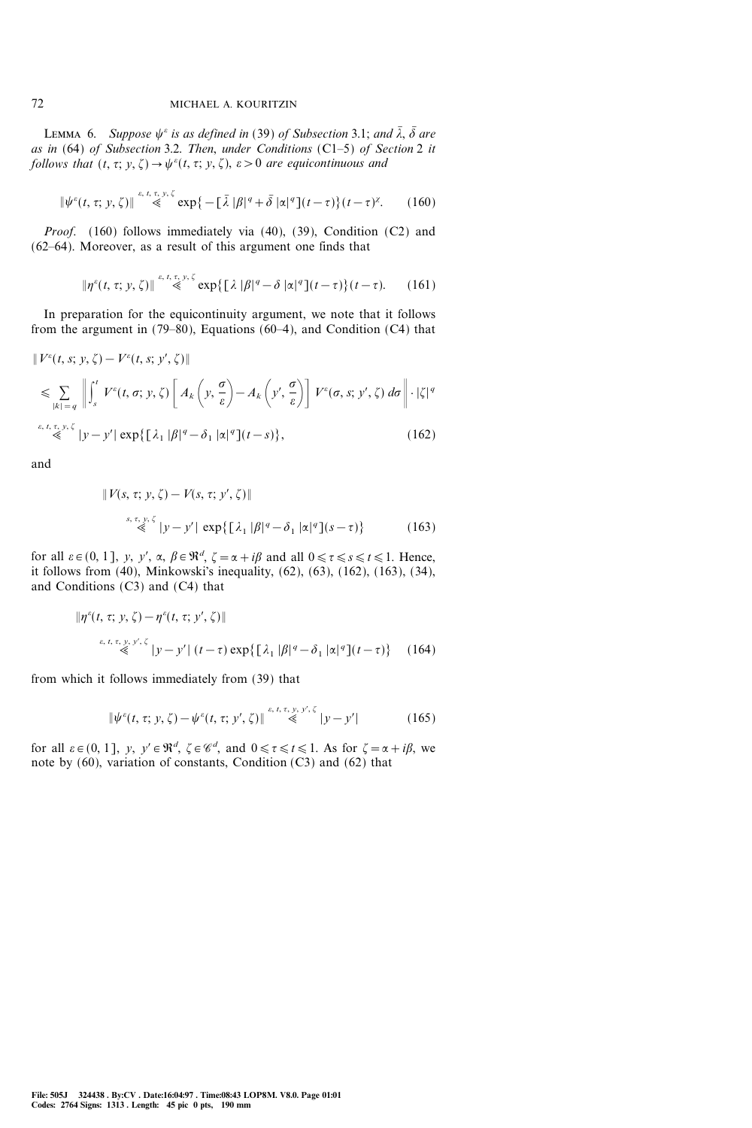LEMMA 6. Suppose  $\psi^{\varepsilon}$  is as defined in (39) of Subsection 3.1; and  $\bar{\lambda}$ ,  $\bar{\delta}$  are as in  $(64)$  of Subsection 3.2. Then, under Conditions  $(C1-5)$  of Section 2 it follows that  $(t, \tau; y, \zeta) \rightarrow \psi^{\varepsilon}(t, \tau; y, \zeta)$ ,  $\varepsilon > 0$  are equicontinuous and

$$
\|\psi^{\varepsilon}(t,\tau;\,y,\,\zeta)\| \stackrel{\varepsilon,\,t,\,\tau,\,y,\,\zeta}{\ll} \exp\big\{-\big[\,\bar{\lambda}\,\,|\beta|^q + \bar{\delta}\,\,|\alpha|^q\big](t-\tau)\big\}\,(t-\tau)^{\chi}.\qquad(160)
$$

Proof. (160) follows immediately via (40), (39), Condition (C2) and  $(62-64)$ . Moreover, as a result of this argument one finds that

$$
\|\eta^{\varepsilon}(t,\tau; y,\zeta)\| \stackrel{\varepsilon, t,\tau, y,\zeta}{\ll} \exp\{\big[\lambda|\beta|^q - \delta|\alpha|^q\big](t-\tau)\big\}(t-\tau). \qquad (161)
$$

In preparation for the equicontinuity argument, we note that it follows from the argument in  $(79-80)$ , Equations  $(60-4)$ , and Condition  $(C4)$  that

$$
\|V^{\varepsilon}(t,s; y, \zeta) - V^{\varepsilon}(t,s; y', \zeta)\|
$$
  
\n
$$
\leq \sum_{|k|=q} \left\| \int_{s}^{t} V^{\varepsilon}(t,\sigma; y, \zeta) \left[ A_{k}\left(y, \frac{\sigma}{\varepsilon}\right) - A_{k}\left(y, \frac{\sigma}{\varepsilon}\right) \right] V^{\varepsilon}(\sigma, s; y', \zeta) d\sigma \right\| \cdot |\zeta|^{q}
$$
  
\n
$$
\stackrel{\varepsilon, t, \tau, y, \zeta}{\leq} |y - y'| \exp\{\left[ \lambda_{1} |\beta|^{q} - \delta_{1} |\alpha|^{q}\right](t-s)\},
$$
\n(162)

and

$$
\|V(s,\tau; y,\zeta) - V(s,\tau; y',\zeta)\|
$$
  

$$
\stackrel{s,\tau, y,\zeta}{\ll} |y-y'| \exp\{\left[\lambda_1 |\beta|^q - \delta_1 |\alpha|^q\right](s-\tau)\}
$$
 (163)

for all  $\varepsilon \in (0, 1]$ , y, y',  $\alpha$ ,  $\beta \in \mathbb{R}^d$ ,  $\zeta = \alpha + i\beta$  and all  $0 \le \tau \le s \le t \le 1$ . Hence, it follows from (40), Minkowski's inequality, (62), (63), (162), (163), (34), and Conditions (C3) and (C4) that

$$
\|\eta^{\varepsilon}(t,\tau; y,\zeta) - \eta^{\varepsilon}(t,\tau; y',\zeta)\|
$$
  

$$
\stackrel{\varepsilon, t,\tau, y, y',\zeta}{\ll} |y - y'| (t - \tau) \exp{\{\lambda_1 |\beta|^q - \delta_1 |\alpha|^q \}}(t - \tau) \qquad (164)
$$

from which it follows immediately from (39) that

$$
\|\psi^{\varepsilon}(t,\tau; y,\zeta) - \psi^{\varepsilon}(t,\tau; y',\zeta)\| \stackrel{\varepsilon,\,t,\,\tau,\,y,\,y',\,\zeta}{\ll} |y-y'| \tag{165}
$$

for all  $\varepsilon \in (0, 1]$ , y,  $y' \in \mathbb{R}^d$ ,  $\zeta \in \mathscr{C}^d$ , and  $0 \le \tau \le t \le 1$ . As for  $\zeta = \alpha + i\beta$ , we note by (60), variation of constants, Condition (C3) and (62) that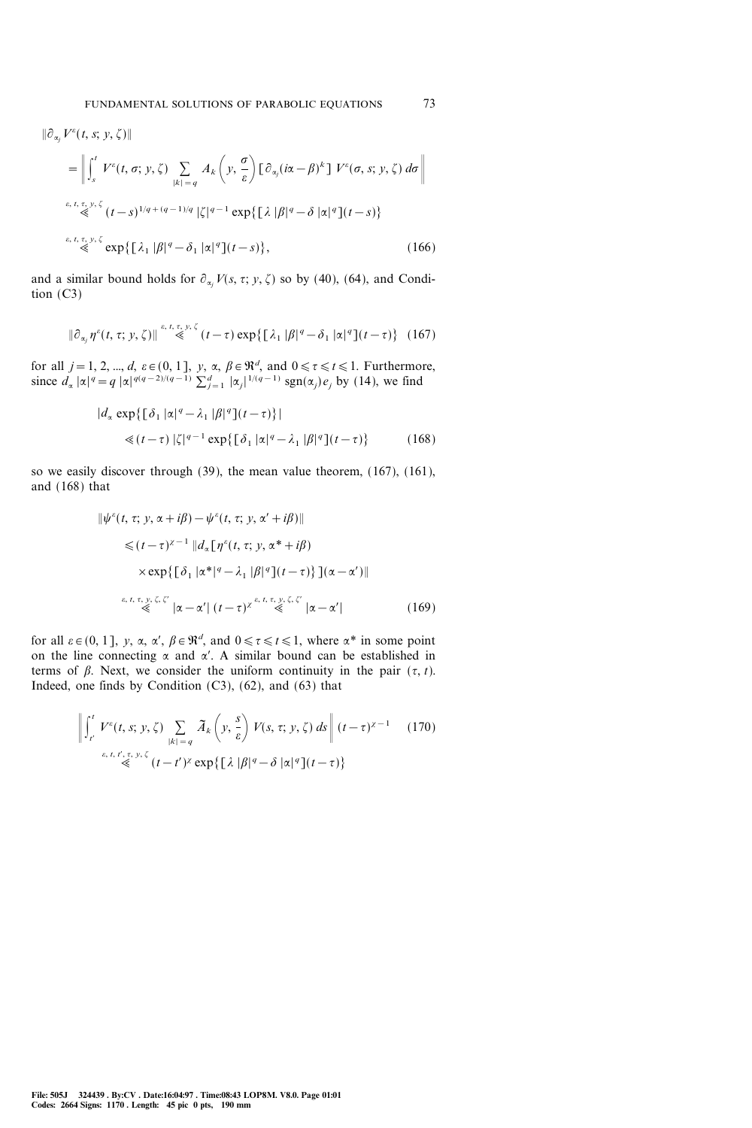$$
\|\partial_{\alpha_j} V^{\varepsilon}(t, s; y, \zeta)\|
$$
\n
$$
= \left\| \int_s^t V^{\varepsilon}(t, \sigma; y, \zeta) \sum_{|k| = q} A_k \left( y, \frac{\sigma}{\varepsilon} \right) [\partial_{\alpha_j} (i\alpha - \beta)^k] V^{\varepsilon}(\sigma, s; y, \zeta) d\sigma \right\|
$$
\n
$$
\stackrel{\varepsilon, t, \tau, y, \zeta}{\ll} (t - s)^{1/q + (q - 1)/q} |\zeta|^{q - 1} \exp\{ [\lambda |\beta|^q - \delta |\alpha|^q](t - s) \}
$$
\n
$$
\stackrel{\varepsilon, t, \tau, y, \zeta}{\ll} \exp\{ [\lambda_1 |\beta|^q - \delta_1 |\alpha|^q](t - s) \}, \tag{166}
$$

and a similar bound holds for  $\partial_{\alpha_j} V(s, \tau; y, \zeta)$  so by (40), (64), and Condition (C3)

$$
\|\partial_{\alpha_j}\eta^{\varepsilon}(t,\tau;y,\zeta)\| \stackrel{\varepsilon,\,t,\,\tau,\,y,\,\zeta}{\leq}(t-\tau)\exp\bigl\{\bigl[\lambda_1\,|\beta|^q-\delta_1\,|\alpha|^q\bigr](t-\tau)\bigr\}\quad(167)
$$

for all  $j = 1, 2, ..., d$ ,  $\varepsilon \in (0, 1]$ ,  $y, \alpha, \beta \in \mathbb{R}^d$ , and  $0 \le \tau \le t \le 1$ . Furthermore, since  $d_{\alpha} |\alpha|^{q} = q |\alpha|^{q(q-2)/(q-1)} \sum_{j=1}^{d} |\alpha_j|^{1/(q-1)} \operatorname{sgn}(\alpha_j) e_j$  by (14), we find

$$
|d_{\alpha} \exp\{[\delta_1 |\alpha|^q - \lambda_1 |\beta|^q](t-\tau)\}|
$$
  
\$\leq (t-\tau) |\zeta|^{q-1} \exp\{[\delta\_1 |\alpha|^q - \lambda\_1 |\beta|^q](t-\tau)\}\$ (168)

so we easily discover through (39), the mean value theorem, (167), (161), and (168) that

$$
\|\psi^{\varepsilon}(t,\tau; y, \alpha + i\beta) - \psi^{\varepsilon}(t,\tau; y, \alpha' + i\beta)\|
$$
  
\n
$$
\leq (t-\tau)^{\chi-1} \|d_{\alpha}[\eta^{\varepsilon}(t,\tau; y, \alpha^* + i\beta)]
$$
  
\n
$$
\times \exp\{[\delta_1 |\alpha^*|^q - \lambda_1 |\beta|^q](t-\tau)\}](\alpha - \alpha')\|
$$
  
\n
$$
\lim_{\varepsilon, t,\tau, y,\zeta,\zeta'} |\alpha - \alpha'| (t-\tau)^{\chi} \leq \lim_{\varepsilon, t,\tau, y,\zeta,\zeta'} |\alpha - \alpha'|
$$
 (169)

for all  $\varepsilon \in (0, 1]$ , y,  $\alpha$ ,  $\alpha'$ ,  $\beta \in \mathbb{R}^d$ , and  $0 \le \tau \le t \le 1$ , where  $\alpha^*$  in some point on the line connecting  $\alpha$  and  $\alpha'$ . A similar bound can be established in terms of  $\beta$ . Next, we consider the uniform continuity in the pair  $({\tau}, t)$ . Indeed, one finds by Condition  $(C3)$ ,  $(62)$ , and  $(63)$  that

$$
\left\| \int_{t'}^{t} V^{\varepsilon}(t, s; y, \zeta) \sum_{|k| = q} \tilde{A}_{k} \left( y, \frac{s}{\varepsilon} \right) V(s, \tau; y, \zeta) ds \right\| (t - \tau)^{\chi - 1} \qquad (170)
$$
  

$$
\stackrel{\varepsilon, t, t', \tau, y, \zeta}{\ll} (t - t')^{\chi} \exp\left\{ \left[ \lambda \left| \beta \right|^{q} - \delta \left| \alpha \right|^{q} \right] (t - \tau) \right\}
$$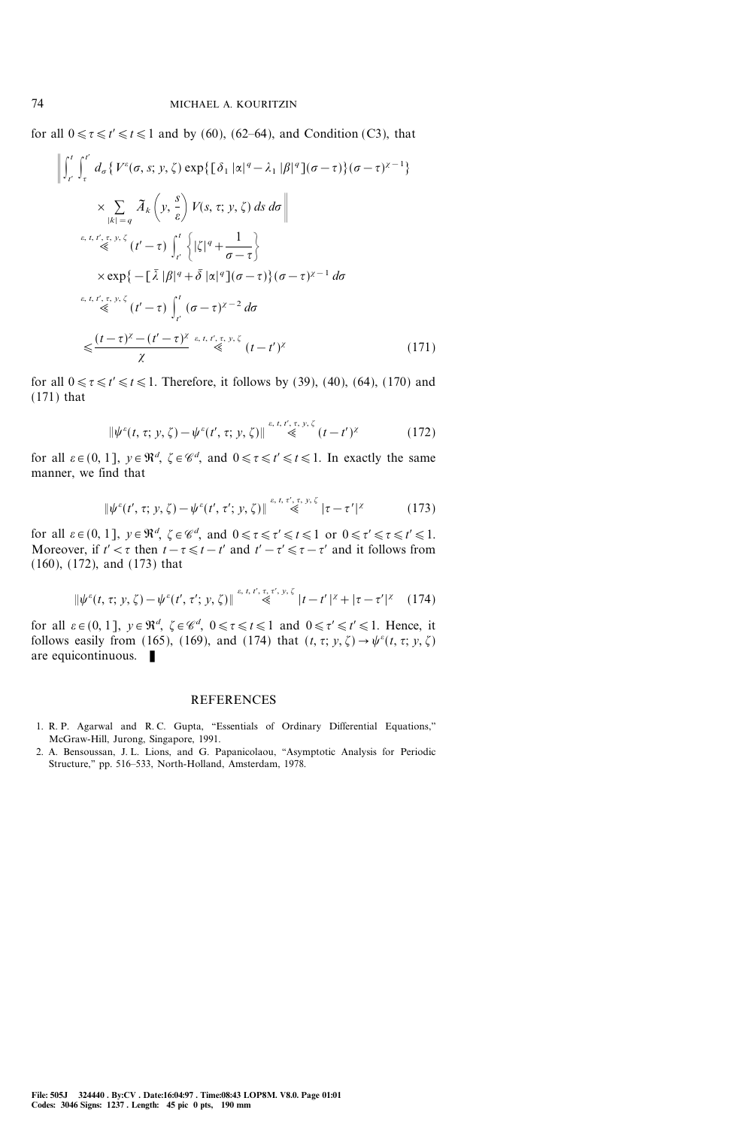for all  $0 \le \tau \le t' \le 1$  and by (60), (62–64), and Condition (C3), that

$$
\left\| \int_{t'}^{t} \int_{\tau}^{t'} d_{\sigma} \left\{ V^{\varepsilon}(\sigma, s; y, \zeta) \exp \{ \left[ \delta_{1} |\alpha|^{q} - \lambda_{1} |\beta|^{q} \right] (\sigma - \tau) \} (\sigma - \tau)^{\chi - 1} \right\} \right\}
$$
\n
$$
\times \sum_{|k| = q} \tilde{A}_{k} \left( y, \frac{s}{\varepsilon} \right) V(s, \tau; y, \zeta) \, ds \, d\sigma \right\}
$$
\n
$$
\stackrel{\varepsilon, t, t', \tau, y, \zeta}{\ll} (t' - \tau) \int_{t'}^{t} \left\{ |\zeta|^{q} + \frac{1}{\sigma - \tau} \right\}
$$
\n
$$
\times \exp \left\{ - \left[ \bar{\lambda} |\beta|^{q} + \bar{\delta} |\alpha|^{q} \right] (\sigma - \tau) \right\} (\sigma - \tau)^{\chi - 1} \, d\sigma
$$
\n
$$
\stackrel{\varepsilon, t, t', \tau, y, \zeta}{\ll} (t' - \tau) \int_{t'}^{t} (\sigma - \tau)^{\chi - 2} \, d\sigma
$$
\n
$$
\leq \frac{(t - \tau)^{\chi} - (t' - \tau)^{\chi}}{\chi} \stackrel{\varepsilon, t, t', \tau, y, \zeta}{\ll} (t - t')^{\chi} \qquad (171)
$$

for all  $0 \le \tau \le t' \le 1$ . Therefore, it follows by (39), (40), (64), (170) and (171) that

$$
\|\psi^{\varepsilon}(t,\tau;y,\zeta)-\psi^{\varepsilon}(t',\tau;y,\zeta)\| \stackrel{\varepsilon,\,t,\,t',\,\tau,\,y,\,\zeta}{\leqslant} (t-t')^{\chi} \tag{172}
$$

for all  $\varepsilon \in (0, 1]$ ,  $y \in \mathbb{R}^d$ ,  $\zeta \in \mathscr{C}^d$ , and  $0 \le \tau \le t' \le t \le 1$ . In exactly the same manner, we find that

$$
\|\psi^{\varepsilon}(t',\tau; y,\zeta) - \psi^{\varepsilon}(t',\tau'; y,\zeta)\| \stackrel{\varepsilon,\,t,\,\tau',\,\tau,\,y,\,\zeta}{\ll} |\tau - \tau'|^{z} \tag{173}
$$

for all  $\varepsilon \in (0, 1]$ ,  $y \in \mathbb{R}^d$ ,  $\zeta \in \mathscr{C}^d$ , and  $0 \le \tau \le \tau' \le t \le 1$  or  $0 \le \tau' \le \tau \le t' \le 1$ . Moreover, if  $t' < \tau$  then  $t - \tau \leq t - t'$  and  $t' - \tau' \leq \tau - \tau'$  and it follows from (160), (172), and (173) that

$$
\|\psi^{\varepsilon}(t,\tau; y,\zeta) - \psi^{\varepsilon}(t',\tau'; y,\zeta)\| \stackrel{\varepsilon, t, t', \tau, \tau', y, \zeta}{\ll} |t - t'|^{z} + |\tau - \tau'|^{z} \quad (174)
$$

for all  $\varepsilon \in (0, 1]$ ,  $y \in \mathbb{R}^d$ ,  $\zeta \in \mathscr{C}^d$ ,  $0 \le \tau \le t \le 1$  and  $0 \le \tau' \le t' \le 1$ . Hence, it follows easily from (165), (169), and (174) that  $(t, \tau; y, \zeta) \rightarrow \psi^{\varepsilon}(t, \tau; y, \zeta)$ are equicontinuous.  $\blacksquare$ 

#### REFERENCES

- 1. R. P. Agarwal and R. C. Gupta, "Essentials of Ordinary Differential Equations," McGraw-Hill, Jurong, Singapore, 1991.
- 2. A. Bensoussan, J. L. Lions, and G. Papanicolaou, "Asymptotic Analysis for Periodic Structure," pp. 516-533, North-Holland, Amsterdam, 1978.